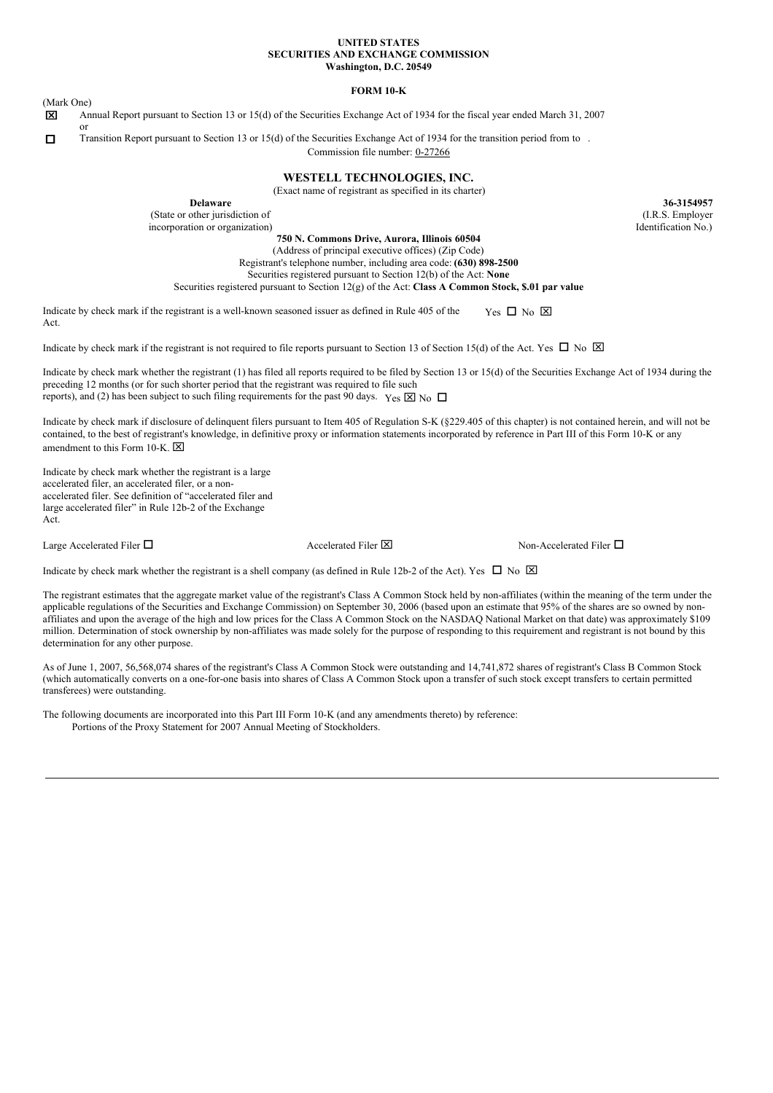#### **UNITED STATES SECURITIES AND EXCHANGE COMMISSION Washington, D.C. 20549**

## **FORM 10-K**

x Annual Report pursuant to Section 13 or 15(d) of the Securities Exchange Act of 1934 for the fiscal year ended March 31, 2007

**Transition Report pursuant to Section 13 or 15(d) of the Securities Exchange Act of 1934 for the transition period from to.** 

Commission file number: 0-27266

# **WESTELL TECHNOLOGIES, INC.**

(Exact name of registrant as specified in its charter)

**Delaware 36-3154957** (State or other jurisdiction of (I.R.S. Employer incorporation or organization) Identification No.)

**750 N. Commons Drive, Aurora, Illinois 60504**

(Address of principal executive offices) (Zip Code)

Registrant's telephone number, including area code: **(630) 898-2500**

Securities registered pursuant to Section 12(b) of the Act: **None**

Securities registered pursuant to Section 12(g) of the Act: **Class A Common Stock, \$.01 par value**

Indicate by check mark if the registrant is a well-known seasoned issuer as defined in Rule 405 of the Act. Yes  $\Box$  No  $\boxtimes$ 

Indicate by check mark if the registrant is not required to file reports pursuant to Section 13 of Section 15(d) of the Act. Yes  $\Box$  No  $\boxtimes$ 

Indicate by check mark whether the registrant (1) has filed all reports required to be filed by Section 13 or 15(d) of the Securities Exchange Act of 1934 during the preceding 12 months (or for such shorter period that the registrant was required to file such reports), and (2) has been subject to such filing requirements for the past 90 days. Yes  $\boxtimes$  No  $\Box$ 

Indicate by check mark if disclosure of delinquent filers pursuant to Item 405 of Regulation S-K (§229.405 of this chapter) is not contained herein, and will not be contained, to the best of registrant's knowledge, in definitive proxy or information statements incorporated by reference in Part III of this Form 10-K or any amendment to this Form 10-K.  $[**X**]$ 

Indicate by check mark whether the registrant is a large accelerated filer, an accelerated filer, or a nonaccelerated filer. See definition of "accelerated filer and large accelerated filer" in Rule 12b-2 of the Exchange Act.

Large Accelerated Filer  $\square$  Accelerated Filer  $\square$  Accelerated Filer  $\square$  Non-Accelerated Filer  $\square$ 

(Mark One)

or

Indicate by check mark whether the registrant is a shell company (as defined in Rule 12b-2 of the Act). Yes  $\Box$  No  $\boxtimes$ 

The registrant estimates that the aggregate market value of the registrant's Class A Common Stock held by non-affiliates (within the meaning of the term under the applicable regulations of the Securities and Exchange Commission) on September 30, 2006 (based upon an estimate that 95% of the shares are so owned by nonaffiliates and upon the average of the high and low prices for the Class A Common Stock on the NASDAQ National Market on that date) was approximately \$109 million. Determination of stock ownership by non-affiliates was made solely for the purpose of responding to this requirement and registrant is not bound by this determination for any other purpose.

As of June 1, 2007, 56,568,074 shares of the registrant's Class A Common Stock were outstanding and 14,741,872 shares of registrant's Class B Common Stock (which automatically converts on a one-for-one basis into shares of Class A Common Stock upon a transfer of such stock except transfers to certain permitted transferees) were outstanding.

The following documents are incorporated into this Part III Form 10-K (and any amendments thereto) by reference: Portions of the Proxy Statement for 2007 Annual Meeting of Stockholders.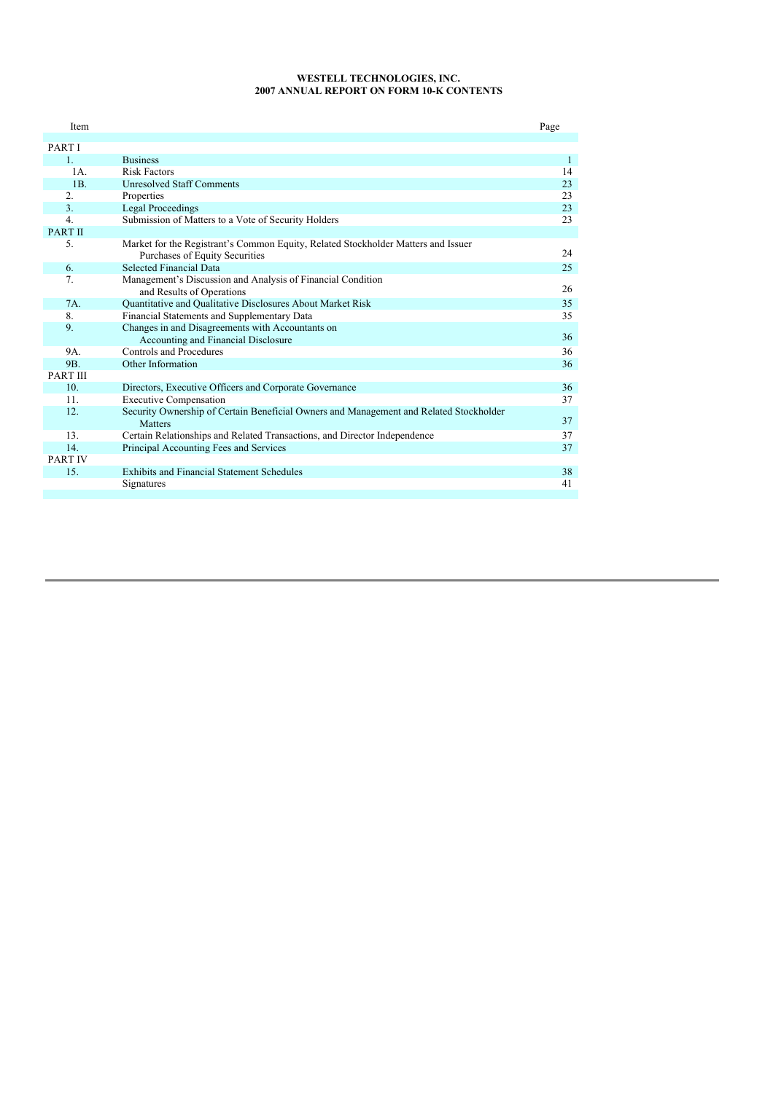# **WESTELL TECHNOLOGIES, INC. 2007 ANNUAL REPORT ON FORM 10-K CONTENTS**

| Item             |                                                                                        | Page |
|------------------|----------------------------------------------------------------------------------------|------|
|                  |                                                                                        |      |
| <b>PARTI</b>     |                                                                                        |      |
| $\mathbf{1}$     | <b>Business</b>                                                                        | 1    |
| $1A$ .           | <b>Risk Factors</b>                                                                    | 14   |
| 1B.              | <b>Unresolved Staff Comments</b>                                                       | 23   |
| 2.               | Properties                                                                             | 23   |
| 3.               | <b>Legal Proceedings</b>                                                               | 23   |
| $\overline{4}$ . | Submission of Matters to a Vote of Security Holders                                    | 23   |
| <b>PART II</b>   |                                                                                        |      |
| 5.               | Market for the Registrant's Common Equity, Related Stockholder Matters and Issuer      |      |
|                  | Purchases of Equity Securities                                                         | 24   |
| 6.               | Selected Financial Data                                                                | 25   |
| 7.               | Management's Discussion and Analysis of Financial Condition                            |      |
|                  | and Results of Operations                                                              | 26   |
| 7A               | Quantitative and Qualitative Disclosures About Market Risk                             | 35   |
| 8.               | Financial Statements and Supplementary Data                                            | 35   |
| 9.               | Changes in and Disagreements with Accountants on                                       |      |
|                  | Accounting and Financial Disclosure                                                    | 36   |
| 9A.              | Controls and Procedures                                                                | 36   |
| 9 <sub>B</sub>   | Other Information                                                                      | 36   |
| <b>PART III</b>  |                                                                                        |      |
| 10 <sub>1</sub>  | Directors, Executive Officers and Corporate Governance                                 | 36   |
| 11.              | <b>Executive Compensation</b>                                                          | 37   |
| 12.              | Security Ownership of Certain Beneficial Owners and Management and Related Stockholder |      |
|                  | <b>Matters</b>                                                                         | 37   |
| 13.              | Certain Relationships and Related Transactions, and Director Independence              | 37   |
| 14.              | Principal Accounting Fees and Services                                                 | 37   |
| <b>PART IV</b>   |                                                                                        |      |
| 15.              | <b>Exhibits and Financial Statement Schedules</b>                                      | 38   |
|                  | Signatures                                                                             | 41   |
|                  |                                                                                        |      |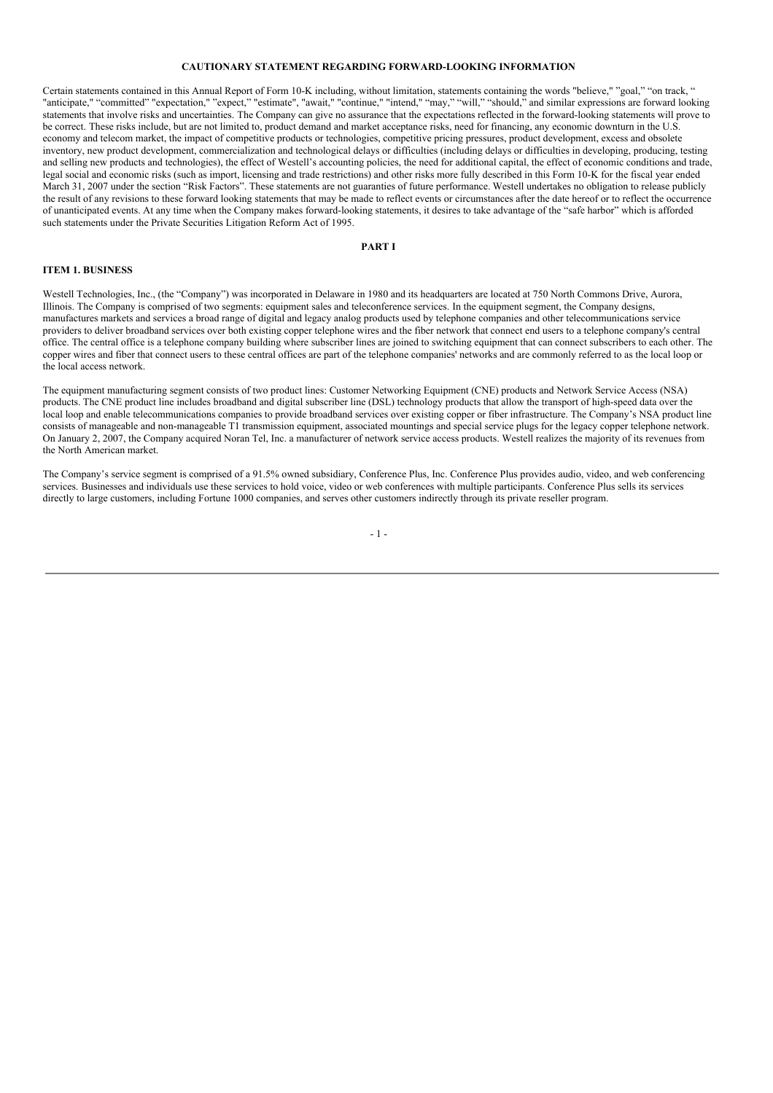### **CAUTIONARY STATEMENT REGARDING FORWARD-LOOKING INFORMATION**

Certain statements contained in this Annual Report of Form 10-K including, without limitation, statements containing the words "believe," "goal," "on track, " "anticipate," "committed" "expectation," "expect," "estimate", "await," "continue," "intend," "may," "will," "should," and similar expressions are forward looking statements that involve risks and uncertainties. The Company can give no assurance that the expectations reflected in the forward-looking statements will prove to be correct. These risks include, but are not limited to, product demand and market acceptance risks, need for financing, any economic downturn in the U.S. economy and telecom market, the impact of competitive products or technologies, competitive pricing pressures, product development, excess and obsolete inventory, new product development, commercialization and technological delays or difficulties (including delays or difficulties in developing, producing, testing and selling new products and technologies), the effect of Westell's accounting policies, the need for additional capital, the effect of economic conditions and trade, legal social and economic risks (such as import, licensing and trade restrictions) and other risks more fully described in this Form 10-K for the fiscal year ended March 31, 2007 under the section "Risk Factors". These statements are not guaranties of future performance. Westell undertakes no obligation to release publicly the result of any revisions to these forward looking statements that may be made to reflect events or circumstances after the date hereof or to reflect the occurrence of unanticipated events. At any time when the Company makes forward-looking statements, it desires to take advantage of the "safe harbor" which is afforded such statements under the Private Securities Litigation Reform Act of 1995.

#### **PART I**

# **ITEM 1. BUSINESS**

Westell Technologies, Inc., (the "Company") was incorporated in Delaware in 1980 and its headquarters are located at 750 North Commons Drive, Aurora, Illinois. The Company is comprised of two segments: equipment sales and teleconference services. In the equipment segment, the Company designs, manufactures markets and services a broad range of digital and legacy analog products used by telephone companies and other telecommunications service providers to deliver broadband services over both existing copper telephone wires and the fiber network that connect end users to a telephone company's central office. The central office is a telephone company building where subscriber lines are joined to switching equipment that can connect subscribers to each other. The copper wires and fiber that connect users to these central offices are part of the telephone companies' networks and are commonly referred to as the local loop or the local access network.

The equipment manufacturing segment consists of two product lines: Customer Networking Equipment (CNE) products and Network Service Access (NSA) products. The CNE product line includes broadband and digital subscriber line (DSL) technology products that allow the transport of high-speed data over the local loop and enable telecommunications companies to provide broadband services over existing copper or fiber infrastructure. The Company's NSA product line consists of manageable and non-manageable T1 transmission equipment, associated mountings and special service plugs for the legacy copper telephone network. On January 2, 2007, the Company acquired Noran Tel, Inc. a manufacturer of network service access products. Westell realizes the majority of its revenues from the North American market.

The Company's service segment is comprised of a 91.5% owned subsidiary, Conference Plus, Inc. Conference Plus provides audio, video, and web conferencing services. Businesses and individuals use these services to hold voice, video or web conferences with multiple participants. Conference Plus sells its services directly to large customers, including Fortune 1000 companies, and serves other customers indirectly through its private reseller program.

## $- 1 -$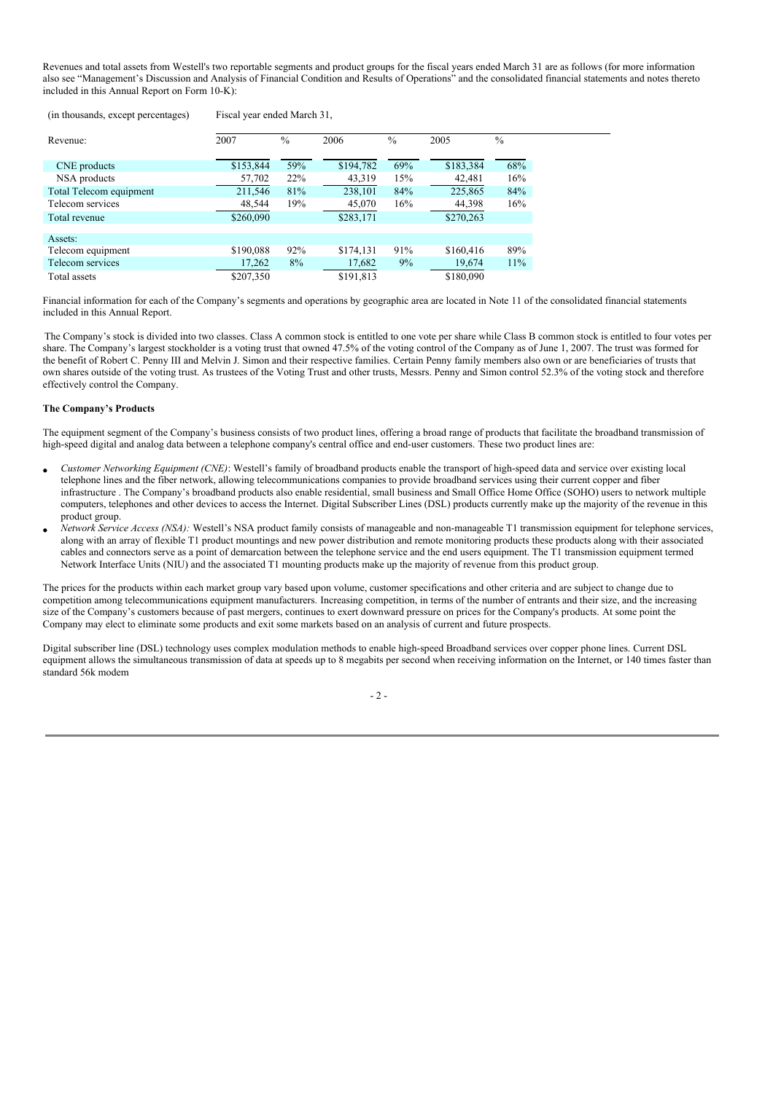Revenues and total assets from Westell's two reportable segments and product groups for the fiscal years ended March 31 are as follows (for more information also see "Management's Discussion and Analysis of Financial Condition and Results of Operations" and the consolidated financial statements and notes thereto included in this Annual Report on Form 10-K):

(in thousands, except percentages) Fiscal year ended March 31,

| Revenue:                | 2007      | $\frac{0}{0}$ | 2006      | $\frac{0}{0}$ | 2005      | $\%$ |
|-------------------------|-----------|---------------|-----------|---------------|-----------|------|
| CNE products            | \$153,844 | 59%           | \$194,782 | 69%           | \$183,384 | 68%  |
| NSA products            | 57,702    | 22%           | 43,319    | 15%           | 42,481    | 16%  |
| Total Telecom equipment | 211,546   | 81%           | 238.101   | 84%           | 225,865   | 84%  |
| Telecom services        | 48.544    | 19%           | 45,070    | 16%           | 44,398    | 16%  |
| Total revenue           | \$260,090 |               | \$283,171 |               | \$270,263 |      |
|                         |           |               |           |               |           |      |
| Assets:                 |           |               |           |               |           |      |
| Telecom equipment       | \$190,088 | 92%           | \$174,131 | 91%           | \$160,416 | 89%  |
| Telecom services        | 17,262    | 8%            | 17,682    | 9%            | 19,674    | 11%  |
| Total assets            | \$207,350 |               | \$191.813 |               | \$180,090 |      |

Financial information for each of the Company's segments and operations by geographic area are located in Note 11 of the consolidated financial statements included in this Annual Report.

The Company's stock is divided into two classes. Class A common stock is entitled to one vote per share while Class B common stock is entitled to four votes per share. The Company's largest stockholder is a voting trust that owned 47.5% of the voting control of the Company as of June 1, 2007. The trust was formed for the benefit of Robert C. Penny III and Melvin J. Simon and their respective families. Certain Penny family members also own or are beneficiaries of trusts that own shares outside of the voting trust. As trustees of the Voting Trust and other trusts, Messrs. Penny and Simon control 52.3% of the voting stock and therefore effectively control the Company.

#### **The Company's Products**

The equipment segment of the Company's business consists of two product lines, offering a broad range of products that facilitate the broadband transmission of high-speed digital and analog data between a telephone company's central office and end-user customers*.* These two product lines are:

- **•** *Customer Networking Equipment (CNE)*: Westell's family of broadband products enable the transport of high-speed data and service over existing local telephone lines and the fiber network, allowing telecommunications companies to provide broadband services using their current copper and fiber infrastructure . The Company's broadband products also enable residential, small business and Small Office Home Office (SOHO) users to network multiple computers, telephones and other devices to access the Internet. Digital Subscriber Lines (DSL) products currently make up the majority of the revenue in this product group.
- **•** *Network Service Access (NSA):* Westell's NSA product family consists of manageable and non-manageable T1 transmission equipment for telephone services, along with an array of flexible T1 product mountings and new power distribution and remote monitoring products these products along with their associated cables and connectors serve as a point of demarcation between the telephone service and the end users equipment. The T1 transmission equipment termed Network Interface Units (NIU) and the associated T1 mounting products make up the majority of revenue from this product group.

The prices for the products within each market group vary based upon volume, customer specifications and other criteria and are subject to change due to competition among telecommunications equipment manufacturers*.* Increasing competition, in terms of the number of entrants and their size, and the increasing size of the Company's customers because of past mergers, continues to exert downward pressure on prices for the Company's products. At some point the Company may elect to eliminate some products and exit some markets based on an analysis of current and future prospects.

Digital subscriber line (DSL) technology uses complex modulation methods to enable high-speed Broadband services over copper phone lines. Current DSL equipment allows the simultaneous transmission of data at speeds up to 8 megabits per second when receiving information on the Internet, or 140 times faster than standard 56k modem

 $-2 -$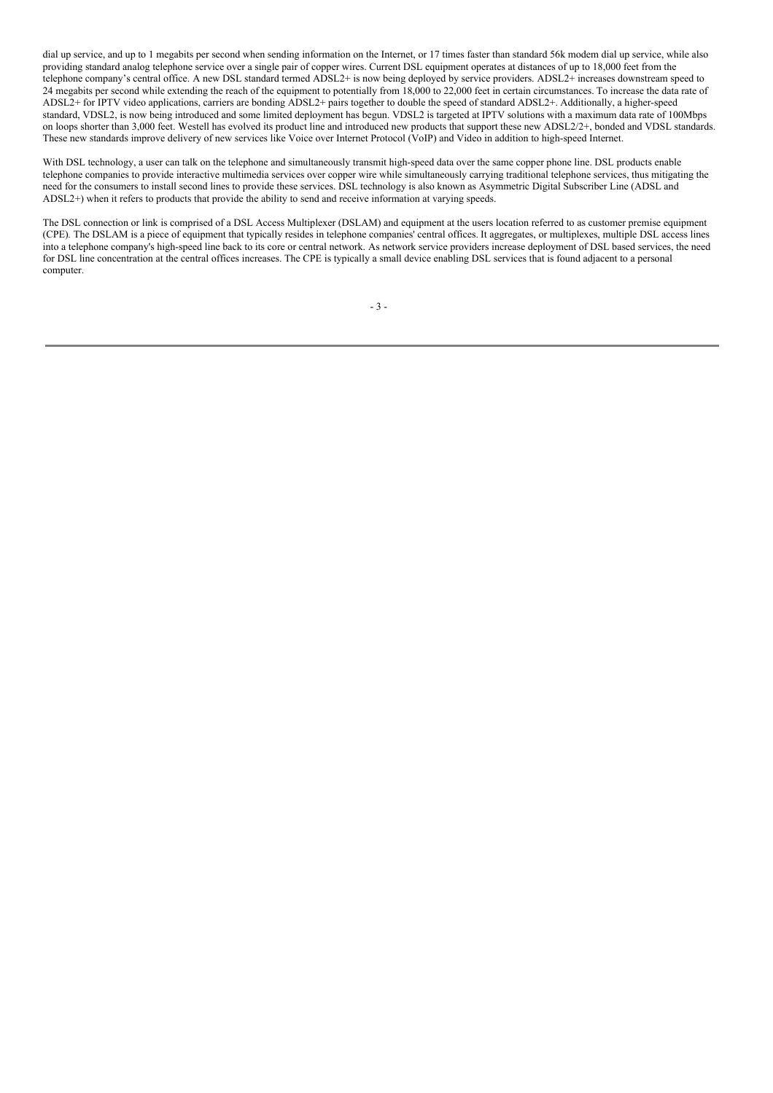dial up service, and up to 1 megabits per second when sending information on the Internet, or 17 times faster than standard 56k modem dial up service, while also providing standard analog telephone service over a single pair of copper wires. Current DSL equipment operates at distances of up to 18,000 feet from the telephone company's central office. A new DSL standard termed ADSL2+ is now being deployed by service providers. ADSL2+ increases downstream speed to 24 megabits per second while extending the reach of the equipment to potentially from 18,000 to 22,000 feet in certain circumstances. To increase the data rate of ADSL2+ for IPTV video applications, carriers are bonding ADSL2+ pairs together to double the speed of standard ADSL2+. Additionally, a higher-speed standard, VDSL2, is now being introduced and some limited deployment has begun. VDSL2 is targeted at IPTV solutions with a maximum data rate of 100Mbps on loops shorter than 3,000 feet. Westell has evolved its product line and introduced new products that support these new ADSL2/2+, bonded and VDSL standards. These new standards improve delivery of new services like Voice over Internet Protocol (VoIP) and Video in addition to high-speed Internet.

With DSL technology, a user can talk on the telephone and simultaneously transmit high-speed data over the same copper phone line. DSL products enable telephone companies to provide interactive multimedia services over copper wire while simultaneously carrying traditional telephone services, thus mitigating the need for the consumers to install second lines to provide these services. DSL technology is also known as Asymmetric Digital Subscriber Line (ADSL and ADSL2+) when it refers to products that provide the ability to send and receive information at varying speeds.

The DSL connection or link is comprised of a DSL Access Multiplexer (DSLAM) and equipment at the users location referred to as customer premise equipment (CPE)*.* The DSLAM is a piece of equipment that typically resides in telephone companies' central offices. It aggregates, or multiplexes, multiple DSL access lines into a telephone company's high-speed line back to its core or central network. As network service providers increase deployment of DSL based services, the need for DSL line concentration at the central offices increases. The CPE is typically a small device enabling DSL services that is found adjacent to a personal computer.

 $- 3 -$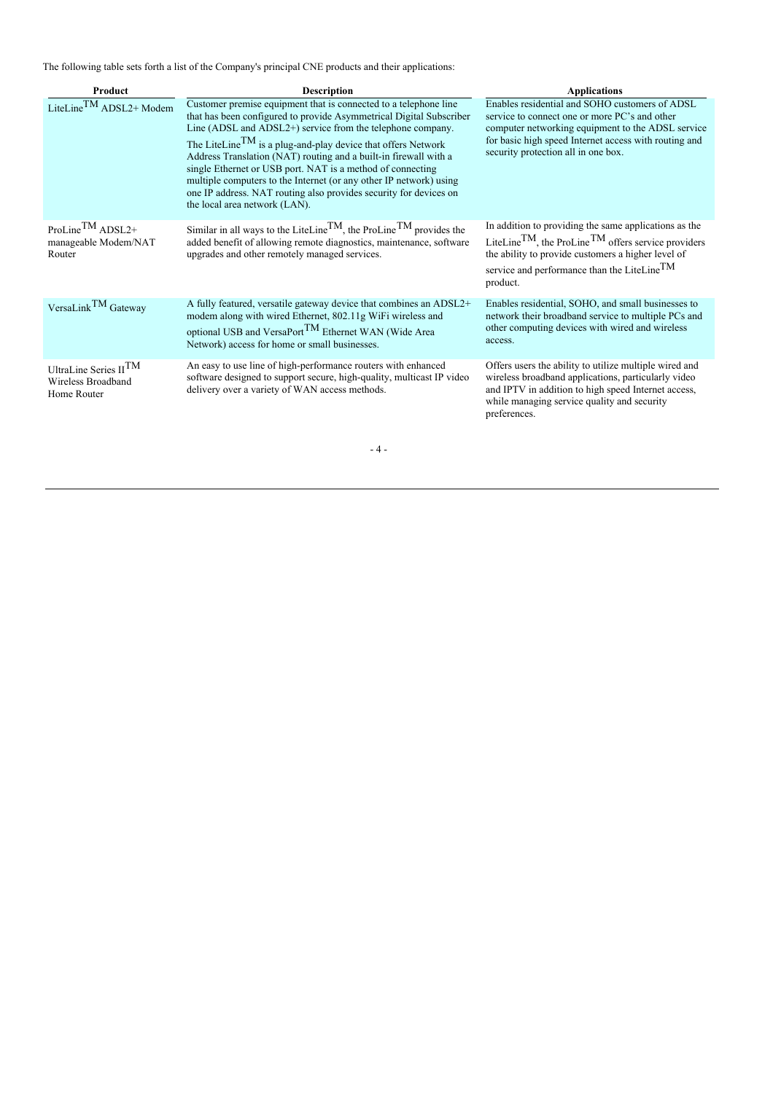The following table sets forth a list of the Company's principal CNE products and their applications:

| Product                                                                | <b>Description</b>                                                                                                                                                                                                                                                                                                                                                                                                                                                                                                                                                                              | <b>Applications</b>                                                                                                                                                                                                                                               |
|------------------------------------------------------------------------|-------------------------------------------------------------------------------------------------------------------------------------------------------------------------------------------------------------------------------------------------------------------------------------------------------------------------------------------------------------------------------------------------------------------------------------------------------------------------------------------------------------------------------------------------------------------------------------------------|-------------------------------------------------------------------------------------------------------------------------------------------------------------------------------------------------------------------------------------------------------------------|
| LiteLine <sup>TM</sup> ADSL2+ Modem                                    | Customer premise equipment that is connected to a telephone line<br>that has been configured to provide Asymmetrical Digital Subscriber<br>Line (ADSL and ADSL2+) service from the telephone company.<br>The LiteLine <sup>TM</sup> is a plug-and-play device that offers Network<br>Address Translation (NAT) routing and a built-in firewall with a<br>single Ethernet or USB port. NAT is a method of connecting<br>multiple computers to the Internet (or any other IP network) using<br>one IP address. NAT routing also provides security for devices on<br>the local area network (LAN). | Enables residential and SOHO customers of ADSL<br>service to connect one or more PC's and other<br>computer networking equipment to the ADSL service<br>for basic high speed Internet access with routing and<br>security protection all in one box.              |
| $ProLineTM ADSL2+$<br>manageable Modem/NAT<br>Router                   | Similar in all ways to the LiteLine <sup>TM</sup> , the ProLine <sup>TM</sup> provides the<br>added benefit of allowing remote diagnostics, maintenance, software<br>upgrades and other remotely managed services.                                                                                                                                                                                                                                                                                                                                                                              | In addition to providing the same applications as the<br>LiteLine <sup>TM</sup> , the ProLine <sup>TM</sup> offers service providers<br>the ability to provide customers a higher level of<br>service and performance than the LiteLine <sup>TM</sup><br>product. |
| VersaLink <sup>TM</sup> Gateway                                        | A fully featured, versatile gateway device that combines an ADSL2+<br>modem along with wired Ethernet, 802.11g WiFi wireless and<br>optional USB and VersaPort <sup>TM</sup> Ethernet WAN (Wide Area<br>Network) access for home or small businesses.                                                                                                                                                                                                                                                                                                                                           | Enables residential, SOHO, and small businesses to<br>network their broadband service to multiple PCs and<br>other computing devices with wired and wireless<br>access.                                                                                           |
| UltraLine Series II <sup>TM</sup><br>Wireless Broadband<br>Home Router | An easy to use line of high-performance routers with enhanced<br>software designed to support secure, high-quality, multicast IP video<br>delivery over a variety of WAN access methods.                                                                                                                                                                                                                                                                                                                                                                                                        | Offers users the ability to utilize multiple wired and<br>wireless broadband applications, particularly video<br>and IPTV in addition to high speed Internet access,<br>while managing service quality and security<br>preferences.                               |

 $-4-$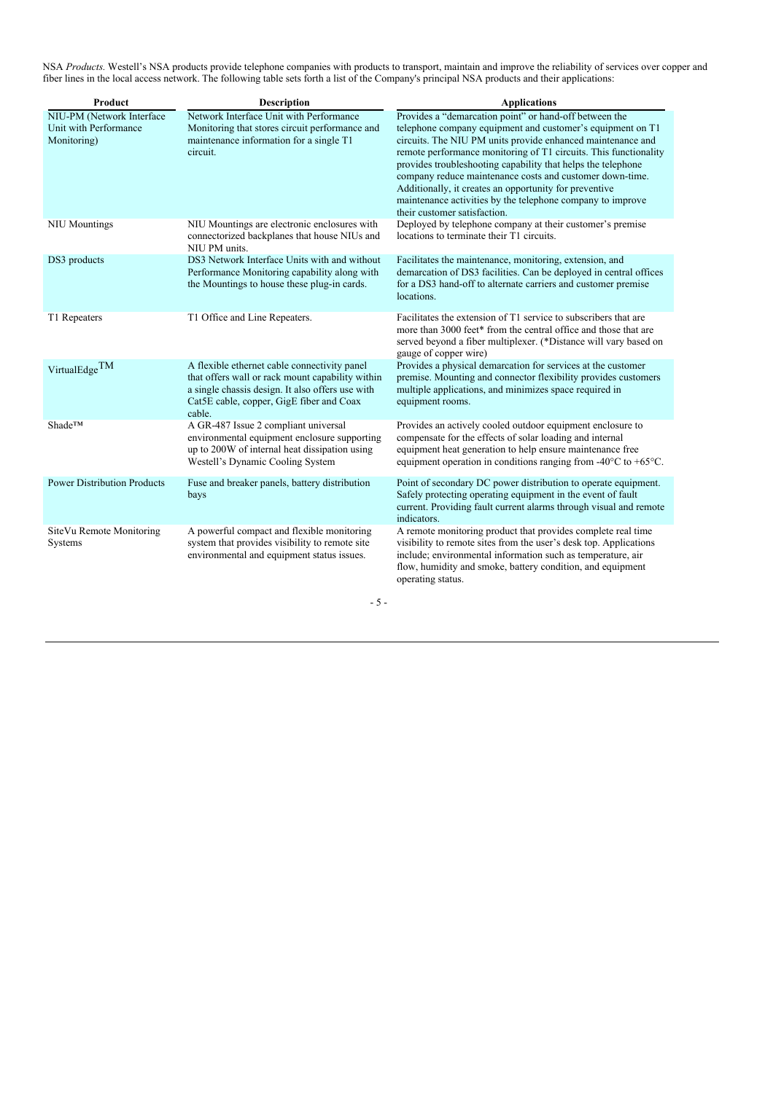NSA *Products.* Westell's NSA products provide telephone companies with products to transport, maintain and improve the reliability of services over copper and fiber lines in the local access network. The following table sets forth a list of the Company's principal NSA products and their applications:

| Product                                                           | <b>Description</b>                                                                                                                                                                                         | <b>Applications</b>                                                                                                                                                                                                                                                                                                                                                                                                                                                                                                                         |
|-------------------------------------------------------------------|------------------------------------------------------------------------------------------------------------------------------------------------------------------------------------------------------------|---------------------------------------------------------------------------------------------------------------------------------------------------------------------------------------------------------------------------------------------------------------------------------------------------------------------------------------------------------------------------------------------------------------------------------------------------------------------------------------------------------------------------------------------|
| NIU-PM (Network Interface<br>Unit with Performance<br>Monitoring) | Network Interface Unit with Performance<br>Monitoring that stores circuit performance and<br>maintenance information for a single T1<br>circuit.                                                           | Provides a "demarcation point" or hand-off between the<br>telephone company equipment and customer's equipment on T1<br>circuits. The NIU PM units provide enhanced maintenance and<br>remote performance monitoring of T1 circuits. This functionality<br>provides troubleshooting capability that helps the telephone<br>company reduce maintenance costs and customer down-time.<br>Additionally, it creates an opportunity for preventive<br>maintenance activities by the telephone company to improve<br>their customer satisfaction. |
| <b>NIU Mountings</b>                                              | NIU Mountings are electronic enclosures with<br>connectorized backplanes that house NIUs and<br>NIU PM units.                                                                                              | Deployed by telephone company at their customer's premise<br>locations to terminate their T1 circuits.                                                                                                                                                                                                                                                                                                                                                                                                                                      |
| DS3 products                                                      | DS3 Network Interface Units with and without<br>Performance Monitoring capability along with<br>the Mountings to house these plug-in cards.                                                                | Facilitates the maintenance, monitoring, extension, and<br>demarcation of DS3 facilities. Can be deployed in central offices<br>for a DS3 hand-off to alternate carriers and customer premise<br>locations.                                                                                                                                                                                                                                                                                                                                 |
| T1 Repeaters                                                      | T1 Office and Line Repeaters.                                                                                                                                                                              | Facilitates the extension of T1 service to subscribers that are<br>more than 3000 feet* from the central office and those that are<br>served beyond a fiber multiplexer. (*Distance will vary based on<br>gauge of copper wire)                                                                                                                                                                                                                                                                                                             |
| VirtualEdge <sup>TM</sup>                                         | A flexible ethernet cable connectivity panel<br>that offers wall or rack mount capability within<br>a single chassis design. It also offers use with<br>Cat5E cable, copper, GigE fiber and Coax<br>cable. | Provides a physical demarcation for services at the customer<br>premise. Mounting and connector flexibility provides customers<br>multiple applications, and minimizes space required in<br>equipment rooms.                                                                                                                                                                                                                                                                                                                                |
| Shade™                                                            | A GR-487 Issue 2 compliant universal<br>environmental equipment enclosure supporting<br>up to 200W of internal heat dissipation using<br>Westell's Dynamic Cooling System                                  | Provides an actively cooled outdoor equipment enclosure to<br>compensate for the effects of solar loading and internal<br>equipment heat generation to help ensure maintenance free<br>equipment operation in conditions ranging from -40 $\rm ^{o}C$ to +65 $\rm ^{o}C$ .                                                                                                                                                                                                                                                                  |
| <b>Power Distribution Products</b>                                | Fuse and breaker panels, battery distribution<br>bays                                                                                                                                                      | Point of secondary DC power distribution to operate equipment.<br>Safely protecting operating equipment in the event of fault<br>current. Providing fault current alarms through visual and remote<br>indicators.                                                                                                                                                                                                                                                                                                                           |
| SiteVu Remote Monitoring<br>Systems                               | A powerful compact and flexible monitoring<br>system that provides visibility to remote site<br>environmental and equipment status issues.                                                                 | A remote monitoring product that provides complete real time<br>visibility to remote sites from the user's desk top. Applications<br>include; environmental information such as temperature, air<br>flow, humidity and smoke, battery condition, and equipment<br>operating status.                                                                                                                                                                                                                                                         |

# - 5 -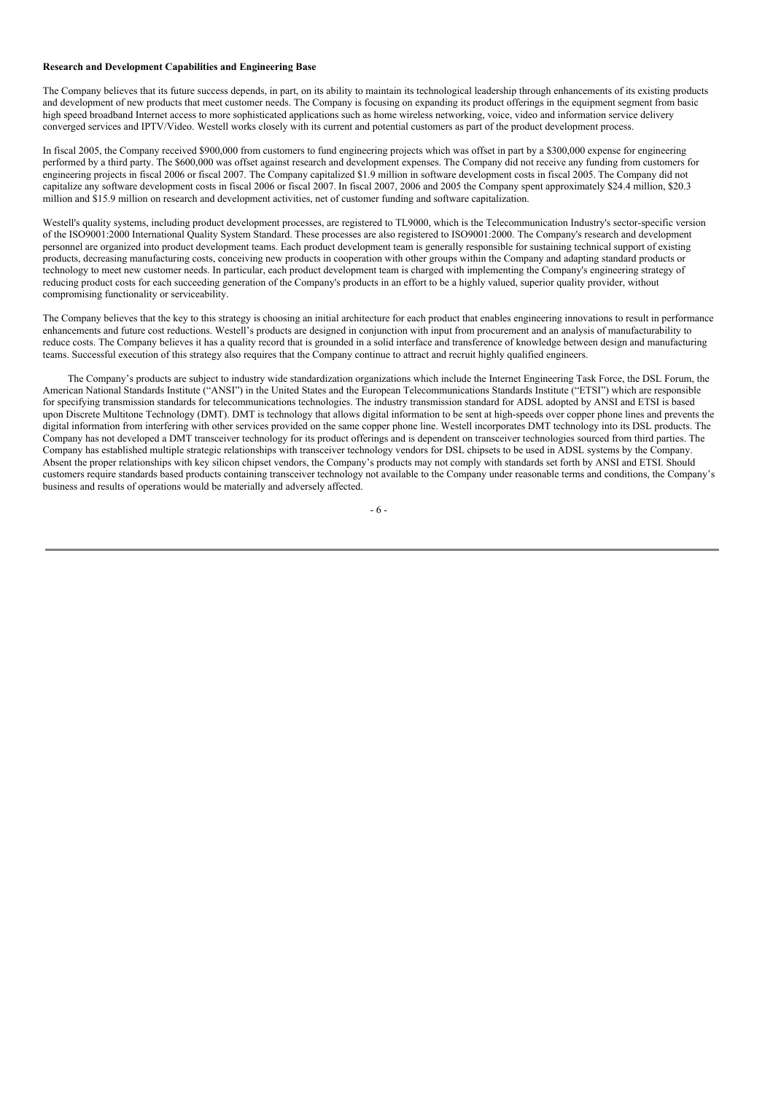# **Research and Development Capabilities and Engineering Base**

The Company believes that its future success depends, in part, on its ability to maintain its technological leadership through enhancements of its existing products and development of new products that meet customer needs. The Company is focusing on expanding its product offerings in the equipment segment from basic high speed broadband Internet access to more sophisticated applications such as home wireless networking, voice, video and information service delivery converged services and IPTV/Video. Westell works closely with its current and potential customers as part of the product development process.

In fiscal 2005, the Company received \$900,000 from customers to fund engineering projects which was offset in part by a \$300,000 expense for engineering performed by a third party. The \$600,000 was offset against research and development expenses. The Company did not receive any funding from customers for engineering projects in fiscal 2006 or fiscal 2007. The Company capitalized \$1.9 million in software development costs in fiscal 2005. The Company did not capitalize any software development costs in fiscal 2006 or fiscal 2007. In fiscal 2007, 2006 and 2005 the Company spent approximately \$24.4 million, \$20.3 million and \$15.9 million on research and development activities, net of customer funding and software capitalization.

Westell's quality systems, including product development processes, are registered to TL9000, which is the Telecommunication Industry's sector-specific version of the ISO9001:2000 International Quality System Standard. These processes are also registered to ISO9001:2000. The Company's research and development personnel are organized into product development teams. Each product development team is generally responsible for sustaining technical support of existing products, decreasing manufacturing costs, conceiving new products in cooperation with other groups within the Company and adapting standard products or technology to meet new customer needs. In particular, each product development team is charged with implementing the Company's engineering strategy of reducing product costs for each succeeding generation of the Company's products in an effort to be a highly valued, superior quality provider, without compromising functionality or serviceability.

The Company believes that the key to this strategy is choosing an initial architecture for each product that enables engineering innovations to result in performance enhancements and future cost reductions. Westell's products are designed in conjunction with input from procurement and an analysis of manufacturability to reduce costs. The Company believes it has a quality record that is grounded in a solid interface and transference of knowledge between design and manufacturing teams. Successful execution of this strategy also requires that the Company continue to attract and recruit highly qualified engineers.

The Company's products are subject to industry wide standardization organizations which include the Internet Engineering Task Force, the DSL Forum, the American National Standards Institute ("ANSI") in the United States and the European Telecommunications Standards Institute ("ETSI") which are responsible for specifying transmission standards for telecommunications technologies. The industry transmission standard for ADSL adopted by ANSI and ETSI is based upon Discrete Multitone Technology (DMT). DMT is technology that allows digital information to be sent at high-speeds over copper phone lines and prevents the digital information from interfering with other services provided on the same copper phone line. Westell incorporates DMT technology into its DSL products. The Company has not developed a DMT transceiver technology for its product offerings and is dependent on transceiver technologies sourced from third parties. The Company has established multiple strategic relationships with transceiver technology vendors for DSL chipsets to be used in ADSL systems by the Company. Absent the proper relationships with key silicon chipset vendors, the Company's products may not comply with standards set forth by ANSI and ETSI. Should customers require standards based products containing transceiver technology not available to the Company under reasonable terms and conditions, the Company's business and results of operations would be materially and adversely affected.

 $-6 -$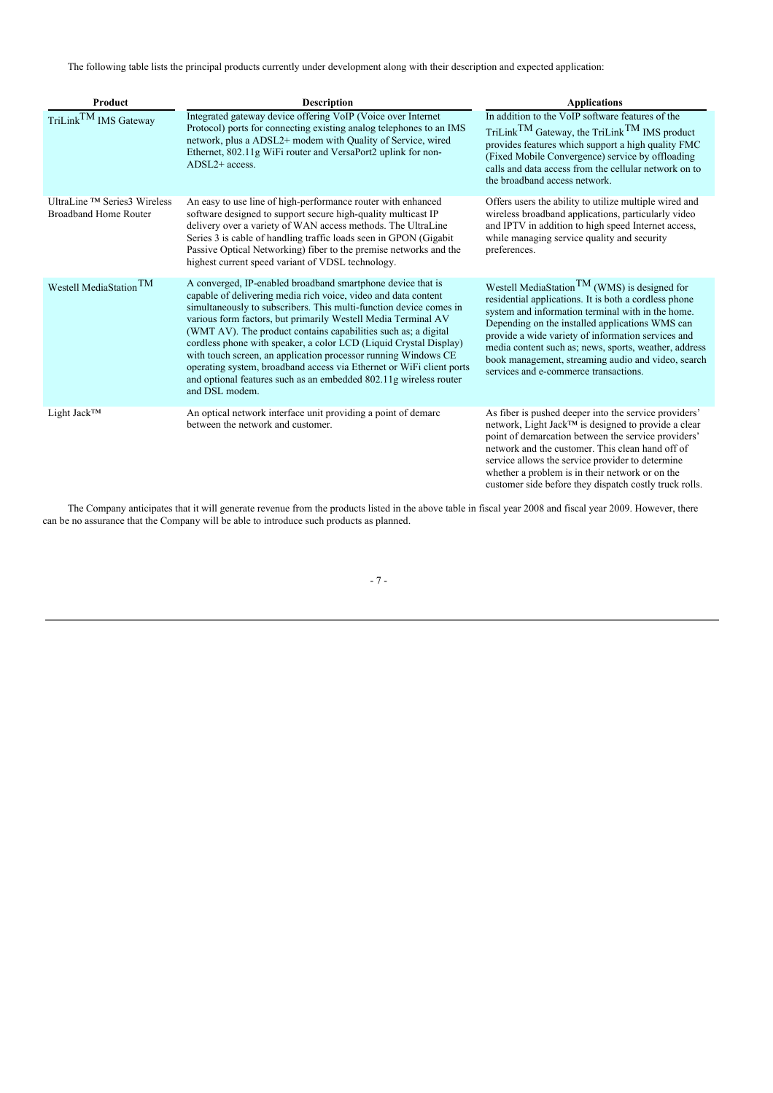The following table lists the principal products currently under development along with their description and expected application:

| Product                                                      | <b>Description</b>                                                                                                                                                                                                                                                                                                                                                                                                                                                                                                                                                                                                                           | <b>Applications</b>                                                                                                                                                                                                                                                                                                                                                                                                                     |
|--------------------------------------------------------------|----------------------------------------------------------------------------------------------------------------------------------------------------------------------------------------------------------------------------------------------------------------------------------------------------------------------------------------------------------------------------------------------------------------------------------------------------------------------------------------------------------------------------------------------------------------------------------------------------------------------------------------------|-----------------------------------------------------------------------------------------------------------------------------------------------------------------------------------------------------------------------------------------------------------------------------------------------------------------------------------------------------------------------------------------------------------------------------------------|
| TriLink <sup>TM</sup> IMS Gateway                            | Integrated gateway device offering VoIP (Voice over Internet<br>Protocol) ports for connecting existing analog telephones to an IMS<br>network, plus a ADSL2+ modem with Quality of Service, wired<br>Ethernet, 802.11g WiFi router and VersaPort2 uplink for non-<br>$ADSL2+$ access.                                                                                                                                                                                                                                                                                                                                                       | In addition to the VoIP software features of the<br>$TriLink^{TM}$ Gateway, the $TriLink^{TM}$ IMS product<br>provides features which support a high quality FMC<br>(Fixed Mobile Convergence) service by offloading<br>calls and data access from the cellular network on to<br>the broadband access network.                                                                                                                          |
| UltraLine ™ Series3 Wireless<br><b>Broadband Home Router</b> | An easy to use line of high-performance router with enhanced<br>software designed to support secure high-quality multicast IP<br>delivery over a variety of WAN access methods. The UltraLine<br>Series 3 is cable of handling traffic loads seen in GPON (Gigabit)<br>Passive Optical Networking) fiber to the premise networks and the<br>highest current speed variant of VDSL technology.                                                                                                                                                                                                                                                | Offers users the ability to utilize multiple wired and<br>wireless broadband applications, particularly video<br>and IPTV in addition to high speed Internet access,<br>while managing service quality and security<br>preferences.                                                                                                                                                                                                     |
| Westell MediaStation <sup>TM</sup>                           | A converged, IP-enabled broadband smartphone device that is<br>capable of delivering media rich voice, video and data content<br>simultaneously to subscribers. This multi-function device comes in<br>various form factors, but primarily Westell Media Terminal AV<br>(WMT AV). The product contains capabilities such as; a digital<br>cordless phone with speaker, a color LCD (Liquid Crystal Display)<br>with touch screen, an application processor running Windows CE<br>operating system, broadband access via Ethernet or WiFi client ports<br>and optional features such as an embedded 802.11g wireless router<br>and DSL modem. | Westell MediaStation <sup>TM</sup> (WMS) is designed for<br>residential applications. It is both a cordless phone<br>system and information terminal with in the home.<br>Depending on the installed applications WMS can<br>provide a wide variety of information services and<br>media content such as; news, sports, weather, address<br>book management, streaming audio and video, search<br>services and e-commerce transactions. |
| Light Jack™                                                  | An optical network interface unit providing a point of demarc<br>between the network and customer.                                                                                                                                                                                                                                                                                                                                                                                                                                                                                                                                           | As fiber is pushed deeper into the service providers'<br>network, Light Jack <sup>™</sup> is designed to provide a clear<br>point of demarcation between the service providers'<br>network and the customer. This clean hand off of<br>service allows the service provider to determine<br>whether a problem is in their network or on the<br>customer side before they dispatch costly truck rolls.                                    |

The Company anticipates that it will generate revenue from the products listed in the above table in fiscal year 2008 and fiscal year 2009. However, there can be no assurance that the Company will be able to introduce such products as planned.

- 7 -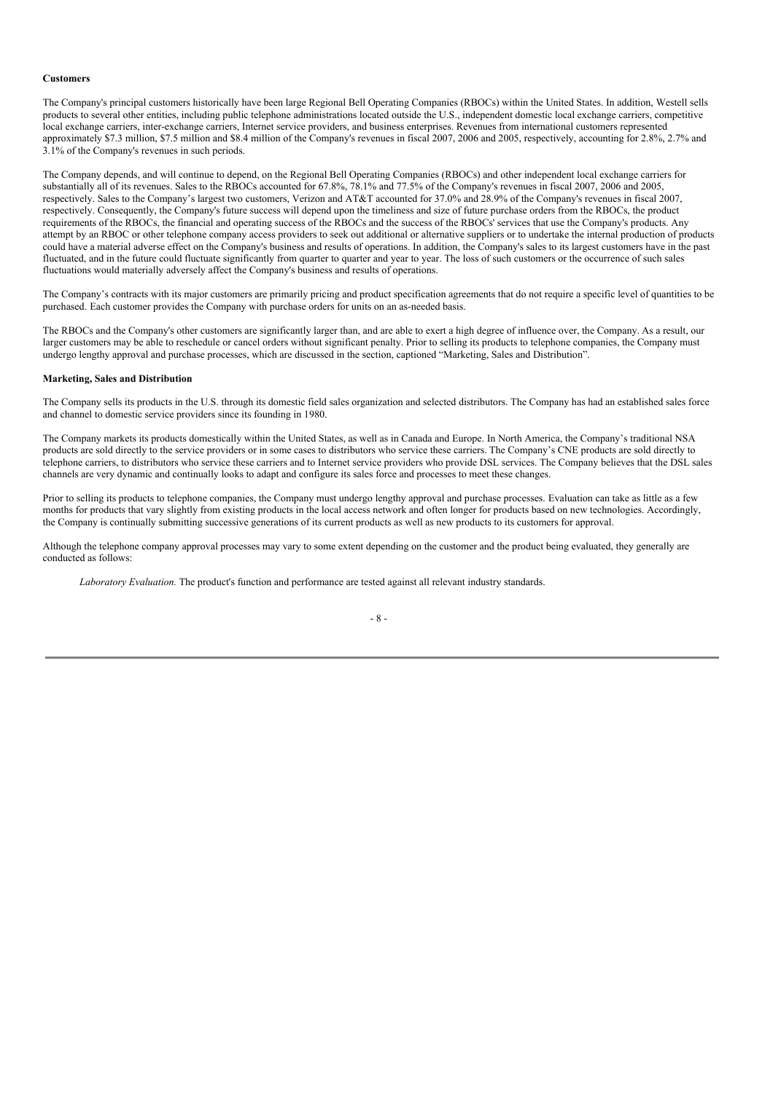#### **Customers**

The Company's principal customers historically have been large Regional Bell Operating Companies (RBOCs) within the United States. In addition, Westell sells products to several other entities, including public telephone administrations located outside the U.S., independent domestic local exchange carriers, competitive local exchange carriers, inter-exchange carriers, Internet service providers, and business enterprises. Revenues from international customers represented approximately \$7.3 million, \$7.5 million and \$8.4 million of the Company's revenues in fiscal 2007, 2006 and 2005, respectively, accounting for 2.8%, 2.7% and 3.1% of the Company's revenues in such periods.

The Company depends, and will continue to depend, on the Regional Bell Operating Companies (RBOCs) and other independent local exchange carriers for substantially all of its revenues. Sales to the RBOCs accounted for 67.8%, 78.1% and 77.5% of the Company's revenues in fiscal 2007, 2006 and 2005, respectively. Sales to the Company's largest two customers, Verizon and AT&T accounted for 37.0% and 28.9% of the Company's revenues in fiscal 2007, respectively. Consequently, the Company's future success will depend upon the timeliness and size of future purchase orders from the RBOCs, the product requirements of the RBOCs, the financial and operating success of the RBOCs and the success of the RBOCs' services that use the Company's products. Any attempt by an RBOC or other telephone company access providers to seek out additional or alternative suppliers or to undertake the internal production of products could have a material adverse effect on the Company's business and results of operations. In addition, the Company's sales to its largest customers have in the past fluctuated, and in the future could fluctuate significantly from quarter to quarter and year to year. The loss of such customers or the occurrence of such sales fluctuations would materially adversely affect the Company's business and results of operations.

The Company's contracts with its major customers are primarily pricing and product specification agreements that do not require a specific level of quantities to be purchased. Each customer provides the Company with purchase orders for units on an as-needed basis.

The RBOCs and the Company's other customers are significantly larger than, and are able to exert a high degree of influence over, the Company. As a result, our larger customers may be able to reschedule or cancel orders without significant penalty. Prior to selling its products to telephone companies, the Company must undergo lengthy approval and purchase processes, which are discussed in the section, captioned "Marketing, Sales and Distribution".

#### **Marketing, Sales and Distribution**

The Company sells its products in the U.S. through its domestic field sales organization and selected distributors. The Company has had an established sales force and channel to domestic service providers since its founding in 1980.

The Company markets its products domestically within the United States, as well as in Canada and Europe. In North America, the Company's traditional NSA products are sold directly to the service providers or in some cases to distributors who service these carriers. The Company's CNE products are sold directly to telephone carriers, to distributors who service these carriers and to Internet service providers who provide DSL services. The Company believes that the DSL sales channels are very dynamic and continually looks to adapt and configure its sales force and processes to meet these changes.

Prior to selling its products to telephone companies, the Company must undergo lengthy approval and purchase processes. Evaluation can take as little as a few months for products that vary slightly from existing products in the local access network and often longer for products based on new technologies. Accordingly, the Company is continually submitting successive generations of its current products as well as new products to its customers for approval.

Although the telephone company approval processes may vary to some extent depending on the customer and the product being evaluated, they generally are conducted as follows:

*Laboratory Evaluation.* The product's function and performance are tested against all relevant industry standards.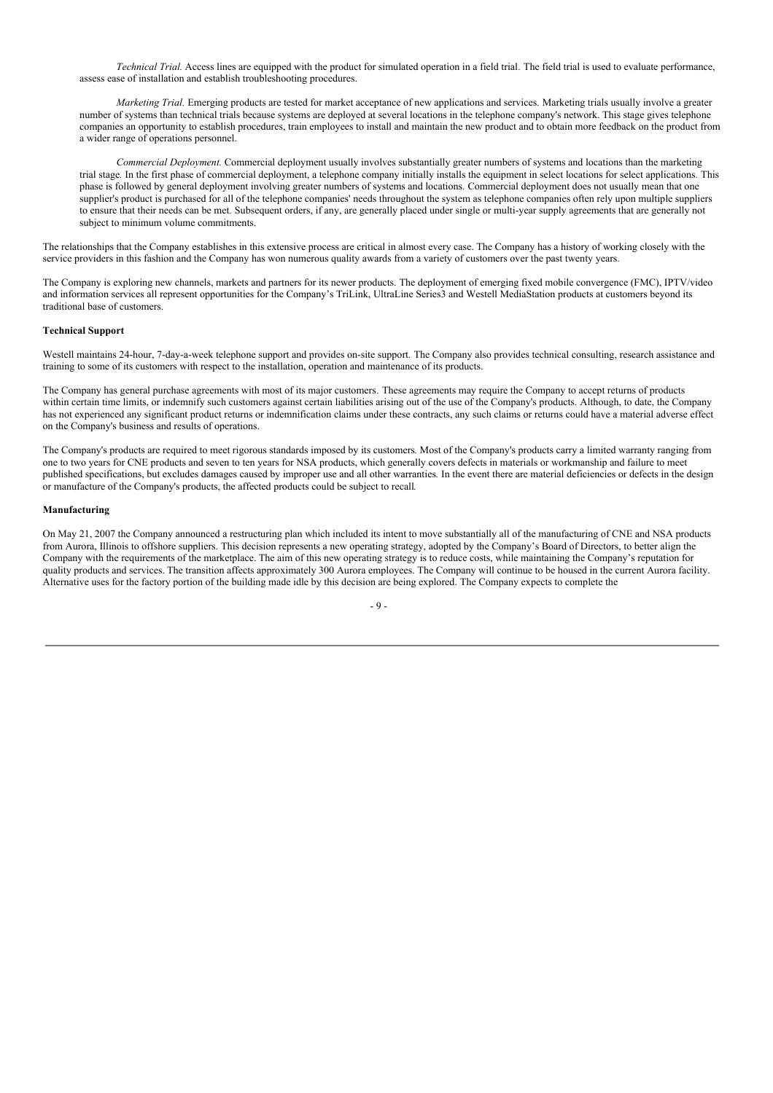*Technical Trial.* Access lines are equipped with the product for simulated operation in a field trial*.* The field trial is used to evaluate performance, assess ease of installation and establish troubleshooting procedures.

*Marketing Trial.* Emerging products are tested for market acceptance of new applications and services. Marketing trials usually involve a greater number of systems than technical trials because systems are deployed at several locations in the telephone company's network. This stage gives telephone companies an opportunity to establish procedures, train employees to install and maintain the new product and to obtain more feedback on the product from a wider range of operations personnel.

*Commercial Deployment.* Commercial deployment usually involves substantially greater numbers of systems and locations than the marketing trial stage*.* In the first phase of commercial deployment, a telephone company initially installs the equipment in select locations for select applications*.* This phase is followed by general deployment involving greater numbers of systems and locations*.* Commercial deployment does not usually mean that one supplier's product is purchased for all of the telephone companies' needs throughout the system as telephone companies often rely upon multiple suppliers to ensure that their needs can be met*.* Subsequent orders, if any, are generally placed under single or multi-year supply agreements that are generally not subject to minimum volume commitments.

The relationships that the Company establishes in this extensive process are critical in almost every case. The Company has a history of working closely with the service providers in this fashion and the Company has won numerous quality awards from a variety of customers over the past twenty years.

The Company is exploring new channels, markets and partners for its newer products. The deployment of emerging fixed mobile convergence (FMC), IPTV/video and information services all represent opportunities for the Company's TriLink, UltraLine Series3 and Westell MediaStation products at customers beyond its traditional base of customers.

#### **Technical Support**

Westell maintains 24-hour, 7-day-a-week telephone support and provides on-site support*.* The Company also provides technical consulting, research assistance and training to some of its customers with respect to the installation, operation and maintenance of its products.

The Company has general purchase agreements with most of its major customers*.* These agreements may require the Company to accept returns of products within certain time limits, or indemnify such customers against certain liabilities arising out of the use of the Company's products. Although, to date, the Company has not experienced any significant product returns or indemnification claims under these contracts, any such claims or returns could have a material adverse effect on the Company's business and results of operations.

The Company's products are required to meet rigorous standards imposed by its customers*.* Most of the Company's products carry a limited warranty ranging from one to two years for CNE products and seven to ten years for NSA products, which generally covers defects in materials or workmanship and failure to meet published specifications, but excludes damages caused by improper use and all other warranties*.* In the event there are material deficiencies or defects in the design or manufacture of the Company's products, the affected products could be subject to recall*.*

#### **Manufacturing**

On May 21, 2007 the Company announced a restructuring plan which included its intent to move substantially all of the manufacturing of CNE and NSA products from Aurora, Illinois to offshore suppliers. This decision represents a new operating strategy, adopted by the Company's Board of Directors, to better align the Company with the requirements of the marketplace. The aim of this new operating strategy is to reduce costs, while maintaining the Company's reputation for quality products and services. The transition affects approximately 300 Aurora employees. The Company will continue to be housed in the current Aurora facility. Alternative uses for the factory portion of the building made idle by this decision are being explored. The Company expects to complete the

 $-9 -$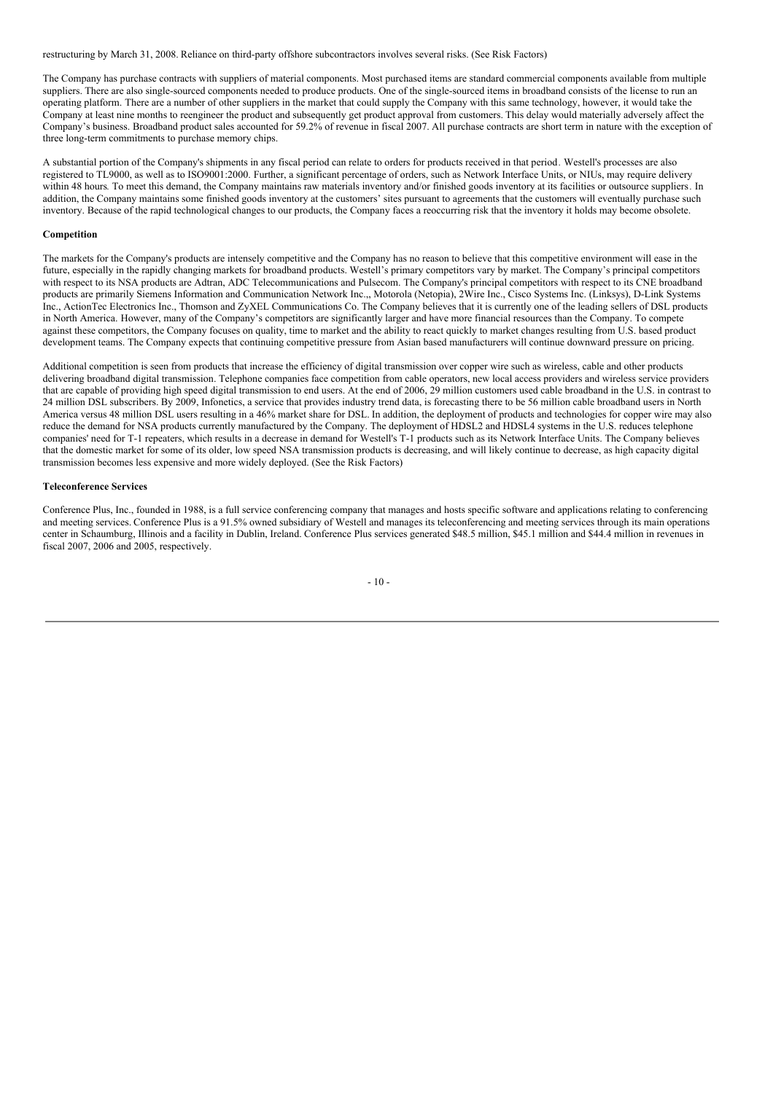restructuring by March 31, 2008. Reliance on third-party offshore subcontractors involves several risks. (See Risk Factors)

The Company has purchase contracts with suppliers of material components. Most purchased items are standard commercial components available from multiple suppliers. There are also single-sourced components needed to produce products. One of the single-sourced items in broadband consists of the license to run an operating platform. There are a number of other suppliers in the market that could supply the Company with this same technology, however, it would take the Company at least nine months to reengineer the product and subsequently get product approval from customers. This delay would materially adversely affect the Company's business. Broadband product sales accounted for 59.2% of revenue in fiscal 2007. All purchase contracts are short term in nature with the exception of three long-term commitments to purchase memory chips.

A substantial portion of the Company's shipments in any fiscal period can relate to orders for products received in that period*.* Westell's processes are also registered to TL9000, as well as to ISO9001:2000. Further, a significant percentage of orders, such as Network Interface Units, or NIUs, may require delivery within 48 hours. To meet this demand, the Company maintains raw materials inventory and/or finished goods inventory at its facilities or outsource suppliers. In addition, the Company maintains some finished goods inventory at the customers' sites pursuant to agreements that the customers will eventually purchase such inventory. Because of the rapid technological changes to our products, the Company faces a reoccurring risk that the inventory it holds may become obsolete.

#### **Competition**

The markets for the Company's products are intensely competitive and the Company has no reason to believe that this competitive environment will ease in the future, especially in the rapidly changing markets for broadband products. Westell's primary competitors vary by market. The Company's principal competitors with respect to its NSA products are Adtran, ADC Telecommunications and Pulsecom. The Company's principal competitors with respect to its CNE broadband products are primarily Siemens Information and Communication Network Inc.,, Motorola (Netopia), 2Wire Inc., Cisco Systems Inc. (Linksys), D-Link Systems Inc., ActionTec Electronics Inc., Thomson and ZyXEL Communications Co. The Company believes that it is currently one of the leading sellers of DSL products in North America. However, many of the Company's competitors are significantly larger and have more financial resources than the Company. To compete against these competitors, the Company focuses on quality, time to market and the ability to react quickly to market changes resulting from U.S. based product development teams. The Company expects that continuing competitive pressure from Asian based manufacturers will continue downward pressure on pricing.

Additional competition is seen from products that increase the efficiency of digital transmission over copper wire such as wireless, cable and other products delivering broadband digital transmission. Telephone companies face competition from cable operators, new local access providers and wireless service providers that are capable of providing high speed digital transmission to end users. At the end of 2006, 29 million customers used cable broadband in the U.S. in contrast to 24 million DSL subscribers. By 2009, Infonetics, a service that provides industry trend data, is forecasting there to be 56 million cable broadband users in North America versus 48 million DSL users resulting in a 46% market share for DSL. In addition, the deployment of products and technologies for copper wire may also reduce the demand for NSA products currently manufactured by the Company. The deployment of HDSL2 and HDSL4 systems in the U.S. reduces telephone companies' need for T-1 repeaters, which results in a decrease in demand for Westell's T-1 products such as its Network Interface Units. The Company believes that the domestic market for some of its older, low speed NSA transmission products is decreasing, and will likely continue to decrease, as high capacity digital transmission becomes less expensive and more widely deployed. (See the Risk Factors)

#### **Teleconference Services**

Conference Plus, Inc., founded in 1988, is a full service conferencing company that manages and hosts specific software and applications relating to conferencing and meeting services. Conference Plus is a 91.5% owned subsidiary of Westell and manages its teleconferencing and meeting services through its main operations center in Schaumburg, Illinois and a facility in Dublin, Ireland. Conference Plus services generated \$48.5 million, \$45.1 million and \$44.4 million in revenues in fiscal 2007, 2006 and 2005, respectively.

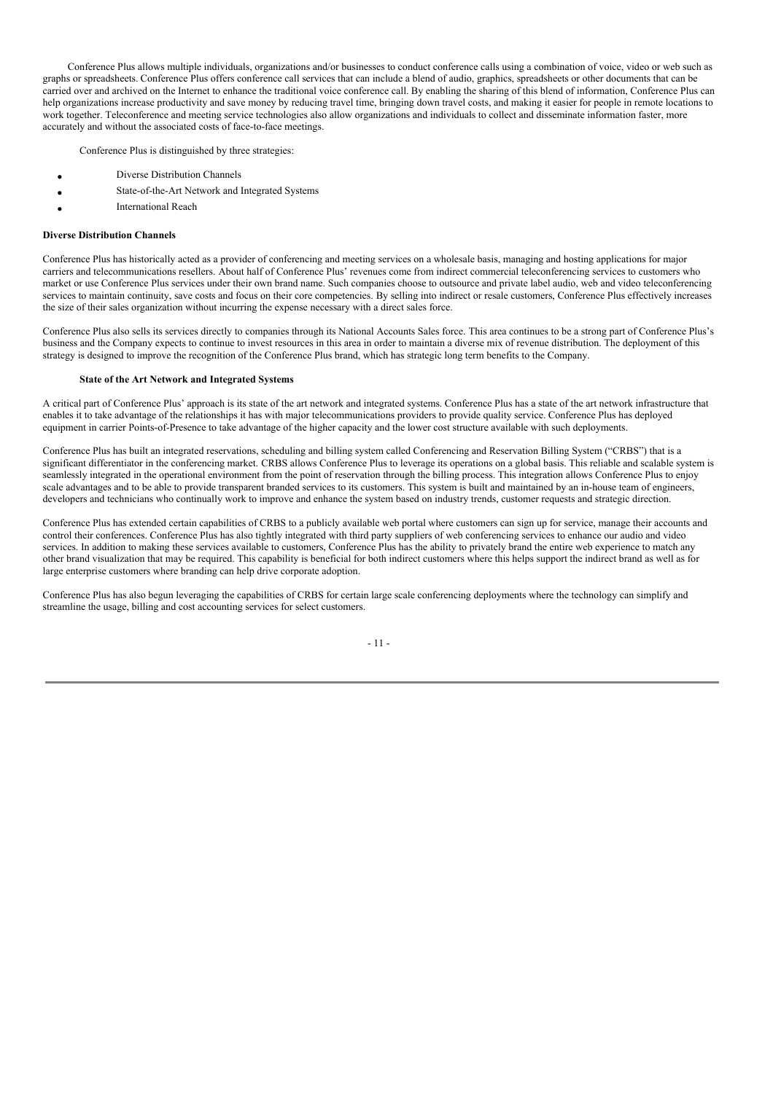Conference Plus allows multiple individuals, organizations and/or businesses to conduct conference calls using a combination of voice, video or web such as graphs or spreadsheets. Conference Plus offers conference call services that can include a blend of audio, graphics, spreadsheets or other documents that can be carried over and archived on the Internet to enhance the traditional voice conference call. By enabling the sharing of this blend of information, Conference Plus can help organizations increase productivity and save money by reducing travel time, bringing down travel costs, and making it easier for people in remote locations to work together. Teleconference and meeting service technologies also allow organizations and individuals to collect and disseminate information faster, more accurately and without the associated costs of face-to-face meetings.

Conference Plus is distinguished by three strategies:

- **•** Diverse Distribution Channels
- **•** State-of-the-Art Network and Integrated Systems
- **•** International Reach

#### **Diverse Distribution Channels**

Conference Plus has historically acted as a provider of conferencing and meeting services on a wholesale basis, managing and hosting applications for major carriers and telecommunications resellers. About half of Conference Plus' revenues come from indirect commercial teleconferencing services to customers who market or use Conference Plus services under their own brand name. Such companies choose to outsource and private label audio, web and video teleconferencing services to maintain continuity, save costs and focus on their core competencies. By selling into indirect or resale customers, Conference Plus effectively increases the size of their sales organization without incurring the expense necessary with a direct sales force.

Conference Plus also sells its services directly to companies through its National Accounts Sales force. This area continues to be a strong part of Conference Plus's business and the Company expects to continue to invest resources in this area in order to maintain a diverse mix of revenue distribution. The deployment of this strategy is designed to improve the recognition of the Conference Plus brand, which has strategic long term benefits to the Company.

#### **State of the Art Network and Integrated Systems**

A critical part of Conference Plus' approach is its state of the art network and integrated systems. Conference Plus has a state of the art network infrastructure that enables it to take advantage of the relationships it has with major telecommunications providers to provide quality service. Conference Plus has deployed equipment in carrier Points-of-Presence to take advantage of the higher capacity and the lower cost structure available with such deployments.

Conference Plus has built an integrated reservations, scheduling and billing system called Conferencing and Reservation Billing System ("CRBS") that is a significant differentiator in the conferencing market. CRBS allows Conference Plus to leverage its operations on a global basis. This reliable and scalable system is seamlessly integrated in the operational environment from the point of reservation through the billing process. This integration allows Conference Plus to enjoy seamlessly integrated in the operational environment from the scale advantages and to be able to provide transparent branded services to its customers. This system is built and maintained by an in-house team of engineers, developers and technicians who continually work to improve and enhance the system based on industry trends, customer requests and strategic direction.

Conference Plus has extended certain capabilities of CRBS to a publicly available web portal where customers can sign up for service, manage their accounts and control their conferences. Conference Plus has also tightly integrated with third party suppliers of web conferencing services to enhance our audio and video services. In addition to making these services available to customers, Conference Plus has the ability to privately brand the entire web experience to match any other brand visualization that may be required. This capability is beneficial for both indirect customers where this helps support the indirect brand as well as for large enterprise customers where branding can help drive corporate adoption.

Conference Plus has also begun leveraging the capabilities of CRBS for certain large scale conferencing deployments where the technology can simplify and streamline the usage, billing and cost accounting services for select customers.

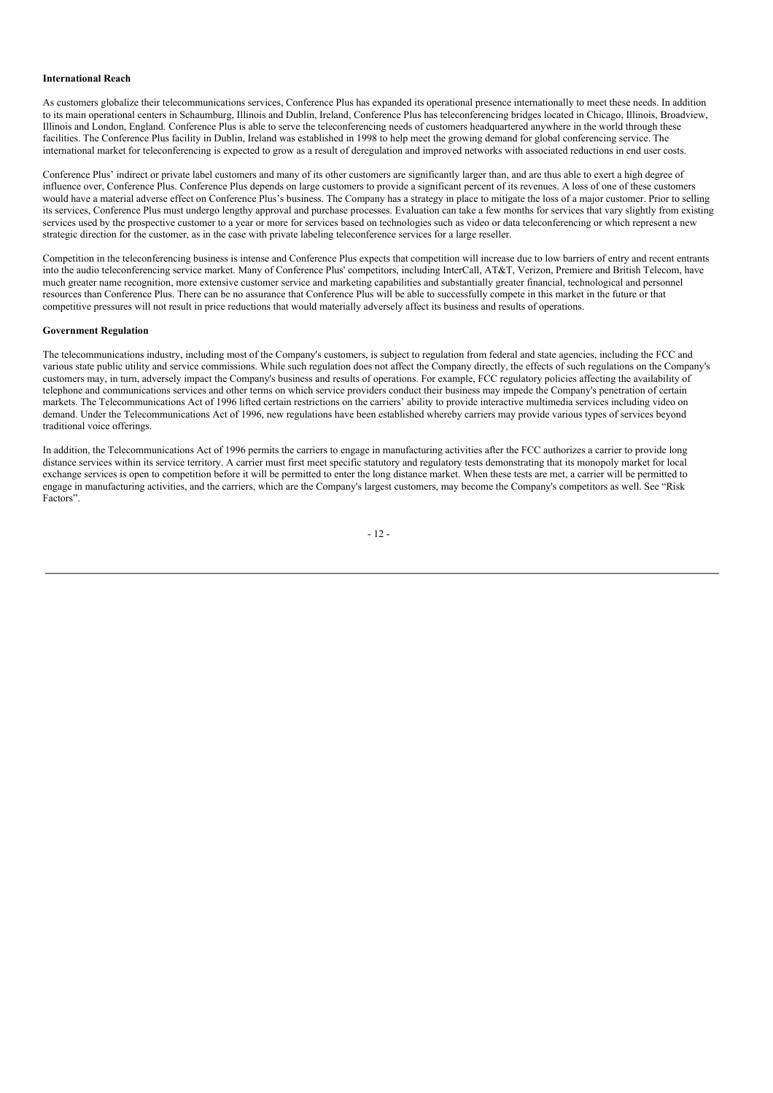#### **International Reach**

As customers globalize their telecommunications services, Conference Plus has expanded its operational presence internationally to meet these needs. In addition to its main operational centers in Schaumburg, Illinois and Dublin, Ireland, Conference Plus has teleconferencing bridges located in Chicago, Illinois, Broadview, Illinois and London, England. Conference Plus is able to serve the teleconferencing needs of customers headquartered anywhere in the world through these facilities. The Conference Plus facility in Dublin, Ireland was established in 1998 to help meet the growing demand for global conferencing service. The international market for teleconferencing is expected to grow as a result of deregulation and improved networks with associated reductions in end user costs.

Conference Plus' indirect or private label customers and many of its other customers are significantly larger than, and are thus able to exert a high degree of influence over, Conference Plus. Conference Plus depends on large customers to provide a significant percent of its revenues. A loss of one of these customers would have a material adverse effect on Conference Plus's business. The Company has a strategy in place to mitigate the loss of a major customer. Prior to selling its services, Conference Plus must undergo lengthy approval and purchase processes. Evaluation can take a few months for services that vary slightly from existing services used by the prospective customer to a year or more for services based on technologies such as video or data teleconferencing or which represent a new strategic direction for the customer, as in the case with private labeling teleconference services for a large reseller.

Competition in the teleconferencing business is intense and Conference Plus expects that competition will increase due to low barriers of entry and recent entrants into the audio teleconferencing service market. Many of Conference Plus' competitors, including InterCall, AT&T, Verizon, Premiere and British Telecom, have much greater name recognition, more extensive customer service and marketing capabilities and substantially greater financial, technological and personnel resources than Conference Plus. There can be no assurance that Conference Plus will be able to successfully compete in this market in the future or that competitive pressures will not result in price reductions that would materially adversely affect its business and results of operations.

#### **Government Regulation**

The telecommunications industry, including most of the Company's customers, is subject to regulation from federal and state agencies, including the FCC and various state public utility and service commissions. While such regulation does not affect the Company directly, the effects of such regulations on the Company's customers may, in turn, adversely impact the Company's business and results of operations. For example, FCC regulatory policies affecting the availability of telephone and communications services and other terms on which service providers conduct their business may impede the Company's penetration of certain markets. The Telecommunications Act of 1996 lifted certain restrictions on the carriers' ability to provide interactive multimedia services including video on markets. The Telecommunications Act of 1996 lifted certain rest demand. Under the Telecommunications Act of 1996, new regulations have been established whereby carriers may provide various types of services beyond traditional voice offerings.

In addition, the Telecommunications Act of 1996 permits the carriers to engage in manufacturing activities after the FCC authorizes a carrier to provide long distance services within its service territory. A carrier must first meet specific statutory and regulatory tests demonstrating that its monopoly market for local exchange services is open to competition before it will be permitted to enter the long distance market. When these tests are met, a carrier will be permitted to engage in manufacturing activities, and the carriers, which are the Company's largest customers, may become the Company's competitors as well. See "Risk Factors".

 $-12-$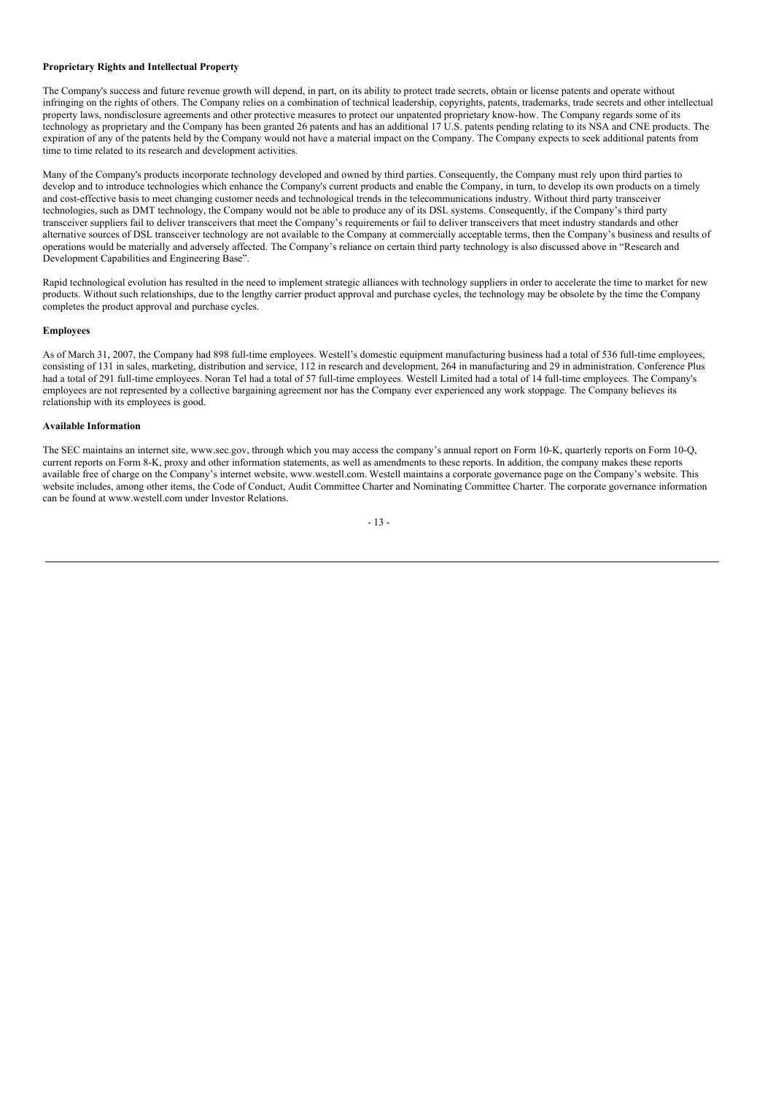## **Proprietary Rights and Intellectual Property**

The Company's success and future revenue growth will depend, in part, on its ability to protect trade secrets, obtain or license patents and operate without infringing on the rights of others. The Company relies on a combination of technical leadership, copyrights, patents, trademarks, trade secrets and other intellectual property laws, nondisclosure agreements and other protective measures to protect our unpatented proprietary know-how. The Company regards some of its technology as proprietary and the Company has been granted 26 patents and has an additional 17 U.S. patents pending relating to its NSA and CNE products. The expiration of any of the patents held by the Company would not have a material impact on the Company. The Company expects to seek additional patents from time to time related to its research and development activities.

Many of the Company's products incorporate technology developed and owned by third parties. Consequently, the Company must rely upon third parties to develop and to introduce technologies which enhance the Company's current products and enable the Company, in turn, to develop its own products on a timely and cost-effective basis to meet changing customer needs and technological trends in the telecommunications industry. Without third party transceiver technologies, such as DMT technology, the Company would not be able to produce any of its DSL systems. Consequently, if the Company's third party transceiver suppliers fail to deliver transceivers that meet the Company's requirements or fail to deliver transceivers that meet industry standards and other alternative sources of DSL transceiver technology are not available to the Company at commercially acceptable terms, then the Company's business and results of operations would be materially and adversely affected. The Company's reliance on certain third party technology is also discussed above in "Research and Development Capabilities and Engineering Base".

Rapid technological evolution has resulted in the need to implement strategic alliances with technology suppliers in order to accelerate the time to market for new products. Without such relationships, due to the lengthy carrier product approval and purchase cycles, the technology may be obsolete by the time the Company completes the product approval and purchase cycles.

#### **Employees**

As of March 31, 2007, the Company had 898 full-time employees. Westell's domestic equipment manufacturing business had a total of 536 full-time employees, consisting of 131 in sales, marketing, distribution and service, 112 in research and development, 264 in manufacturing and 29 in administration. Conference Plus had a total of 291 full-time employees. Noran Tel had a total of 57 full-time employees. Westell Limited had a total of 14 full-time employees. The Company's employees are not represented by a collective bargaining agreement nor has the Company ever experienced any work stoppage. The Company believes its relationship with its employees is good.

#### **Available Information**

The SEC maintains an internet site, www.sec.gov, through which you may access the company's annual report on Form 10-K, quarterly reports on Form 10-Q, current reports on Form 8-K, proxy and other information statements, as well as amendments to these reports. In addition, the company makes these reports available free of charge on the Company's internet website, www.westell.com. Westell maintains a corporate governance page on the Company's website. This website includes, among other items, the Code of Conduct, Audit Committee Charter and Nominating Committee Charter. The corporate governance information can be found at www.westell.com under Investor Relations.

## - 13 -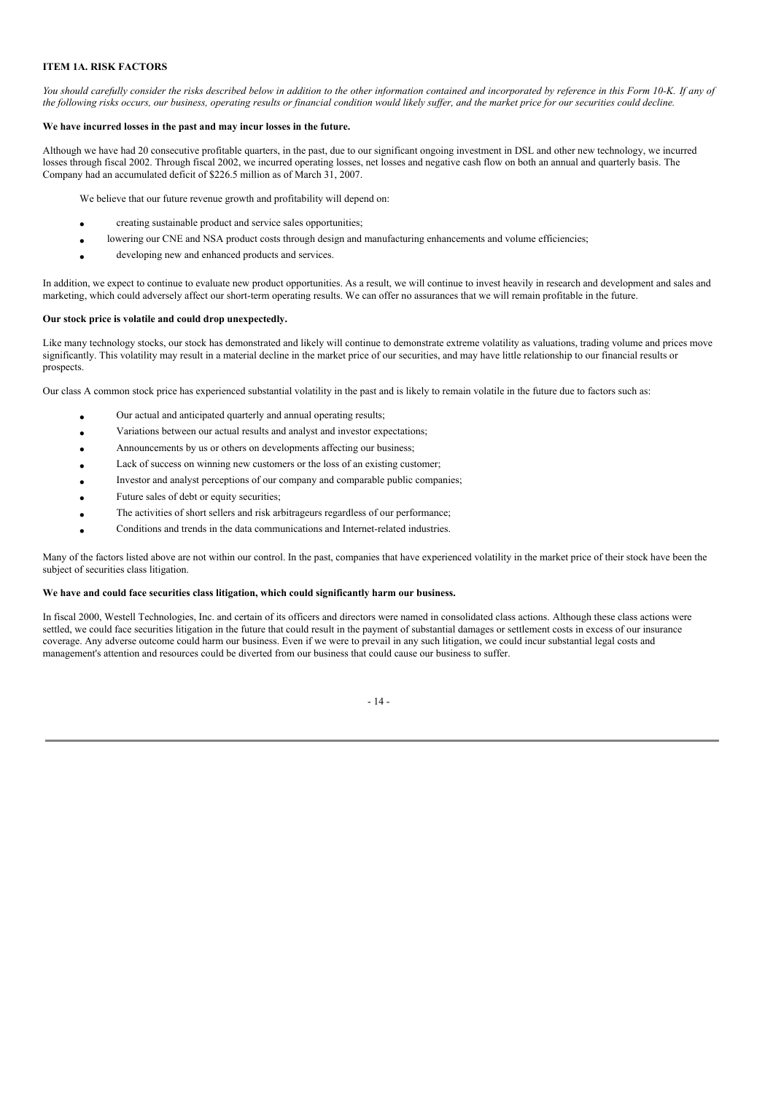## **ITEM 1A. RISK FACTORS**

You should carefully consider the risks described below in addition to the other information contained and incorporated by reference in this Form 10-K. If any of the following risks occurs, our business, operating results or financial condition would likely suffer, and the market price for our securities could decline.

## **We have incurred losses in the past and may incur losses in the future.**

Although we have had 20 consecutive profitable quarters, in the past, due to our significant ongoing investment in DSL and other new technology, we incurred losses through fiscal 2002. Through fiscal 2002, we incurred operating losses, net losses and negative cash flow on both an annual and quarterly basis. The Company had an accumulated deficit of \$226.5 million as of March 31, 2007.

We believe that our future revenue growth and profitability will depend on:

- **•** creating sustainable product and service sales opportunities;
- **•** lowering our CNE and NSA product costs through design and manufacturing enhancements and volume efficiencies;
- **•** developing new and enhanced products and services.

In addition, we expect to continue to evaluate new product opportunities. As a result, we will continue to invest heavily in research and development and sales and marketing, which could adversely affect our short-term operating results. We can offer no assurances that we will remain profitable in the future.

#### **Our stock price is volatile and could drop unexpectedly.**

Like many technology stocks, our stock has demonstrated and likely will continue to demonstrate extreme volatility as valuations, trading volume and prices move significantly. This volatility may result in a material decline in the market price of our securities, and may have little relationship to our financial results or prospects.

Our class A common stock price has experienced substantial volatility in the past and is likely to remain volatile in the future due to factors such as:

- **•** Our actual and anticipated quarterly and annual operating results;
- **•** Variations between our actual results and analyst and investor expectations;
- **•** Announcements by us or others on developments affecting our business;
- Lack of success on winning new customers or the loss of an existing customer:
- **•** Investor and analyst perceptions of our company and comparable public companies;
- **•** Future sales of debt or equity securities;
- **•** The activities of short sellers and risk arbitrageurs regardless of our performance;
- **•** Conditions and trends in the data communications and Internet-related industries.

Many of the factors listed above are not within our control. In the past, companies that have experienced volatility in the market price of their stock have been the subject of securities class litigation.

#### **We have and could face securities class litigation, which could significantly harm our business.**

In fiscal 2000, Westell Technologies, Inc. and certain of its officers and directors were named in consolidated class actions. Although these class actions were settled, we could face securities litigation in the future that could result in the payment of substantial damages or settlement costs in excess of our insurance coverage. Any adverse outcome could harm our business. Even if we were to prevail in any such litigation, we could incur substantial legal costs and management's attention and resources could be diverted from our business that could cause our business to suffer.

 $-14-$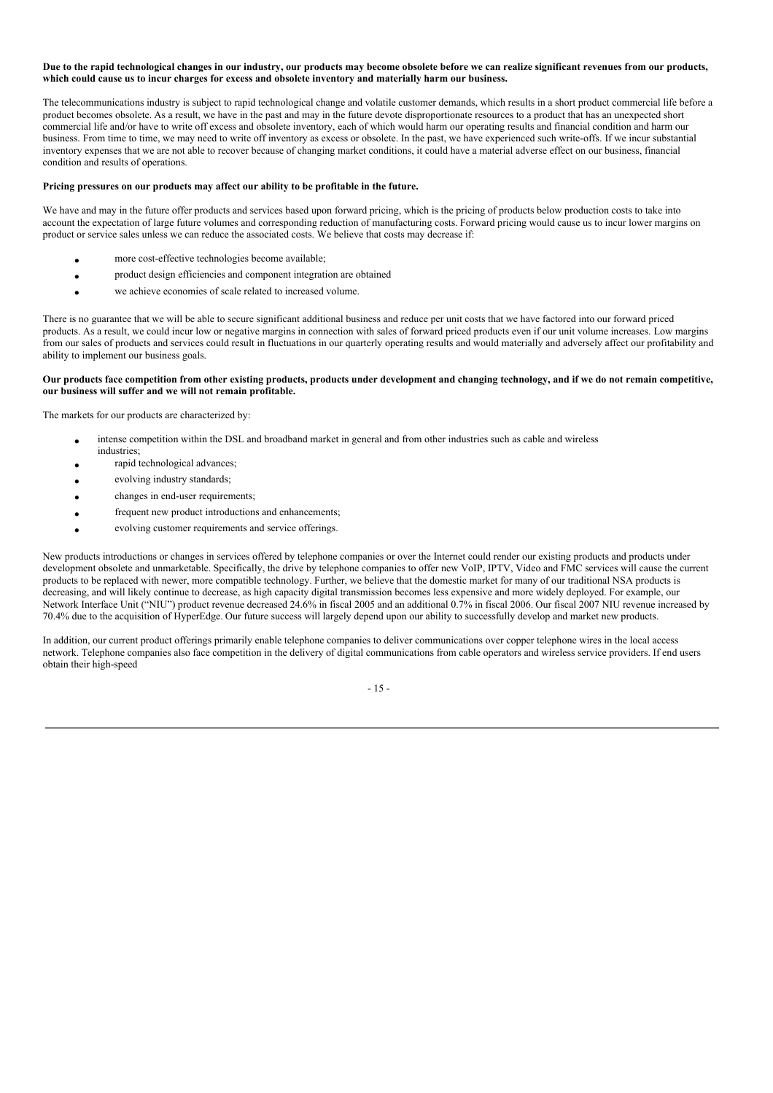#### Due to the rapid technological changes in our industry, our products may become obsolete before we can realize significant revenues from our products. **which could cause us to incur charges for excess and obsolete inventory and materially harm our business.**

The telecommunications industry is subject to rapid technological change and volatile customer demands, which results in a short product commercial life before a product becomes obsolete. As a result, we have in the past and may in the future devote disproportionate resources to a product that has an unexpected short commercial life and/or have to write off excess and obsolete inventory, each of which would harm our operating results and financial condition and harm our business. From time to time, we may need to write off inventory as excess or obsolete. In the past, we have experienced such write-offs. If we incur substantial inventory expenses that we are not able to recover because of changing market conditions, it could have a material adverse effect on our business, financial condition and results of operations.

#### **Pricing pressures on our products may affect our ability to be profitable in the future.**

We have and may in the future offer products and services based upon forward pricing, which is the pricing of products below production costs to take into account the expectation of large future volumes and corresponding reduction of manufacturing costs. Forward pricing would cause us to incur lower margins on product or service sales unless we can reduce the associated costs. We believe that costs may decrease if:

- **•** more cost-effective technologies become available;
- **•** product design efficiencies and component integration are obtained
- **•** we achieve economies of scale related to increased volume.

There is no guarantee that we will be able to secure significant additional business and reduce per unit costs that we have factored into our forward priced products. As a result, we could incur low or negative margins in connection with sales of forward priced products even if our unit volume increases. Low margins from our sales of products and services could result in fluctuations in our quarterly operating results and would materially and adversely affect our profitability and ability to implement our business goals.

#### Our products face competition from other existing products, products under development and changing technology, and if we do not remain competitive, **our business will suffer and we will not remain profitable.**

The markets for our products are characterized by:

- **•** intense competition within the DSL and broadband market in general and from other industries such as cable and wireless
- industries; **•** rapid technological advances;
- **•** evolving industry standards;
- **•** changes in end-user requirements;
- **•** frequent new product introductions and enhancements;
- **•** evolving customer requirements and service offerings.

New products introductions or changes in services offered by telephone companies or over the Internet could render our existing products and products under development obsolete and unmarketable. Specifically, the drive by telephone companies to offer new VoIP, IPTV, Video and FMC services will cause the current products to be replaced with newer, more compatible technology. Further, we believe that the domestic market for many of our traditional NSA products is decreasing, and will likely continue to decrease, as high capacity digital transmission becomes less expensive and more widely deployed. For example, our Network Interface Unit ("NIU") product revenue decreased 24.6% in fiscal 2005 and an additional 0.7% in fiscal 2006. Our fiscal 2007 NIU revenue increased by 70.4% due to the acquisition of HyperEdge. Our future success will largely depend upon our ability to successfully develop and market new products.

In addition, our current product offerings primarily enable telephone companies to deliver communications over copper telephone wires in the local access network. Telephone companies also face competition in the delivery of digital communications from cable operators and wireless service providers. If end users obtain their high-speed

- 15 -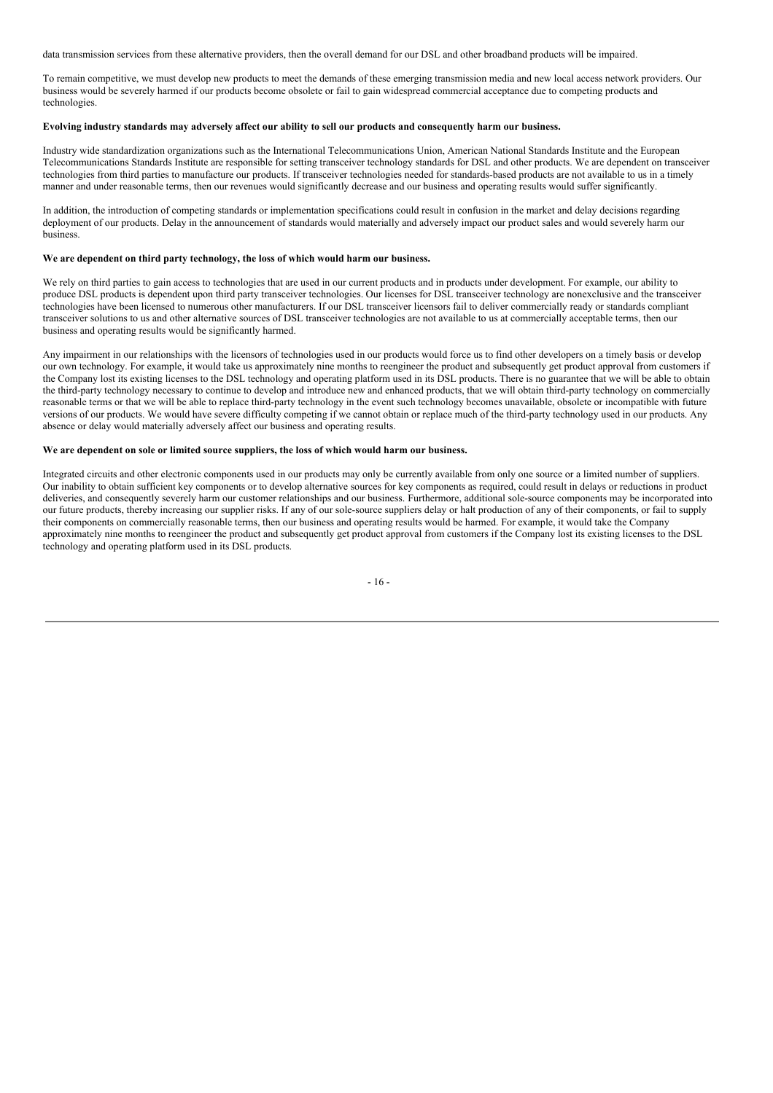data transmission services from these alternative providers, then the overall demand for our DSL and other broadband products will be impaired.

To remain competitive, we must develop new products to meet the demands of these emerging transmission media and new local access network providers. Our business would be severely harmed if our products become obsolete or fail to gain widespread commercial acceptance due to competing products and technologies.

#### Evolving industry standards may adversely affect our ability to sell our products and consequently harm our business.

Industry wide standardization organizations such as the International Telecommunications Union, American National Standards Institute and the European Telecommunications Standards Institute are responsible for setting transceiver technology standards for DSL and other products. We are dependent on transceiver technologies from third parties to manufacture our products. If transceiver technologies needed for standards-based products are not available to us in a timely manner and under reasonable terms, then our revenues would significantly decrease and our business and operating results would suffer significantly.

In addition, the introduction of competing standards or implementation specifications could result in confusion in the market and delay decisions regarding deployment of our products. Delay in the announcement of standards would materially and adversely impact our product sales and would severely harm our business.

#### **We are dependent on third party technology, the loss of which would harm our business.**

We rely on third parties to gain access to technologies that are used in our current products and in products under development. For example, our ability to produce DSL products is dependent upon third party transceiver technologies. Our licenses for DSL transceiver technology are nonexclusive and the transceiver technologies have been licensed to numerous other manufacturers. If our DSL transceiver licensors fail to deliver commercially ready or standards compliant transceiver solutions to us and other alternative sources of DSL transceiver technologies are not available to us at commercially acceptable terms, then our business and operating results would be significantly harmed.

Any impairment in our relationships with the licensors of technologies used in our products would force us to find other developers on a timely basis or develop our own technology. For example, it would take us approximately nine months to reengineer the product and subsequently get product approval from customers if the Company lost its existing licenses to the DSL technology and operating platform used in its DSL products. There is no guarantee that we will be able to obtain the third-party technology necessary to continue to develop and introduce new and enhanced products, that we will obtain third-party technology on commercially reasonable terms or that we will be able to replace third-party technology in the event such technology becomes unavailable, obsolete or incompatible with future versions of our products. We would have severe difficulty competing if we cannot obtain or replace much of the third-party technology used in our products. Any absence or delay would materially adversely affect our business and operating results.

#### **We are dependent on sole or limited source suppliers, the loss of which would harm our business.**

Integrated circuits and other electronic components used in our products may only be currently available from only one source or a limited number of suppliers. Our inability to obtain sufficient key components or to develop alternative sources for key components as required, could result in delays or reductions in product deliveries, and consequently severely harm our customer relationships and our business. Furthermore, additional sole-source components may be incorporated into our future products, thereby increasing our supplier risks. If any of our sole-source suppliers delay or halt production of any of their components, or fail to supply their components on commercially reasonable terms, then our business and operating results would be harmed. For example, it would take the Company approximately nine months to reengineer the product and subsequently get product approval from customers if the Company lost its existing licenses to the DSL technology and operating platform used in its DSL products.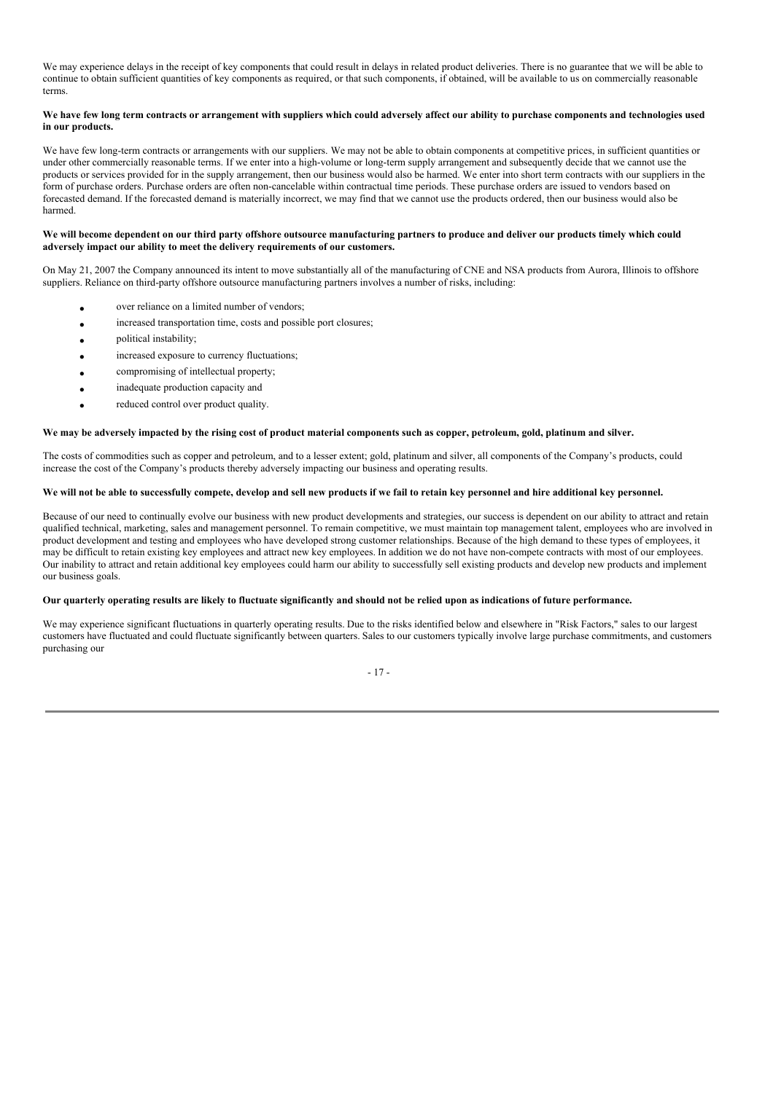We may experience delays in the receipt of key components that could result in delays in related product deliveries. There is no guarantee that we will be able to continue to obtain sufficient quantities of key components as required, or that such components, if obtained, will be available to us on commercially reasonable terms.

## We have few long term contracts or arrangement with suppliers which could adversely affect our ability to purchase components and technologies used **in our products.**

We have few long-term contracts or arrangements with our suppliers. We may not be able to obtain components at competitive prices, in sufficient quantities or under other commercially reasonable terms. If we enter into a high-volume or long-term supply arrangement and subsequently decide that we cannot use the products or services provided for in the supply arrangement, then our business would also be harmed. We enter into short term contracts with our suppliers in the form of purchase orders. Purchase orders are often non-cancelable within contractual time periods. These purchase orders are issued to vendors based on forecasted demand. If the forecasted demand is materially incorrect, we may find that we cannot use the products ordered, then our business would also be harmed.

### We will become dependent on our third party offshore outsource manufacturing partners to produce and deliver our products timely which could **adversely impact our ability to meet the delivery requirements of our customers.**

On May 21, 2007 the Company announced its intent to move substantially all of the manufacturing of CNE and NSA products from Aurora, Illinois to offshore suppliers. Reliance on third-party offshore outsource manufacturing partners involves a number of risks, including:

- **•** over reliance on a limited number of vendors;
- **•** increased transportation time, costs and possible port closures;
- **•** political instability;
- **•** increased exposure to currency fluctuations;
- **•** compromising of intellectual property;
- **•** inadequate production capacity and
- **•** reduced control over product quality.

#### We may be adversely impacted by the rising cost of product material components such as copper, petroleum, gold, platinum and silver.

The costs of commodities such as copper and petroleum, and to a lesser extent; gold, platinum and silver, all components of the Company's products, could increase the cost of the Company's products thereby adversely impacting our business and operating results.

## We will not be able to successfully compete, develop and sell new products if we fail to retain key personnel and hire additional key personnel.

Because of our need to continually evolve our business with new product developments and strategies, our success is dependent on our ability to attract and retain qualified technical, marketing, sales and management personnel. To remain competitive, we must maintain top management talent, employees who are involved in product development and testing and employees who have developed strong customer relationships. Because of the high demand to these types of employees, it may be difficult to retain existing key employees and attract new key employees. In addition we do not have non-compete contracts with most of our employees. Our inability to attract and retain additional key employees could harm our ability to successfully sell existing products and develop new products and implement our business goals.

#### Our quarterly operating results are likely to fluctuate significantly and should not be relied upon as indications of future performance.

We may experience significant fluctuations in quarterly operating results. Due to the risks identified below and elsewhere in "Risk Factors," sales to our largest customers have fluctuated and could fluctuate significantly between quarters. Sales to our customers typically involve large purchase commitments, and customers purchasing our

- 17 -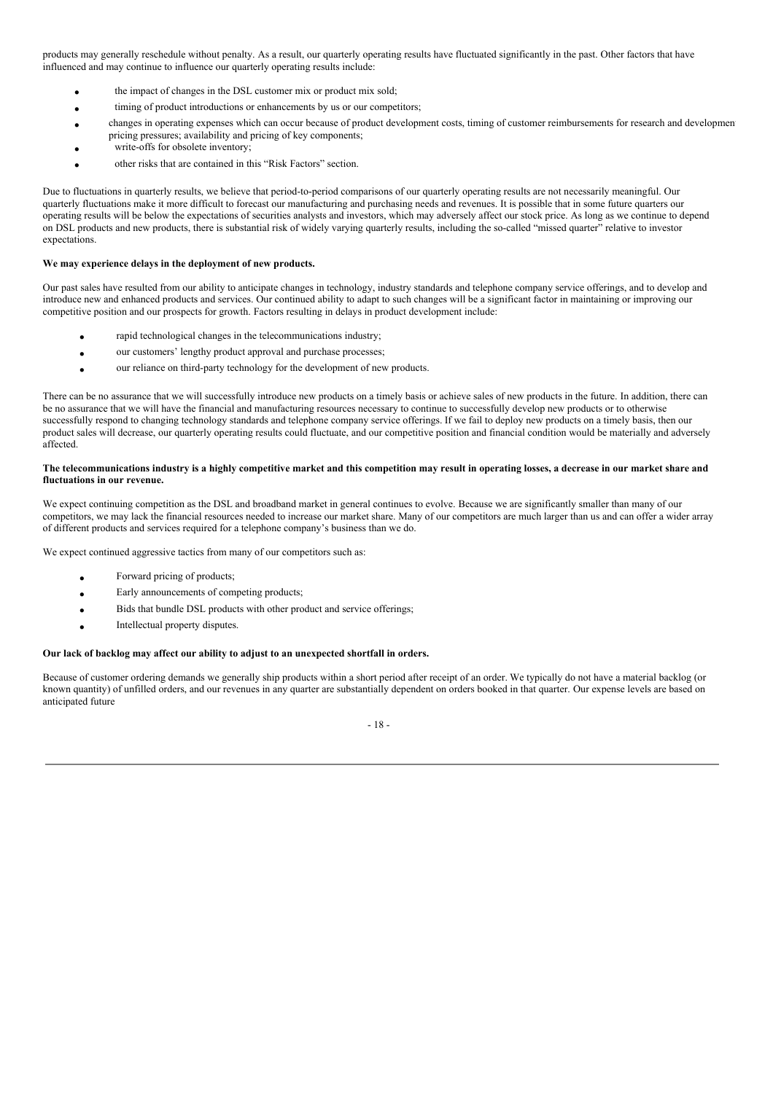products may generally reschedule without penalty. As a result, our quarterly operating results have fluctuated significantly in the past. Other factors that have influenced and may continue to influence our quarterly operating results include:

- **•** the impact of changes in the DSL customer mix or product mix sold;
- **•** timing of product introductions or enhancements by us or our competitors;
- **•** changes in operating expenses which can occur because of product development costs, timing of customer reimbursements for research and development, pricing pressures; availability and pricing of key components;
- **•** write-offs for obsolete inventory;
- **•** other risks that are contained in this "Risk Factors" section.

Due to fluctuations in quarterly results, we believe that period-to-period comparisons of our quarterly operating results are not necessarily meaningful. Our quarterly fluctuations make it more difficult to forecast our manufacturing and purchasing needs and revenues. It is possible that in some future quarters our operating results will be below the expectations of securities analysts and investors, which may adversely affect our stock price. As long as we continue to depend on DSL products and new products, there is substantial risk of widely varying quarterly results, including the so-called "missed quarter" relative to investor expectations.

## **We may experience delays in the deployment of new products.**

Our past sales have resulted from our ability to anticipate changes in technology, industry standards and telephone company service offerings, and to develop and introduce new and enhanced products and services. Our continued ability to adapt to such changes will be a significant factor in maintaining or improving our competitive position and our prospects for growth. Factors resulting in delays in product development include:

- **•** rapid technological changes in the telecommunications industry;
- our customers' lengthy product approval and purchase processes;
- **•** our reliance on third-party technology for the development of new products.

There can be no assurance that we will successfully introduce new products on a timely basis or achieve sales of new products in the future. In addition, there can be no assurance that we will have the financial and manufacturing resources necessary to continue to successfully develop new products or to otherwise successfully respond to changing technology standards and telephone company service offerings. If we fail to deploy new products on a timely basis, then our product sales will decrease, our quarterly operating results could fluctuate, and our competitive position and financial condition would be materially and adversely affected.

#### The telecommunications industry is a highly competitive market and this competition may result in operating losses, a decrease in our market share and **fluctuations in our revenue.**

We expect continuing competition as the DSL and broadband market in general continues to evolve. Because we are significantly smaller than many of our competitors, we may lack the financial resources needed to increase our market share. Many of our competitors are much larger than us and can offer a wider array of different products and services required for a telephone company's business than we do.

We expect continued aggressive tactics from many of our competitors such as:

- **•** Forward pricing of products;
- **•** Early announcements of competing products;
- **•** Bids that bundle DSL products with other product and service offerings;
- **•** Intellectual property disputes.

#### **Our lack of backlog may affect our ability to adjust to an unexpected shortfall in orders.**

Because of customer ordering demands we generally ship products within a short period after receipt of an order. We typically do not have a material backlog (or known quantity) of unfilled orders, and our revenues in any quarter are substantially dependent on orders booked in that quarter. Our expense levels are based on anticipated future

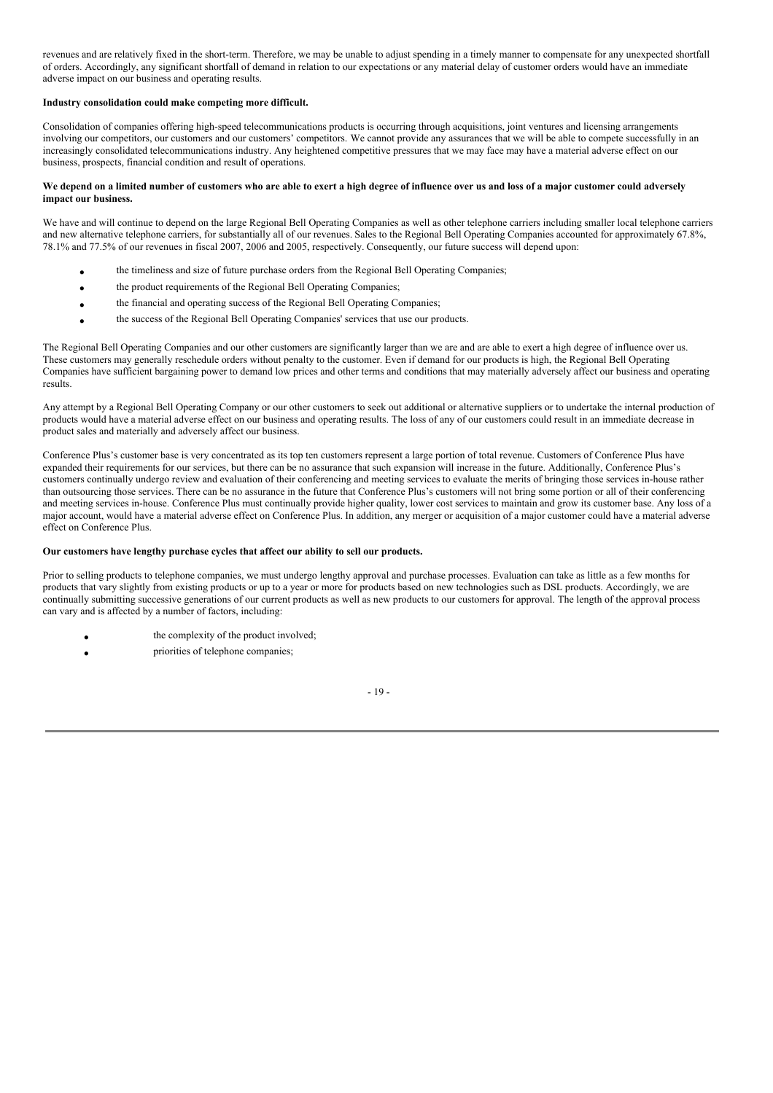revenues and are relatively fixed in the short-term. Therefore, we may be unable to adjust spending in a timely manner to compensate for any unexpected shortfall of orders. Accordingly, any significant shortfall of demand in relation to our expectations or any material delay of customer orders would have an immediate adverse impact on our business and operating results.

#### **Industry consolidation could make competing more difficult.**

Consolidation of companies offering high-speed telecommunications products is occurring through acquisitions, joint ventures and licensing arrangements involving our competitors, our customers and our customers' competitors. We cannot provide any assurances that we will be able to compete successfully in an increasingly consolidated telecommunications industry. Any heightened competitive pressures that we may face may have a material adverse effect on our business, prospects, financial condition and result of operations.

#### We depend on a limited number of customers who are able to exert a high degree of influence over us and loss of a major customer could adversely **impact our business.**

We have and will continue to depend on the large Regional Bell Operating Companies as well as other telephone carriers including smaller local telephone carriers and new alternative telephone carriers, for substantially all of our revenues. Sales to the Regional Bell Operating Companies accounted for approximately 67.8%, 78.1% and 77.5% of our revenues in fiscal 2007, 2006 and 2005, respectively. Consequently, our future success will depend upon:

- **•** the timeliness and size of future purchase orders from the Regional Bell Operating Companies;
- **•** the product requirements of the Regional Bell Operating Companies;
- **•** the financial and operating success of the Regional Bell Operating Companies;
- **•** the success of the Regional Bell Operating Companies' services that use our products.

The Regional Bell Operating Companies and our other customers are significantly larger than we are and are able to exert a high degree of influence over us. These customers may generally reschedule orders without penalty to the customer. Even if demand for our products is high, the Regional Bell Operating Companies have sufficient bargaining power to demand low prices and other terms and conditions that may materially adversely affect our business and operating results.

Any attempt by a Regional Bell Operating Company or our other customers to seek out additional or alternative suppliers or to undertake the internal production of products would have a material adverse effect on our business and operating results. The loss of any of our customers could result in an immediate decrease in product sales and materially and adversely affect our business.

Conference Plus's customer base is very concentrated as its top ten customers represent a large portion of total revenue. Customers of Conference Plus have expanded their requirements for our services, but there can be no assurance that such expansion will increase in the future. Additionally, Conference Plus's customers continually undergo review and evaluation of their conferencing and meeting services to evaluate the merits of bringing those services in-house rather than outsourcing those services. There can be no assurance in the future that Conference Plus's customers will not bring some portion or all of their conferencing and meeting services in-house. Conference Plus must continually provide higher quality, lower cost services to maintain and grow its customer base. Any loss of a major account, would have a material adverse effect on Conference Plus. In addition, any merger or acquisition of a major customer could have a material adverse effect on Conference Plus.

#### **Our customers have lengthy purchase cycles that affect our ability to sell our products.**

Prior to selling products to telephone companies, we must undergo lengthy approval and purchase processes. Evaluation can take as little as a few months for products that vary slightly from existing products or up to a year or more for products based on new technologies such as DSL products. Accordingly, we are continually submitting successive generations of our current products as well as new products to our customers for approval. The length of the approval process can vary and is affected by a number of factors, including:

- **•** the complexity of the product involved;
- **•** priorities of telephone companies;

 $-19-$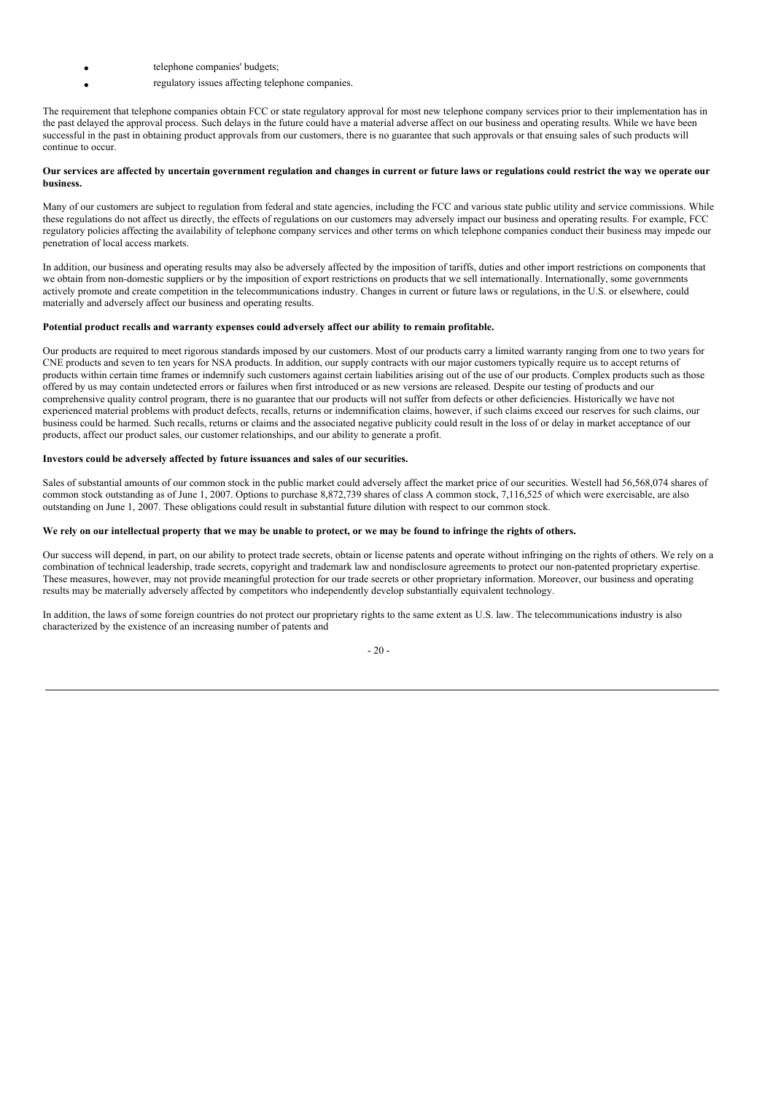- **•** telephone companies' budgets;
- **•** regulatory issues affecting telephone companies.

The requirement that telephone companies obtain FCC or state regulatory approval for most new telephone company services prior to their implementation has in the past delayed the approval process. Such delays in the future could have a material adverse affect on our business and operating results. While we have been successful in the past in obtaining product approvals from our customers, there is no guarantee that such approvals or that ensuing sales of such products will continue to occur.

#### Our services are affected by uncertain government regulation and changes in current or future laws or regulations could restrict the way we operate our **business.**

Many of our customers are subject to regulation from federal and state agencies, including the FCC and various state public utility and service commissions. While these regulations do not affect us directly, the effects of regulations on our customers may adversely impact our business and operating results. For example, FCC regulatory policies affecting the availability of telephone company services and other terms on which telephone companies conduct their business may impede our penetration of local access markets.

In addition, our business and operating results may also be adversely affected by the imposition of tariffs, duties and other import restrictions on components that we obtain from non-domestic suppliers or by the imposition of export restrictions on products that we sell internationally. Internationally, some governments actively promote and create competition in the telecommunications industry. Changes in current or future laws or regulations, in the U.S. or elsewhere, could materially and adversely affect our business and operating results.

#### **Potential product recalls and warranty expenses could adversely affect our ability to remain profitable.**

Our products are required to meet rigorous standards imposed by our customers. Most of our products carry a limited warranty ranging from one to two years for CNE products and seven to ten years for NSA products. In addition, our supply contracts with our major customers typically require us to accept returns of products within certain time frames or indemnify such customers against certain liabilities arising out of the use of our products. Complex products such as those offered by us may contain undetected errors or failures when first introduced or as new versions are released. Despite our testing of products and our comprehensive quality control program, there is no guarantee that our products will not suffer from defects or other deficiencies. Historically we have not experienced material problems with product defects, recalls, returns or indemnification claims, however, if such claims exceed our reserves for such claims, our business could be harmed. Such recalls, returns or claims and the associated negative publicity could result in the loss of or delay in market acceptance of our products, affect our product sales, our customer relationships, and our ability to generate a profit.

## **Investors could be adversely affected by future issuances and sales of our securities.**

Sales of substantial amounts of our common stock in the public market could adversely affect the market price of our securities. Westell had 56,568,074 shares of common stock outstanding as of June 1, 2007. Options to purchase 8,872,739 shares of class A common stock, 7,116,525 of which were exercisable, are also outstanding on June 1, 2007. These obligations could result in substantial future dilution with respect to our common stock.

#### We rely on our intellectual property that we may be unable to protect, or we may be found to infringe the rights of others.

Our success will depend, in part, on our ability to protect trade secrets, obtain or license patents and operate without infringing on the rights of others. We rely on a combination of technical leadership, trade secrets, copyright and trademark law and nondisclosure agreements to protect our non-patented proprietary expertise. These measures, however, may not provide meaningful protection for our trade secrets or other proprietary information. Moreover, our business and operating results may be materially adversely affected by competitors who independently develop substantially equivalent technology.

In addition, the laws of some foreign countries do not protect our proprietary rights to the same extent as U.S. law. The telecommunications industry is also characterized by the existence of an increasing number of patents and

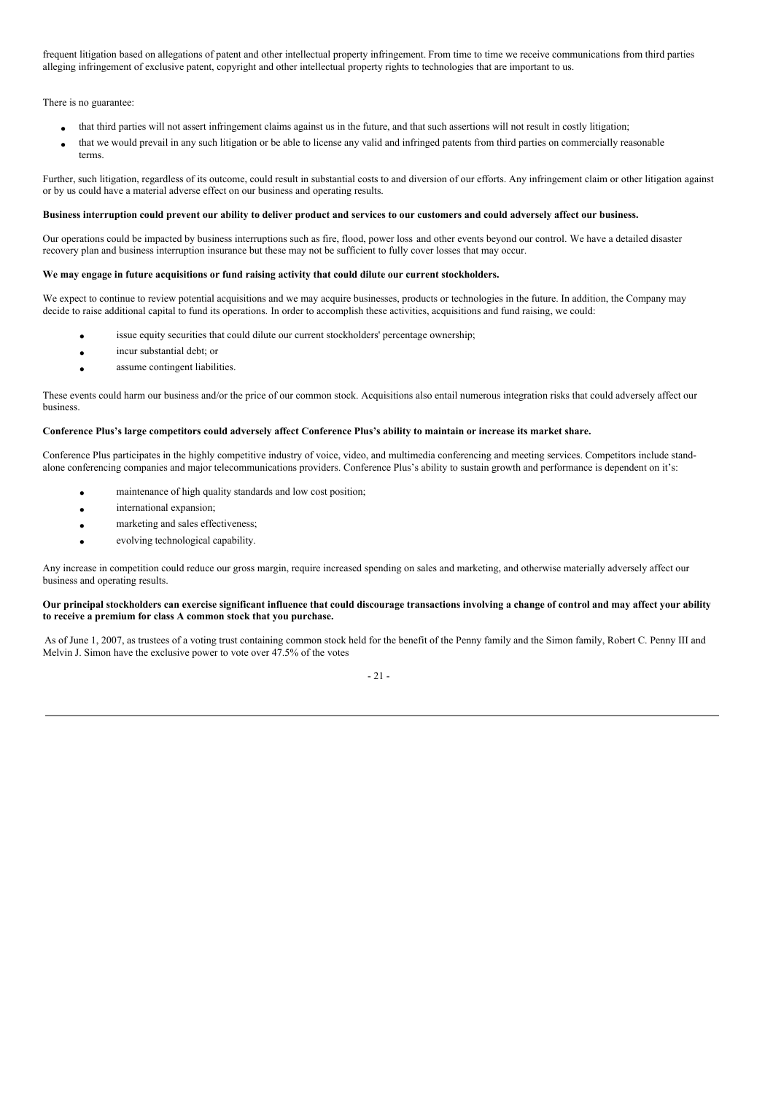frequent litigation based on allegations of patent and other intellectual property infringement. From time to time we receive communications from third parties alleging infringement of exclusive patent, copyright and other intellectual property rights to technologies that are important to us.

There is no guarantee:

- **•** that third parties will not assert infringement claims against us in the future, and that such assertions will not result in costly litigation;
- **•** that we would prevail in any such litigation or be able to license any valid and infringed patents from third parties on commercially reasonable terms.

Further, such litigation, regardless of its outcome, could result in substantial costs to and diversion of our efforts. Any infringement claim or other litigation against or by us could have a material adverse effect on our business and operating results.

#### Business interruption could prevent our ability to deliver product and services to our customers and could adversely affect our business.

Our operations could be impacted by business interruptions such as fire, flood, power loss and other events beyond our control. We have a detailed disaster recovery plan and business interruption insurance but these may not be sufficient to fully cover losses that may occur.

#### **We may engage in future acquisitions or fund raising activity that could dilute our current stockholders.**

We expect to continue to review potential acquisitions and we may acquire businesses, products or technologies in the future. In addition, the Company may decide to raise additional capital to fund its operations. In order to accomplish these activities, acquisitions and fund raising, we could:

- **•** issue equity securities that could dilute our current stockholders' percentage ownership;
- **•** incur substantial debt; or
- **•** assume contingent liabilities.

These events could harm our business and/or the price of our common stock. Acquisitions also entail numerous integration risks that could adversely affect our business.

# Conference Plus's large competitors could adversely affect Conference Plus's ability to maintain or increase its market share.

Conference Plus participates in the highly competitive industry of voice, video, and multimedia conferencing and meeting services. Competitors include standalone conferencing companies and major telecommunications providers. Conference Plus's ability to sustain growth and performance is dependent on it's:

- **•** maintenance of high quality standards and low cost position;
- **•** international expansion;
- **•** marketing and sales effectiveness;
- **•** evolving technological capability.

Any increase in competition could reduce our gross margin, require increased spending on sales and marketing, and otherwise materially adversely affect our business and operating results.

## Our principal stockholders can exercise significant influence that could discourage transactions involving a change of control and may affect your ability **to receive a premium for class A common stock that you purchase.**

As of June 1, 2007, as trustees of a voting trust containing common stock held for the benefit of the Penny family and the Simon family, Robert C. Penny III and Melvin J. Simon have the exclusive power to vote over 47.5% of the votes

- 21 -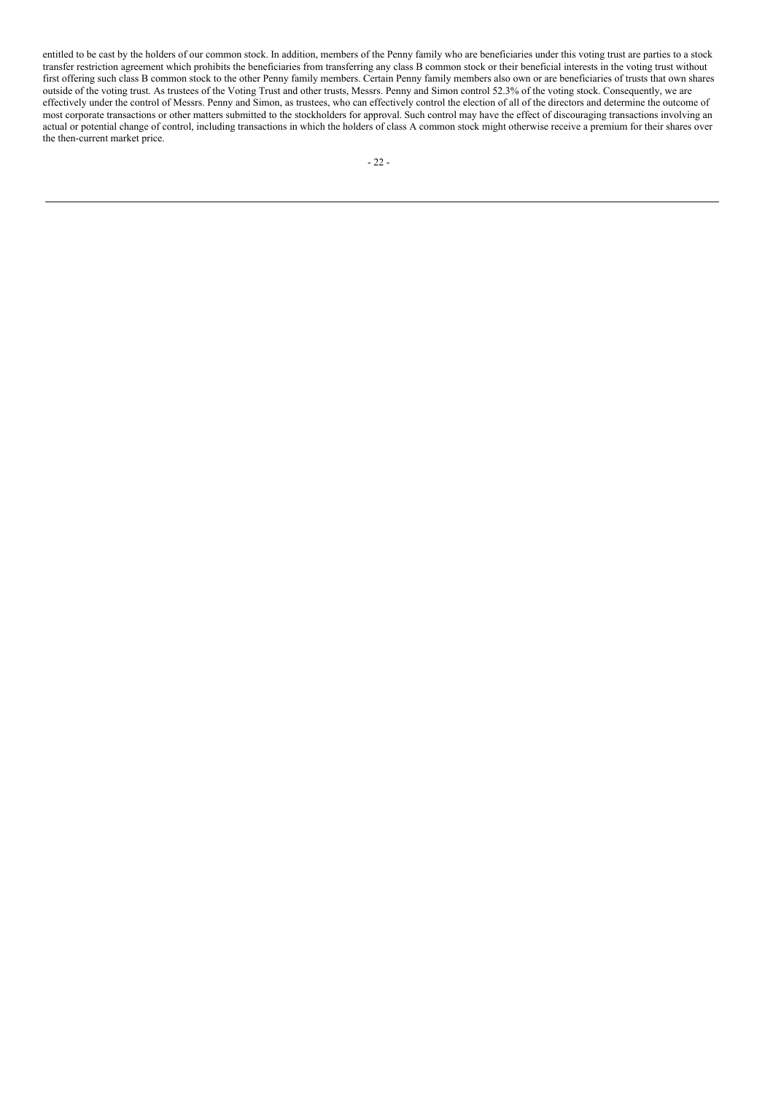entitled to be cast by the holders of our common stock. In addition, members of the Penny family who are beneficiaries under this voting trust are parties to a stock transfer restriction agreement which prohibits the beneficiaries from transferring any class B common stock or their beneficial interests in the voting trust without first offering such class B common stock to the other Penny family members. Certain Penny family members also own or are beneficiaries of trusts that own shares outside of the voting trust. As trustees of the Voting Trust and other trusts, Messrs. Penny and Simon control 52.3% of the voting stock. Consequently, we are effectively under the control of Messrs. Penny and Simon, as trustees, who can effectively control the election of all of the directors and determine the outcome of most corporate transactions or other matters submitted to the stockholders for approval. Such control may have the effect of discouraging transactions involving an actual or potential change of control, including transactions in which the holders of class A common stock might otherwise receive a premium for their shares over the then-current market price.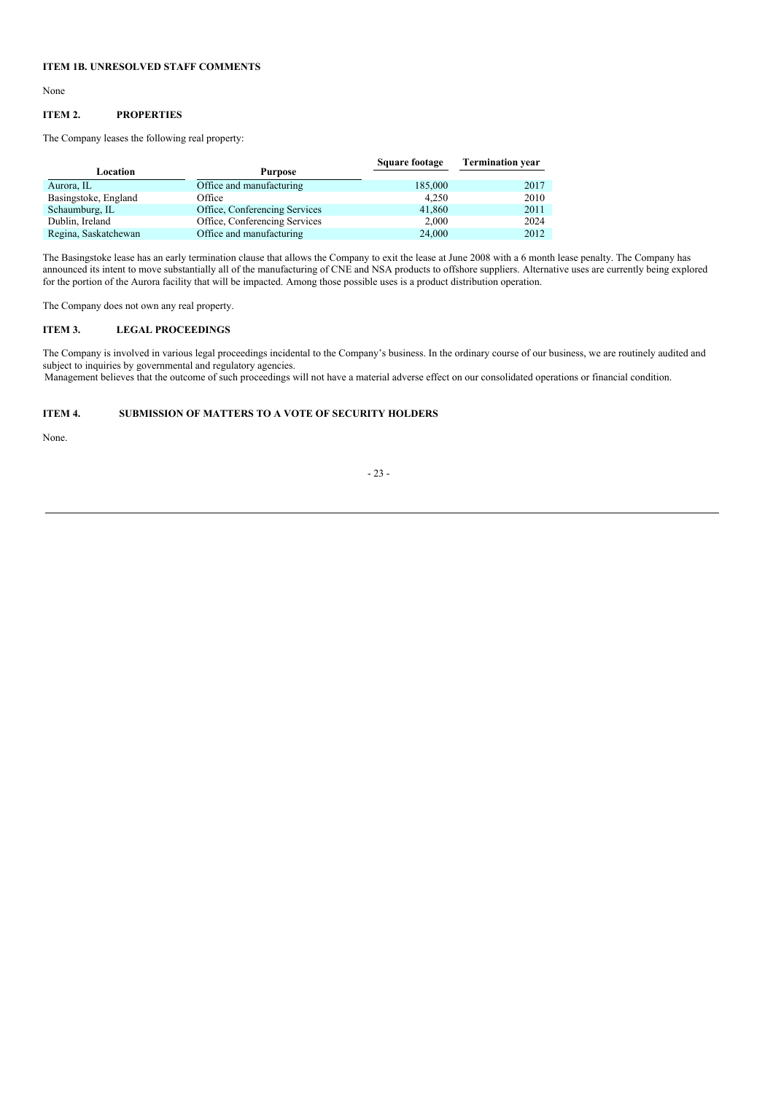# **ITEM 1B. UNRESOLVED STAFF COMMENTS**

None

# **ITEM 2. PROPERTIES**

The Company leases the following real property:

|                      |                               | <b>Square footage</b> | <b>Termination year</b> |
|----------------------|-------------------------------|-----------------------|-------------------------|
| Location             | <b>Purpose</b>                |                       |                         |
| Aurora, IL           | Office and manufacturing      | 185,000               | 2017                    |
| Basingstoke, England | Office                        | 4.250                 | 2010                    |
| Schaumburg, IL       | Office, Conferencing Services | 41,860                | 2011                    |
| Dublin, Ireland      | Office, Conferencing Services | 2,000                 | 2024                    |
| Regina, Saskatchewan | Office and manufacturing      | 24,000                | 2012                    |

The Basingstoke lease has an early termination clause that allows the Company to exit the lease at June 2008 with a 6 month lease penalty. The Company has announced its intent to move substantially all of the manufacturing of CNE and NSA products to offshore suppliers. Alternative uses are currently being explored for the portion of the Aurora facility that will be impacted. Among those possible uses is a product distribution operation.

The Company does not own any real property.

# **ITEM 3. LEGAL PROCEEDINGS**

The Company is involved in various legal proceedings incidental to the Company's business. In the ordinary course of our business, we are routinely audited and subject to inquiries by governmental and regulatory agencies.

Management believes that the outcome of such proceedings will not have a material adverse effect on our consolidated operations or financial condition.

# **ITEM 4. SUBMISSION OF MATTERS TO A VOTE OF SECURITY HOLDERS**

None.

#### - 23 -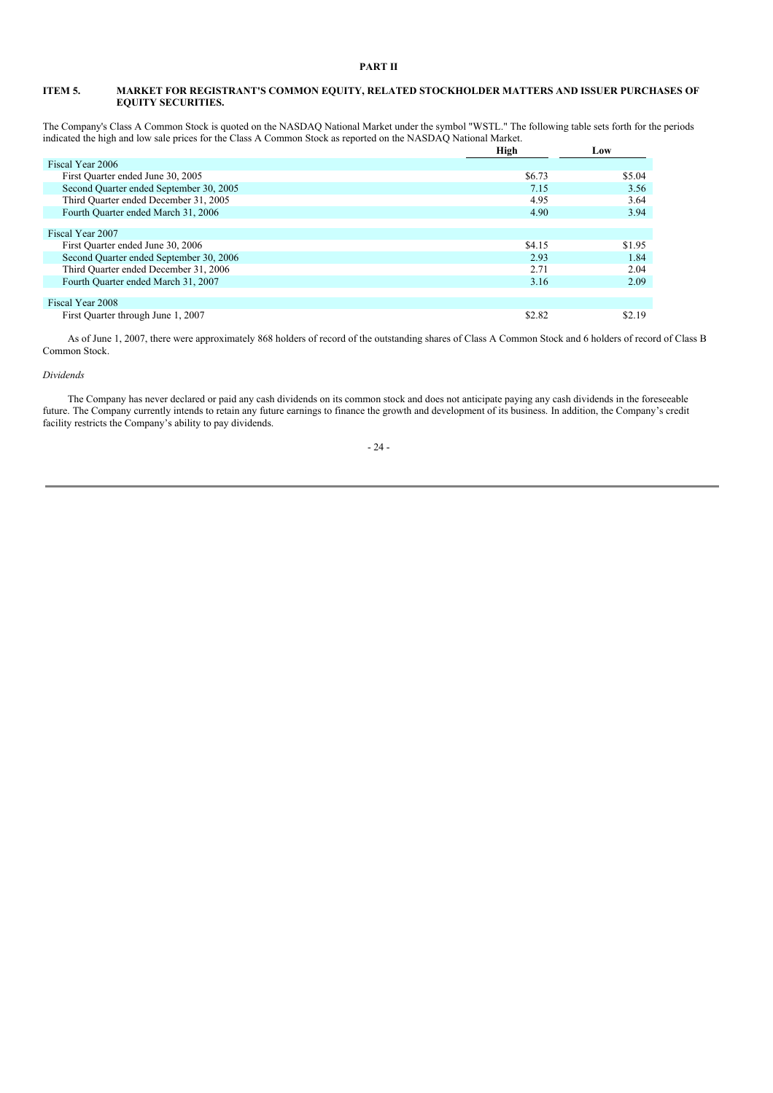#### **ITEM 5. MARKET FOR REGISTRANT'S COMMON EQUITY, RELATED STOCKHOLDER MATTERS AND ISSUER PURCHASES OF EQUITY SECURITIES.**

The Company's Class A Common Stock is quoted on the NASDAQ National Market under the symbol "WSTL." The following table sets forth for the periods indicated the high and low sale prices for the Class A Common Stock as reported on the NASDAQ National Market.

|                                         | High   | Low    |
|-----------------------------------------|--------|--------|
| Fiscal Year 2006                        |        |        |
| First Ouarter ended June 30, 2005       | \$6.73 | \$5.04 |
| Second Quarter ended September 30, 2005 | 7.15   | 3.56   |
| Third Quarter ended December 31, 2005   | 4.95   | 3.64   |
| Fourth Quarter ended March 31, 2006     | 4.90   | 3.94   |
|                                         |        |        |
| Fiscal Year 2007                        |        |        |
| First Ouarter ended June 30, 2006       | \$4.15 | \$1.95 |
| Second Ouarter ended September 30, 2006 | 2.93   | 1.84   |
| Third Quarter ended December 31, 2006   | 2.71   | 2.04   |
| Fourth Quarter ended March 31, 2007     | 3.16   | 2.09   |
|                                         |        |        |
| Fiscal Year 2008                        |        |        |
| First Quarter through June 1, 2007      | \$2.82 | \$2.19 |

As of June 1, 2007, there were approximately 868 holders of record of the outstanding shares of Class A Common Stock and 6 holders of record of Class B Common Stock.

## *Dividends*

The Company has never declared or paid any cash dividends on its common stock and does not anticipate paying any cash dividends in the foreseeable future. The Company currently intends to retain any future earnings to finance the growth and development of its business. In addition, the Company's credit facility restricts the Company's ability to pay dividends.

# - 24 -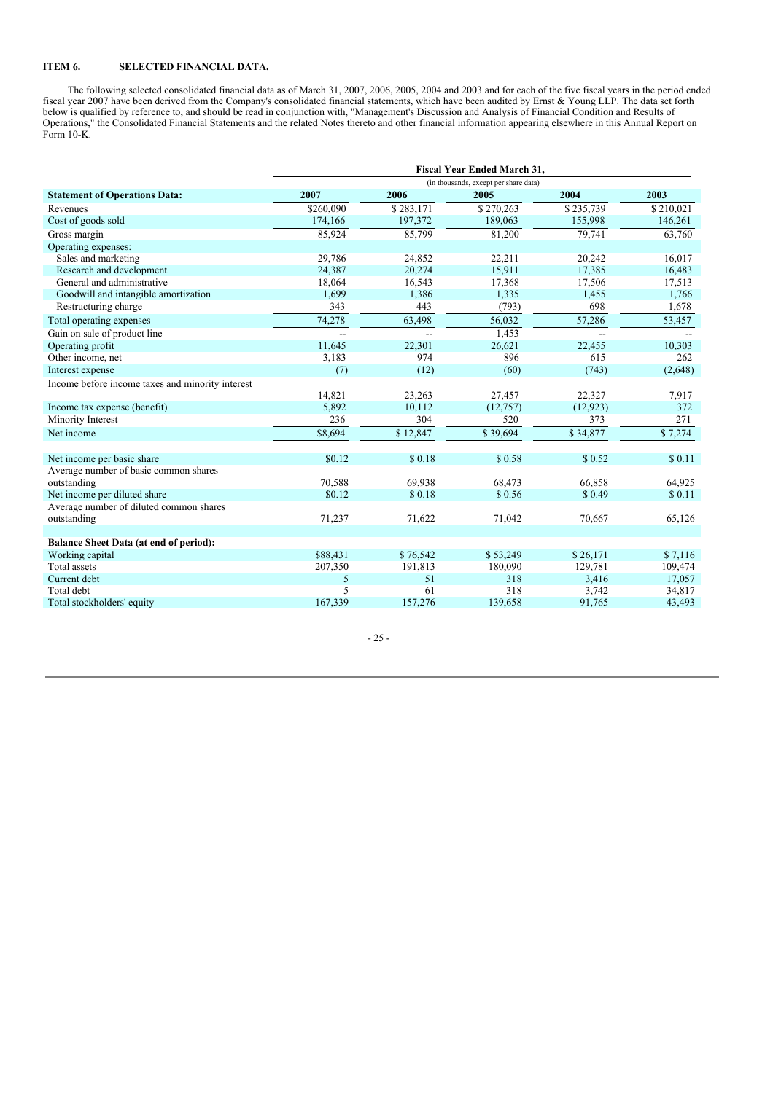# **ITEM 6. SELECTED FINANCIAL DATA.**

The following selected consolidated financial data as of March 31, 2007, 2006, 2005, 2004 and 2003 and for each of the five fiscal years in the period ended fiscal year 2007 have been derived from the Company's consolidated financial statements, which have been audited by Ernst & Young LLP. The data set forth below is qualified by reference to, and should be read in conjunction with, "Management's Discussion and Analysis of Financial Condition and Results of Operations," the Consolidated Financial Statements and the related Notes thereto and other financial information appearing elsewhere in this Annual Report on Form 10-K.

|                                                  | <b>Fiscal Year Ended March 31,</b> |                          |                                       |                  |                   |  |
|--------------------------------------------------|------------------------------------|--------------------------|---------------------------------------|------------------|-------------------|--|
|                                                  |                                    |                          | (in thousands, except per share data) |                  |                   |  |
| <b>Statement of Operations Data:</b>             | 2007                               | 2006                     | 2005                                  | 2004             | 2003              |  |
| Revenues                                         | \$260,090                          | \$283,171                | \$270,263                             | \$235,739        | \$210,021         |  |
| Cost of goods sold                               | 174,166                            | 197,372                  | 189,063                               | 155,998          | 146,261           |  |
| Gross margin                                     | 85,924                             | 85,799                   | 81,200                                | 79,741           | 63,760            |  |
| Operating expenses:                              |                                    |                          |                                       |                  |                   |  |
| Sales and marketing                              | 29,786                             | 24,852                   | 22,211                                | 20,242           | 16,017            |  |
| Research and development                         | 24,387                             | 20,274                   | 15,911                                | 17,385           | 16,483            |  |
| General and administrative                       | 18,064                             | 16,543                   | 17,368                                | 17,506           | 17,513            |  |
| Goodwill and intangible amortization             | 1,699                              | 1,386                    | 1,335                                 | 1,455            | 1,766             |  |
| Restructuring charge                             | 343                                | 443                      | (793)                                 | 698              | 1,678             |  |
| Total operating expenses                         | 74,278                             | 63,498                   | 56,032                                | 57,286           | 53,457            |  |
| Gain on sale of product line                     | $\overline{a}$                     | $\overline{\phantom{a}}$ | 1,453                                 | $\overline{a}$   |                   |  |
| Operating profit                                 | 11.645                             | 22,301                   | 26,621                                | 22,455           | 10,303            |  |
| Other income, net                                | 3,183                              | 974                      | 896                                   | 615              | 262               |  |
| Interest expense                                 | (7)                                | (12)                     | (60)                                  | (743)            | (2,648)           |  |
| Income before income taxes and minority interest |                                    |                          |                                       |                  |                   |  |
|                                                  | 14,821                             | 23,263                   | 27,457                                | 22,327           | 7,917             |  |
| Income tax expense (benefit)                     | 5,892                              | 10,112                   | (12,757)                              | (12, 923)        | 372               |  |
| Minority Interest                                | 236                                | 304                      | 520                                   | 373              | 271               |  |
| Net income                                       | \$8,694                            | \$12,847                 | \$39,694                              | \$34,877         | \$7,274           |  |
|                                                  |                                    |                          |                                       |                  |                   |  |
| Net income per basic share                       | \$0.12                             | \$0.18                   | \$0.58                                | \$0.52           | \$0.11            |  |
| Average number of basic common shares            |                                    |                          |                                       |                  |                   |  |
| outstanding                                      | 70,588                             | 69,938                   | 68,473                                | 66,858           | 64,925            |  |
| Net income per diluted share                     | \$0.12                             | \$0.18                   | \$0.56                                | \$0.49           | \$0.11            |  |
| Average number of diluted common shares          |                                    |                          |                                       |                  |                   |  |
| outstanding                                      | 71,237                             | 71,622                   | 71,042                                | 70,667           | 65,126            |  |
|                                                  |                                    |                          |                                       |                  |                   |  |
| <b>Balance Sheet Data (at end of period):</b>    | \$88,431                           | \$76,542                 | \$53,249                              |                  | \$7,116           |  |
| Working capital<br>Total assets                  |                                    |                          |                                       | \$26,171         |                   |  |
| Current debt                                     | 207,350<br>5                       | 191,813<br>51            | 180,090<br>318                        | 129,781<br>3,416 | 109,474<br>17,057 |  |
| Total debt                                       | 5                                  | 61                       | 318                                   | 3,742            | 34,817            |  |
| Total stockholders' equity                       | 167,339                            | 157,276                  | 139,658                               | 91,765           | 43,493            |  |
|                                                  |                                    |                          |                                       |                  |                   |  |

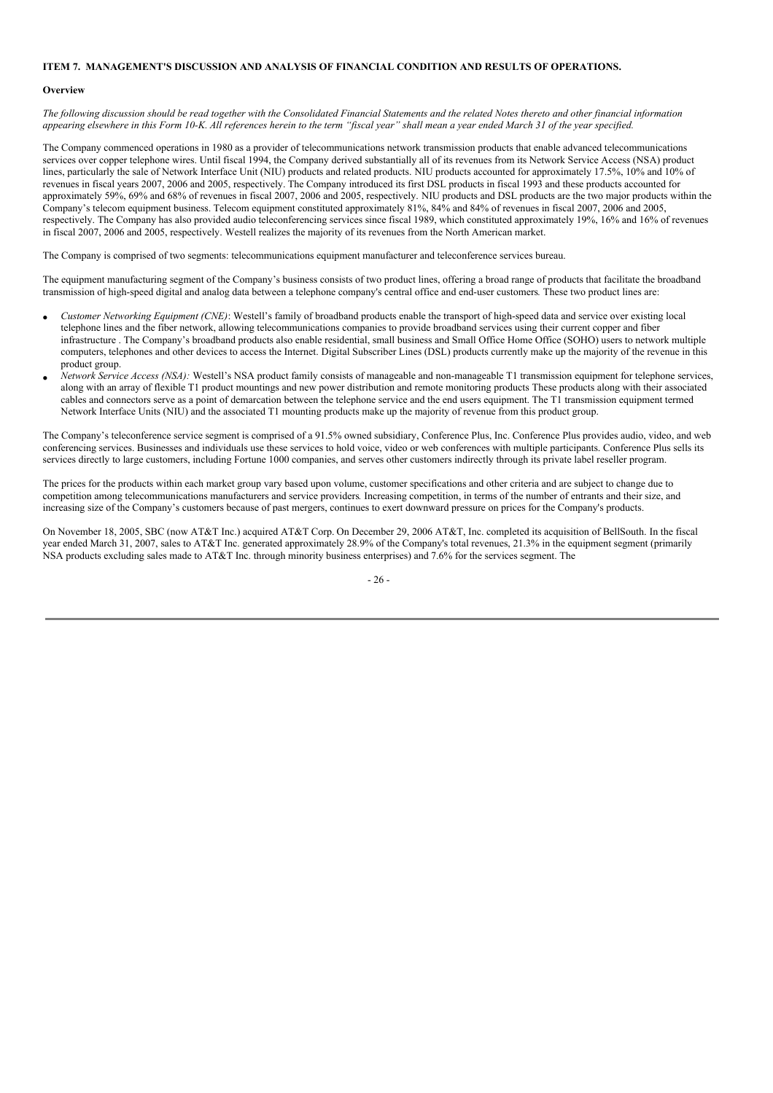## **ITEM 7. MANAGEMENT'S DISCUSSION AND ANALYSIS OF FINANCIAL CONDITION AND RESULTS OF OPERATIONS.**

#### **Overview**

The following discussion should be read together with the Consolidated Financial Statements and the related Notes thereto and other financial information appearing elsewhere in this Form 10-K. All references herein to the term "fiscal year" shall mean a year ended March 31 of the year specified.

The Company commenced operations in 1980 as a provider of telecommunications network transmission products that enable advanced telecommunications services over copper telephone wires. Until fiscal 1994, the Company derived substantially all of its revenues from its Network Service Access (NSA) product lines, particularly the sale of Network Interface Unit (NIU) products and related products. NIU products accounted for approximately 17.5%, 10% and 10% of revenues in fiscal years 2007, 2006 and 2005, respectively. The Company introduced its first DSL products in fiscal 1993 and these products accounted for approximately 59%, 69% and 68% of revenues in fiscal 2007, 2006 and 2005, respectively. NIU products and DSL products are the two major products within the Company's telecom equipment business. Telecom equipment constituted approximately 81%, 84% and 84% of revenues in fiscal 2007, 2006 and 2005, respectively. The Company has also provided audio teleconferencing services since fiscal 1989, which constituted approximately 19%, 16% and 16% of revenues in fiscal 2007, 2006 and 2005, respectively. Westell realizes the majority of its revenues from the North American market.

The Company is comprised of two segments: telecommunications equipment manufacturer and teleconference services bureau.

The equipment manufacturing segment of the Company's business consists of two product lines, offering a broad range of products that facilitate the broadband transmission of high-speed digital and analog data between a telephone company's central office and end-user customers*.* These two product lines are:

- **•** *Customer Networking Equipment (CNE)*: Westell's family of broadband products enable the transport of high-speed data and service over existing local telephone lines and the fiber network, allowing telecommunications companies to provide broadband services using their current copper and fiber infrastructure . The Company's broadband products also enable residential, small business and Small Office Home Office (SOHO) users to network multiple computers, telephones and other devices to access the Internet. Digital Subscriber Lines (DSL) products currently make up the majority of the revenue in this product group.
- **•** *Network Service Access (NSA):* Westell's NSA product family consists of manageable and non-manageable T1 transmission equipment for telephone services, along with an array of flexible T1 product mountings and new power distribution and remote monitoring products These products along with their associated cables and connectors serve as a point of demarcation between the telephone service and the end users equipment. The T1 transmission equipment termed Network Interface Units (NIU) and the associated T1 mounting products make up the majority of revenue from this product group.

The Company's teleconference service segment is comprised of a 91.5% owned subsidiary, Conference Plus, Inc. Conference Plus provides audio, video, and web conferencing services. Businesses and individuals use these services to hold voice, video or web conferences with multiple participants. Conference Plus sells its services directly to large customers, including Fortune 1000 companies, and serves other customers indirectly through its private label reseller program.

The prices for the products within each market group vary based upon volume, customer specifications and other criteria and are subject to change due to competition among telecommunications manufacturers and service providers*.* Increasing competition, in terms of the number of entrants and their size, and increasing size of the Company's customers because of past mergers, continues to exert downward pressure on prices for the Company's products.

On November 18, 2005, SBC (now AT&T Inc.) acquired AT&T Corp. On December 29, 2006 AT&T, Inc. completed its acquisition of BellSouth. In the fiscal year ended March 31, 2007, sales to AT&T Inc. generated approximately 28.9% of the Company's total revenues, 21.3% in the equipment segment (primarily NSA products excluding sales made to AT&T Inc. through minority business enterprises) and 7.6% for the services segment. The

 $-26$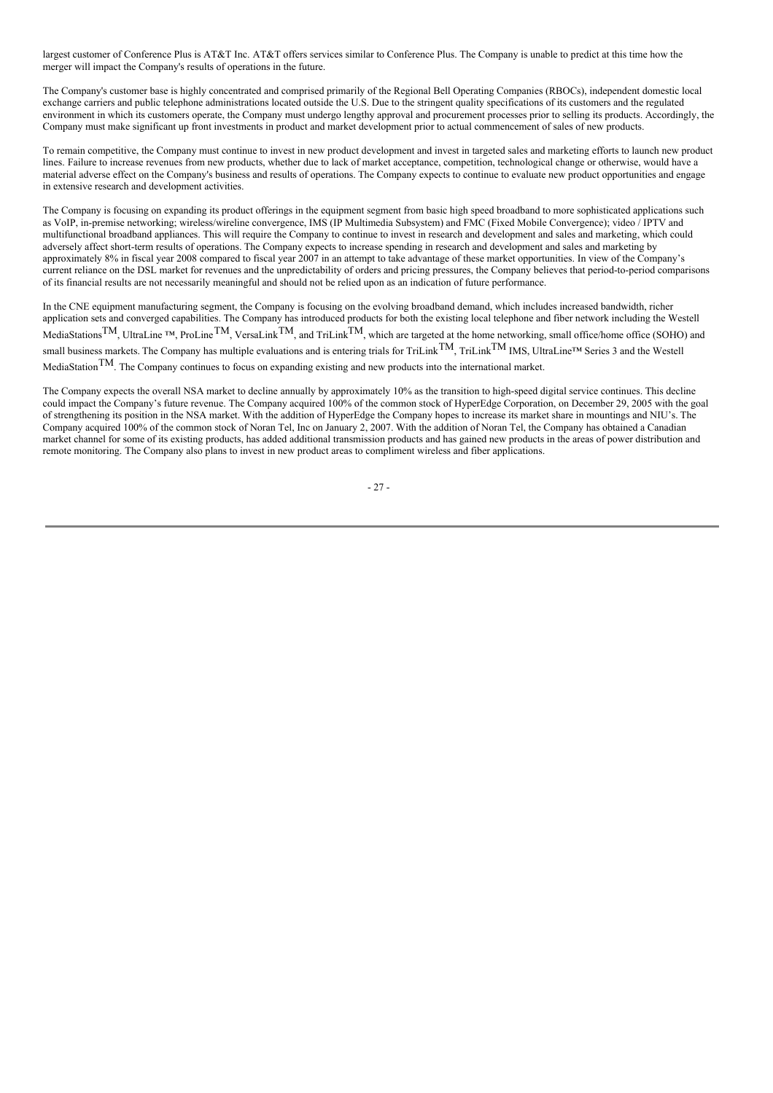largest customer of Conference Plus is AT&T Inc. AT&T offers services similar to Conference Plus. The Company is unable to predict at this time how the merger will impact the Company's results of operations in the future.

The Company's customer base is highly concentrated and comprised primarily of the Regional Bell Operating Companies (RBOCs), independent domestic local exchange carriers and public telephone administrations located outside the U.S. Due to the stringent quality specifications of its customers and the regulated environment in which its customers operate, the Company must undergo lengthy approval and procurement processes prior to selling its products. Accordingly, the Company must make significant up front investments in product and market development prior to actual commencement of sales of new products.

To remain competitive, the Company must continue to invest in new product development and invest in targeted sales and marketing efforts to launch new product lines. Failure to increase revenues from new products, whether due to lack of market acceptance, competition, technological change or otherwise, would have a material adverse effect on the Company's business and results of operations. The Company expects to continue to evaluate new product opportunities and engage in extensive research and development activities.

The Company is focusing on expanding its product offerings in the equipment segment from basic high speed broadband to more sophisticated applications such as VoIP, in-premise networking; wireless/wireline convergence, IMS (IP Multimedia Subsystem) and FMC (Fixed Mobile Convergence); video / IPTV and multifunctional broadband appliances. This will require the Company to continue to invest in research and development and sales and marketing, which could adversely affect short-term results of operations. The Company expects to increase spending in research and development and sales and marketing by approximately 8% in fiscal year 2008 compared to fiscal year 2007 in an attempt to take advantage of these market opportunities. In view of the Company's current reliance on the DSL market for revenues and the unpredictability of orders and pricing pressures, the Company believes that period-to-period comparisons of its financial results are not necessarily meaningful and should not be relied upon as an indication of future performance.

In the CNE equipment manufacturing segment, the Company is focusing on the evolving broadband demand, which includes increased bandwidth, richer application sets and converged capabilities. The Company has introduced products for both the existing local telephone and fiber network including the Westell MediaStations<sup>TM</sup>. UltraLine ™, ProLine<sup>TM</sup>, VersaLink<sup>TM</sup>, and TriLink<sup>TM</sup>, which are targeted at the home networking, small office/home office (SOHO) and small business markets. The Company has multiple evaluations and is entering trials for TriLink<sup>TM</sup>, TriLink<sup>TM</sup> IMS, UltraLine™ Series 3 and the Westell MediaStation<sup>TM</sup>. The Company continues to focus on expanding existing and new products into the international market.

The Company expects the overall NSA market to decline annually by approximately 10% as the transition to high-speed digital service continues. This decline could impact the Company's future revenue. The Company acquired 100% of the common stock of HyperEdge Corporation, on December 29, 2005 with the goal of strengthening its position in the NSA market. With the addition of HyperEdge the Company hopes to increase its market share in mountings and NIU's. The Company acquired 100% of the common stock of Noran Tel, Inc on January 2, 2007. With the addition of Noran Tel, the Company has obtained a Canadian market channel for some of its existing products, has added additional transmission products and has gained new products in the areas of power distribution and remote monitoring. The Company also plans to invest in new product areas to compliment wireless and fiber applications.

- 27 -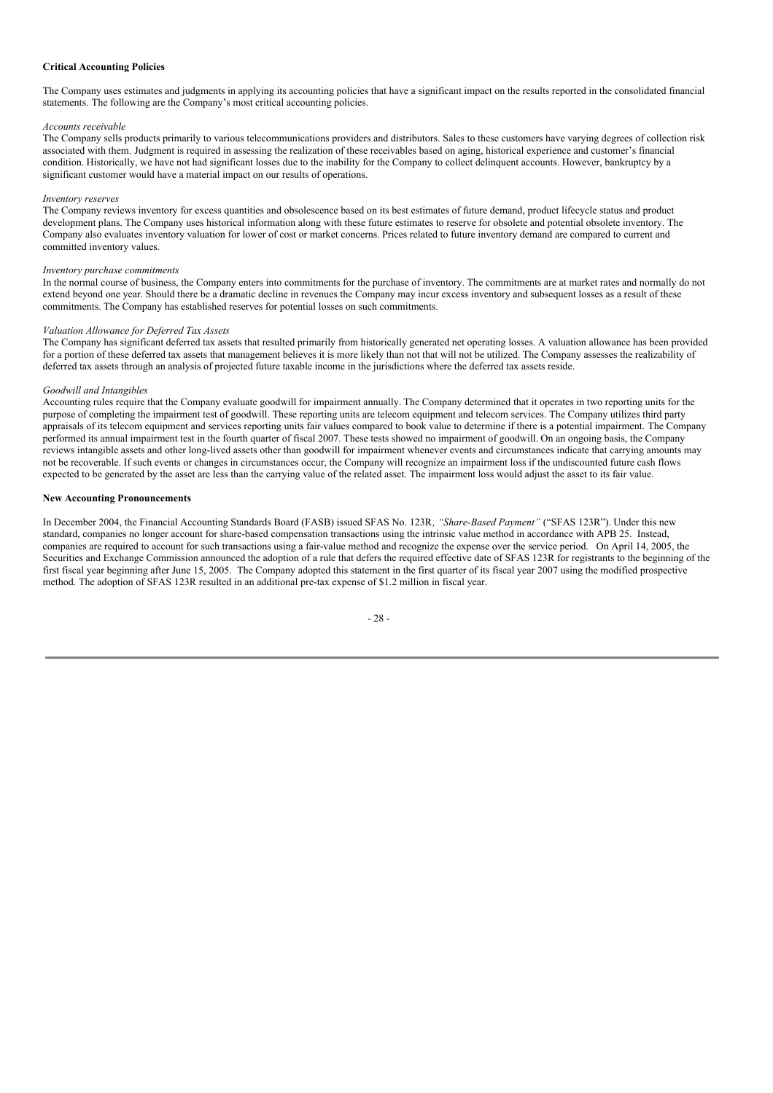## **Critical Accounting Policies**

The Company uses estimates and judgments in applying its accounting policies that have a significant impact on the results reported in the consolidated financial statements. The following are the Company's most critical accounting policies.

#### *Accounts receivable*

The Company sells products primarily to various telecommunications providers and distributors. Sales to these customers have varying degrees of collection risk associated with them. Judgment is required in assessing the realization of these receivables based on aging, historical experience and customer's financial condition. Historically, we have not had significant losses due to the inability for the Company to collect delinquent accounts. However, bankruptcy by a significant customer would have a material impact on our results of operations.

#### *Inventory reserves*

The Company reviews inventory for excess quantities and obsolescence based on its best estimates of future demand, product lifecycle status and product development plans. The Company uses historical information along with these future estimates to reserve for obsolete and potential obsolete inventory. The Company also evaluates inventory valuation for lower of cost or market concerns. Prices related to future inventory demand are compared to current and committed inventory values.

## *Inventory purchase commitments*

In the normal course of business, the Company enters into commitments for the purchase of inventory. The commitments are at market rates and normally do not extend beyond one year. Should there be a dramatic decline in revenues the Company may incur excess inventory and subsequent losses as a result of these commitments. The Company has established reserves for potential losses on such commitments.

#### *Valuation Allowance for Deferred Tax Assets*

The Company has significant deferred tax assets that resulted primarily from historically generated net operating losses. A valuation allowance has been provided for a portion of these deferred tax assets that management believes it is more likely than not that will not be utilized. The Company assesses the realizability of deferred tax assets through an analysis of projected future taxable income in the jurisdictions where the deferred tax assets reside.

#### *Goodwill and Intangibles*

Accounting rules require that the Company evaluate goodwill for impairment annually. The Company determined that it operates in two reporting units for the purpose of completing the impairment test of goodwill. These reporting units are telecom equipment and telecom services. The Company utilizes third party appraisals of its telecom equipment and services reporting units fair values compared to book value to determine if there is a potential impairment. The Company performed its annual impairment test in the fourth quarter of fiscal 2007. These tests showed no impairment of goodwill. On an ongoing basis, the Company reviews intangible assets and other long-lived assets other than goodwill for impairment whenever events and circumstances indicate that carrying amounts may not be recoverable. If such events or changes in circumstances occur, the Company will recognize an impairment loss if the undiscounted future cash flows expected to be generated by the asset are less than the carrying value of the related asset. The impairment loss would adjust the asset to its fair value.

#### **New Accounting Pronouncements**

In December 2004, the Financial Accounting Standards Board (FASB) issued SFAS No. 123R*, "Share-Based Payment"* ("SFAS 123R"). Under this new standard, companies no longer account for share-based compensation transactions using the intrinsic value method in accordance with APB 25. Instead, companies are required to account for such transactions using a fair-value method and recognize the expense over the service period. On April 14, 2005, the Securities and Exchange Commission announced the adoption of a rule that defers the required effective date of SFAS 123R for registrants to the beginning of the first fiscal year beginning after June 15, 2005. The Company adopted this statement in the first quarter of its fiscal year 2007 using the modified prospective method. The adoption of SFAS 123R resulted in an additional pre-tax expense of \$1.2 million in fiscal year.

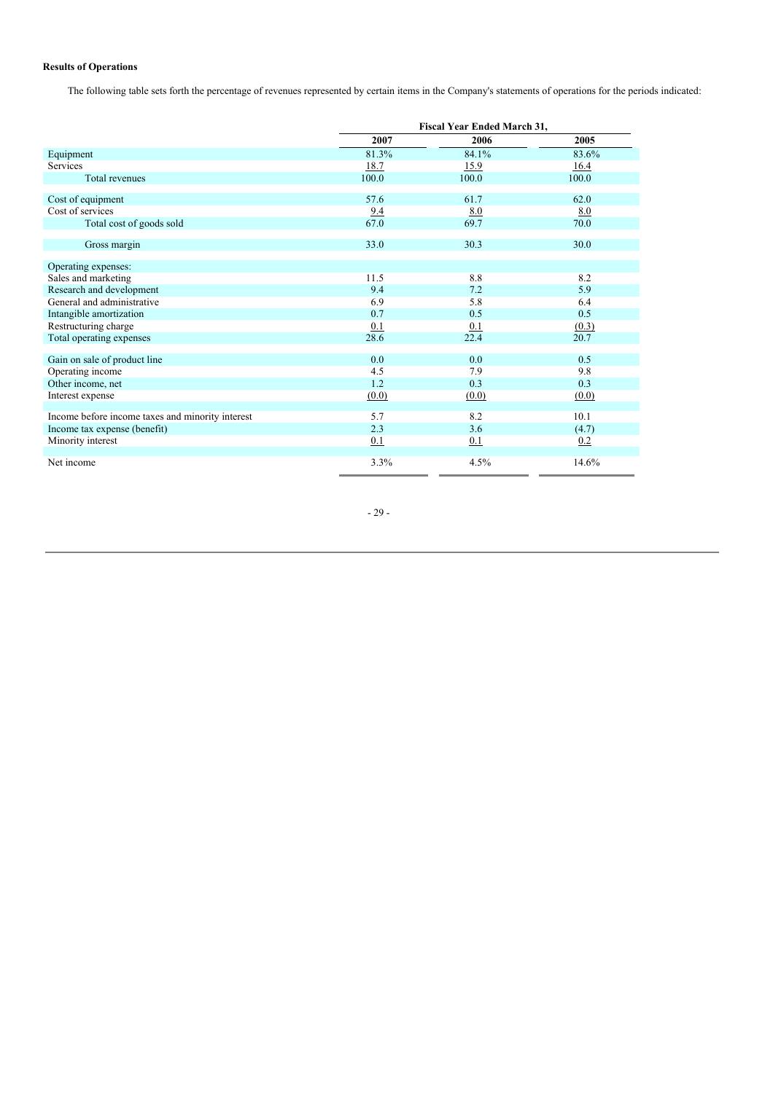# **Results of Operations**

The following table sets forth the percentage of revenues represented by certain items in the Company's statements of operations for the periods indicated:

|                                                  | <b>Fiscal Year Ended March 31,</b> |             |       |  |
|--------------------------------------------------|------------------------------------|-------------|-------|--|
|                                                  | 2007                               | 2006        | 2005  |  |
| Equipment                                        | 81.3%                              | 84.1%       | 83.6% |  |
| Services                                         | 18.7                               | <u>15.9</u> | 16.4  |  |
| Total revenues                                   | 100.0                              | 100.0       | 100.0 |  |
|                                                  |                                    |             |       |  |
| Cost of equipment                                | 57.6                               | 61.7        | 62.0  |  |
| Cost of services                                 | 9.4                                | 8.0         | 8.0   |  |
| Total cost of goods sold                         | 67.0                               | 69.7        | 70.0  |  |
| Gross margin                                     | 33.0                               | 30.3        | 30.0  |  |
|                                                  |                                    |             |       |  |
| Operating expenses:                              |                                    |             |       |  |
| Sales and marketing                              | 11.5                               | 8.8         | 8.2   |  |
| Research and development                         | 9.4                                | 7.2         | 5.9   |  |
| General and administrative                       | 6.9                                | 5.8         | 6.4   |  |
| Intangible amortization                          | 0.7                                | 0.5         | 0.5   |  |
| Restructuring charge                             | 0.1                                | 0.1         | (0.3) |  |
| Total operating expenses                         | 28.6                               | 22.4        | 20.7  |  |
|                                                  |                                    |             |       |  |
| Gain on sale of product line                     | 0.0                                | 0.0         | 0.5   |  |
| Operating income                                 | 4.5                                | 7.9         | 9.8   |  |
| Other income, net                                | 1.2                                | 0.3         | 0.3   |  |
| Interest expense                                 | (0.0)                              | (0.0)       | (0.0) |  |
|                                                  |                                    |             |       |  |
| Income before income taxes and minority interest | 5.7                                | 8.2         | 10.1  |  |
| Income tax expense (benefit)                     | 2.3                                | 3.6         | (4.7) |  |
| Minority interest                                | 0.1                                | 0.1         | 0.2   |  |
| Net income                                       | 3.3%                               | 4.5%        | 14.6% |  |
|                                                  |                                    |             |       |  |

- 29 -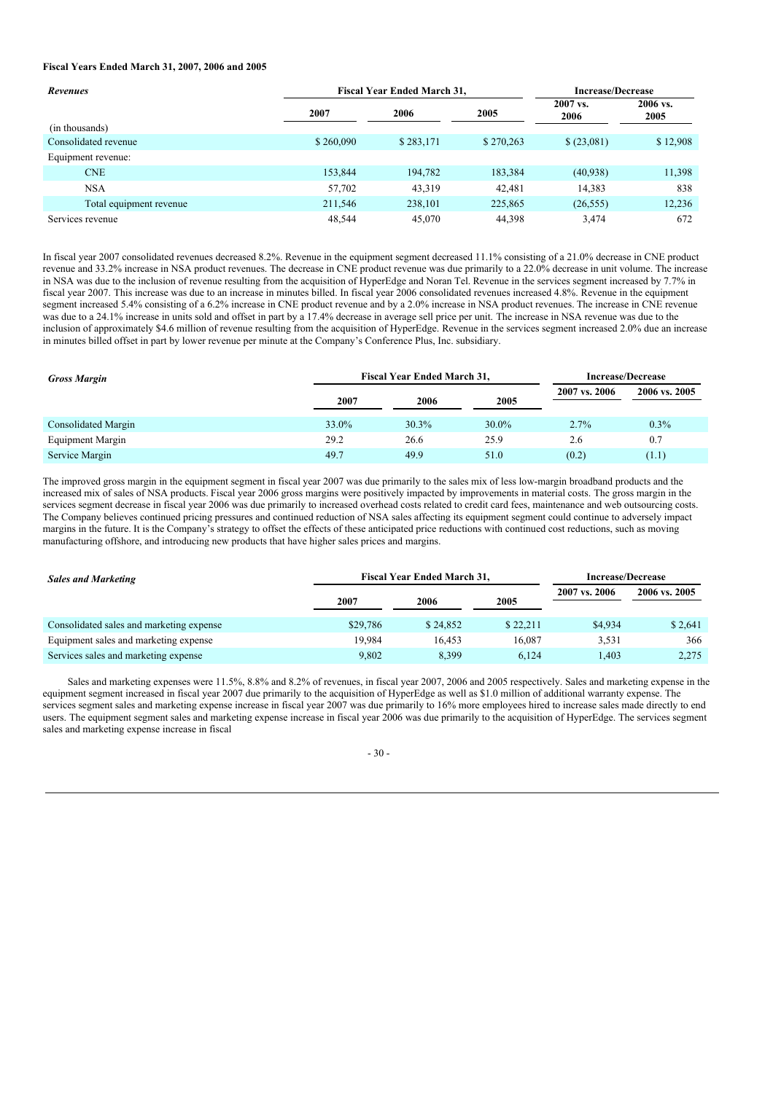# **Fiscal Years Ended March 31, 2007, 2006 and 2005**

| <b>Revenues</b>         |           | Fiscal Year Ended March 31, | <b>Increase/Decrease</b> |                  |                  |
|-------------------------|-----------|-----------------------------|--------------------------|------------------|------------------|
|                         | 2007      | 2006                        | 2005                     | 2007 vs.<br>2006 | 2006 vs.<br>2005 |
| (in thousands)          |           |                             |                          |                  |                  |
| Consolidated revenue    | \$260.090 | \$283,171                   | \$270,263                | \$(23,081)       | \$12,908         |
| Equipment revenue:      |           |                             |                          |                  |                  |
| <b>CNE</b>              | 153,844   | 194.782                     | 183,384                  | (40, 938)        | 11,398           |
| <b>NSA</b>              | 57,702    | 43,319                      | 42,481                   | 14,383           | 838              |
| Total equipment revenue | 211,546   | 238,101                     | 225,865                  | (26, 555)        | 12,236           |
| Services revenue        | 48,544    | 45,070                      | 44,398                   | 3,474            | 672              |

In fiscal year 2007 consolidated revenues decreased 8.2%. Revenue in the equipment segment decreased 11.1% consisting of a 21.0% decrease in CNE product revenue and 33.2% increase in NSA product revenues. The decrease in CNE product revenue was due primarily to a 22.0% decrease in unit volume. The increase in NSA was due to the inclusion of revenue resulting from the acquisition of HyperEdge and Noran Tel. Revenue in the services segment increased by 7.7% in fiscal year 2007. This increase was due to an increase in minutes billed. In fiscal year 2006 consolidated revenues increased 4.8%. Revenue in the equipment segment increased 5.4% consisting of a 6.2% increase in CNE product revenue and by a 2.0% increase in NSA product revenues. The increase in CNE revenue was due to a 24.1% increase in units sold and offset in part by a 17.4% decrease in average sell price per unit. The increase in NSA revenue was due to the inclusion of approximately \$4.6 million of revenue resulting from the acquisition of HyperEdge. Revenue in the services segment increased 2.0% due an increase in minutes billed offset in part by lower revenue per minute at the Company's Conference Plus, Inc. subsidiary.

| <b>Gross Margin</b> | Fiscal Year Ended March 31, |          |          |               | <b>Increase/Decrease</b> |  |
|---------------------|-----------------------------|----------|----------|---------------|--------------------------|--|
|                     | 2007                        | 2006     | 2005     | 2007 vs. 2006 | 2006 vs. 2005            |  |
| Consolidated Margin | 33.0%                       | $30.3\%$ | $30.0\%$ | $2.7\%$       | $0.3\%$                  |  |
| Equipment Margin    | 29.2                        | 26.6     | 25.9     | 2.6           | 0.7                      |  |
| Service Margin      | 49.7                        | 49.9     | 51.0     | (0.2)         | (1.1)                    |  |

The improved gross margin in the equipment segment in fiscal year 2007 was due primarily to the sales mix of less low-margin broadband products and the increased mix of sales of NSA products. Fiscal year 2006 gross margins were positively impacted by improvements in material costs. The gross margin in the services segment decrease in fiscal year 2006 was due primarily to increased overhead costs related to credit card fees, maintenance and web outsourcing costs. The Company believes continued pricing pressures and continued reduction of NSA sales affecting its equipment segment could continue to adversely impact margins in the future. It is the Company's strategy to offset the effects of these anticipated price reductions with continued cost reductions, such as moving manufacturing offshore, and introducing new products that have higher sales prices and margins.

| <b>Sales and Marketing</b>               |          | Fiscal Year Ended March 31, | <b>Increase/Decrease</b> |               |               |
|------------------------------------------|----------|-----------------------------|--------------------------|---------------|---------------|
|                                          | 2007     | 2006                        | 2005                     | 2007 vs. 2006 | 2006 vs. 2005 |
| Consolidated sales and marketing expense | \$29,786 | \$24,852                    | \$22.211                 | \$4,934       | \$2.641       |
| Equipment sales and marketing expense    | 19.984   | 16.453                      | 16.087                   | 3.531         | 366           |
| Services sales and marketing expense     | 9.802    | 8.399                       | 6.124                    | 1.403         | 2,275         |

Sales and marketing expenses were 11.5%, 8.8% and 8.2% of revenues, in fiscal year 2007, 2006 and 2005 respectively. Sales and marketing expense in the equipment segment increased in fiscal year 2007 due primarily to the acquisition of HyperEdge as well as \$1.0 million of additional warranty expense. The services segment sales and marketing expense increase in fiscal year 2007 was due primarily to 16% more employees hired to increase sales made directly to end users. The equipment segment sales and marketing expense increase in fiscal year 2006 was due primarily to the acquisition of HyperEdge. The services segment sales and marketing expense increase in fiscal

#### - 30 -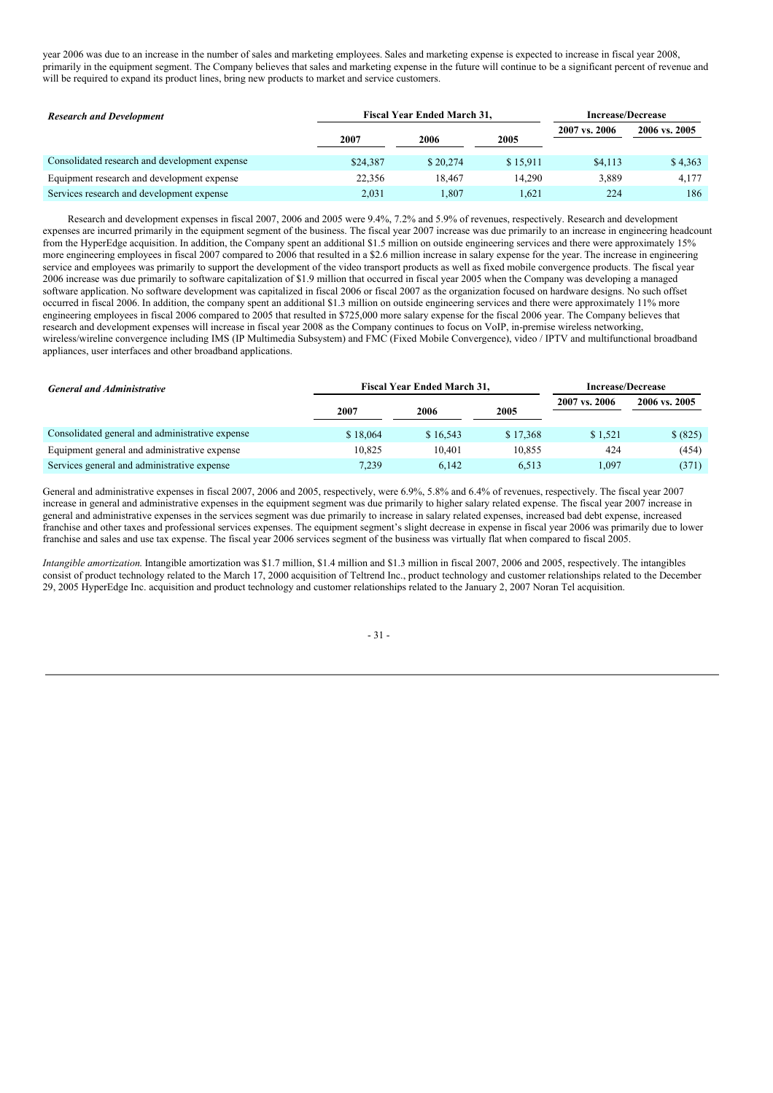year 2006 was due to an increase in the number of sales and marketing employees. Sales and marketing expense is expected to increase in fiscal year 2008, primarily in the equipment segment. The Company believes that sales and marketing expense in the future will continue to be a significant percent of revenue and will be required to expand its product lines, bring new products to market and service customers.

| <b>Research and Development</b>               |          | <b>Fiscal Year Ended March 31.</b> | <b>Increase/Decrease</b> |               |               |
|-----------------------------------------------|----------|------------------------------------|--------------------------|---------------|---------------|
|                                               | 2007     | 2006                               | 2005                     | 2007 vs. 2006 | 2006 vs. 2005 |
| Consolidated research and development expense | \$24,387 | \$20,274                           | \$15.911                 | \$4,113       | \$4,363       |
| Equipment research and development expense    | 22,356   | 18.467                             | 14.290                   | 3,889         | 4,177         |
| Services research and development expense     | 2.031    | 1.807                              | 1.621                    | 224           | 186           |

Research and development expenses in fiscal 2007, 2006 and 2005 were 9.4%, 7.2% and 5.9% of revenues, respectively. Research and development expenses are incurred primarily in the equipment segment of the business. The fiscal year 2007 increase was due primarily to an increase in engineering headcount from the HyperEdge acquisition. In addition, the Company spent an additional \$1.5 million on outside engineering services and there were approximately 15% more engineering employees in fiscal 2007 compared to 2006 that resulted in a \$2.6 million increase in salary expense for the year. The increase in engineering service and employees was primarily to support the development of the video transport products as well as fixed mobile convergence products. The fiscal year 2006 increase was due primarily to software capitalization of \$1.9 million that occurred in fiscal year 2005 when the Company was developing a managed software application. No software development was capitalized in fiscal 2006 or fiscal 2007 as the organization focused on hardware designs. No such offset occurred in fiscal 2006. In addition, the company spent an additional \$1.3 million on outside engineering services and there were approximately 11% more engineering employees in fiscal 2006 compared to 2005 that resulted in \$725,000 more salary expense for the fiscal 2006 year. The Company believes that research and development expenses will increase in fiscal year 2008 as the Company continues to focus on VoIP, in-premise wireless networking, wireless/wireline convergence including IMS (IP Multimedia Subsystem) and FMC (Fixed Mobile Convergence), video / IPTV and multifunctional broadband appliances, user interfaces and other broadband applications.

| <b>General and Administrative</b>               | <b>Fiscal Year Ended March 31.</b> |          |          | <b>Increase/Decrease</b> |               |
|-------------------------------------------------|------------------------------------|----------|----------|--------------------------|---------------|
|                                                 | 2007                               | 2006     | 2005     | 2007 vs. 2006            | 2006 vs. 2005 |
| Consolidated general and administrative expense | \$18,064                           | \$16.543 | \$17,368 | \$1.521                  | \$ (825)      |
| Equipment general and administrative expense    | 10.825                             | 10.401   | 10.855   | 424                      | (454)         |
| Services general and administrative expense     | 7.239                              | 6.142    | 6.513    | 1.097                    | (371)         |

General and administrative expenses in fiscal 2007, 2006 and 2005, respectively, were 6.9%, 5.8% and 6.4% of revenues, respectively. The fiscal year 2007 increase in general and administrative expenses in the equipment segment was due primarily to higher salary related expense. The fiscal year 2007 increase in general and administrative expenses in the services segment was due primarily to increase in salary related expenses, increased bad debt expense, increased franchise and other taxes and professional services expenses. The equipment segment's slight decrease in expense in fiscal year 2006 was primarily due to lower franchise and sales and use tax expense. The fiscal year 2006 services segment of the business was virtually flat when compared to fiscal 2005.

*Intangible amortization*. Intangible amortization was \$1.7 million, \$1.4 million and \$1.3 million in fiscal 2007, 2006 and 2005, respectively. The intangibles consist of product technology related to the March 17, 2000 acquisition of Teltrend Inc., product technology and customer relationships related to the December 29, 2005 HyperEdge Inc. acquisition and product technology and customer relationships related to the January 2, 2007 Noran Tel acquisition.

- 31 -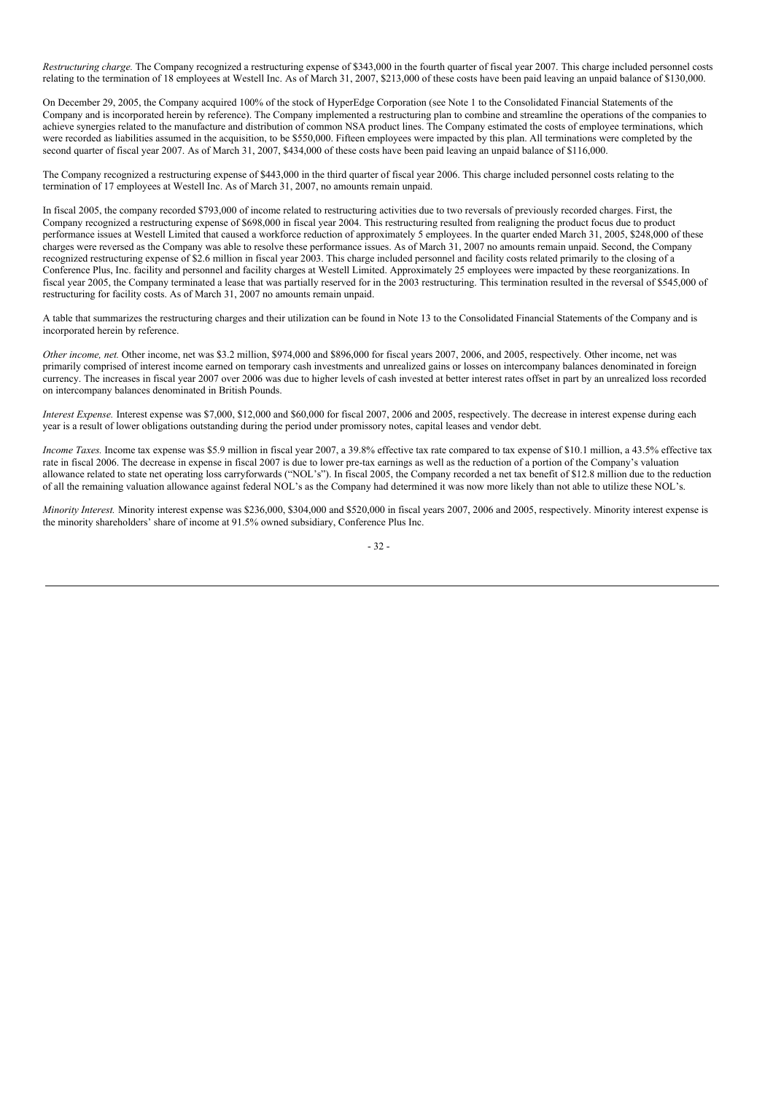*Restructuring charge.* The Company recognized a restructuring expense of \$343,000 in the fourth quarter of fiscal year 2007. This charge included personnel costs relating to the termination of 18 employees at Westell Inc. As of March 31, 2007, \$213,000 of these costs have been paid leaving an unpaid balance of \$130,000.

On December 29, 2005, the Company acquired 100% of the stock of HyperEdge Corporation (see Note 1 to the Consolidated Financial Statements of the Company and is incorporated herein by reference). The Company implemented a restructuring plan to combine and streamline the operations of the companies to achieve synergies related to the manufacture and distribution of common NSA product lines. The Company estimated the costs of employee terminations, which were recorded as liabilities assumed in the acquisition, to be \$550,000. Fifteen employees were impacted by this plan. All terminations were completed by the second quarter of fiscal year 2007. As of March 31, 2007, \$434,000 of these costs have been paid leaving an unpaid balance of \$116,000.

The Company recognized a restructuring expense of \$443,000 in the third quarter of fiscal year 2006. This charge included personnel costs relating to the termination of 17 employees at Westell Inc. As of March 31, 2007, no amounts remain unpaid.

In fiscal 2005, the company recorded \$793,000 of income related to restructuring activities due to two reversals of previously recorded charges. First, the Company recognized a restructuring expense of \$698,000 in fiscal year 2004. This restructuring resulted from realigning the product focus due to product performance issues at Westell Limited that caused a workforce reduction of approximately 5 employees. In the quarter ended March 31, 2005, \$248,000 of these charges were reversed as the Company was able to resolve these performance issues. As of March 31, 2007 no amounts remain unpaid. Second, the Company recognized restructuring expense of \$2.6 million in fiscal year 2003. This charge included personnel and facility costs related primarily to the closing of a Conference Plus, Inc. facility and personnel and facility charges at Westell Limited. Approximately 25 employees were impacted by these reorganizations. In fiscal year 2005, the Company terminated a lease that was partially reserved for in the 2003 restructuring. This termination resulted in the reversal of \$545,000 of restructuring for facility costs. As of March 31, 2007 no amounts remain unpaid.

A table that summarizes the restructuring charges and their utilization can be found in Note 13 to the Consolidated Financial Statements of the Company and is incorporated herein by reference.

*Other income, net.* Other income, net was \$3.2 million, \$974,000 and \$896,000 for fiscal years 2007, 2006, and 2005, respectively*.* Other income, net was primarily comprised of interest income earned on temporary cash investments and unrealized gains or losses on intercompany balances denominated in foreign currency. The increases in fiscal year 2007 over 2006 was due to higher levels of cash invested at better interest rates offset in part by an unrealized loss recorded on intercompany balances denominated in British Pounds.

*Interest Expense*. Interest expense was \$7,000, \$12,000 and \$60,000 for fiscal 2007, 2006 and 2005, respectively. The decrease in interest expense during each year is a result of lower obligations outstanding during the period under promissory notes, capital leases and vendor debt.

*Income Taxes*. Income tax expense was \$5.9 million in fiscal year 2007, a 39.8% effective tax rate compared to tax expense of \$10.1 million, a 43.5% effective tax rate in fiscal 2006. The decrease in expense in fiscal 2007 is due to lower pre-tax earnings as well as the reduction of a portion of the Company's valuation allowance related to state net operating loss carryforwards ("NOL's"). In fiscal 2005, the Company recorded a net tax benefit of \$12.8 million due to the reduction of all the remaining valuation allowance against federal NOL's as the Company had determined it was now more likely than not able to utilize these NOL's.

*Minority Interest.* Minority interest expense was \$236,000, \$304,000 and \$520,000 in fiscal years 2007, 2006 and 2005, respectively. Minority interest expense is the minority shareholders' share of income at 91.5% owned subsidiary, Conference Plus Inc.

- 32 -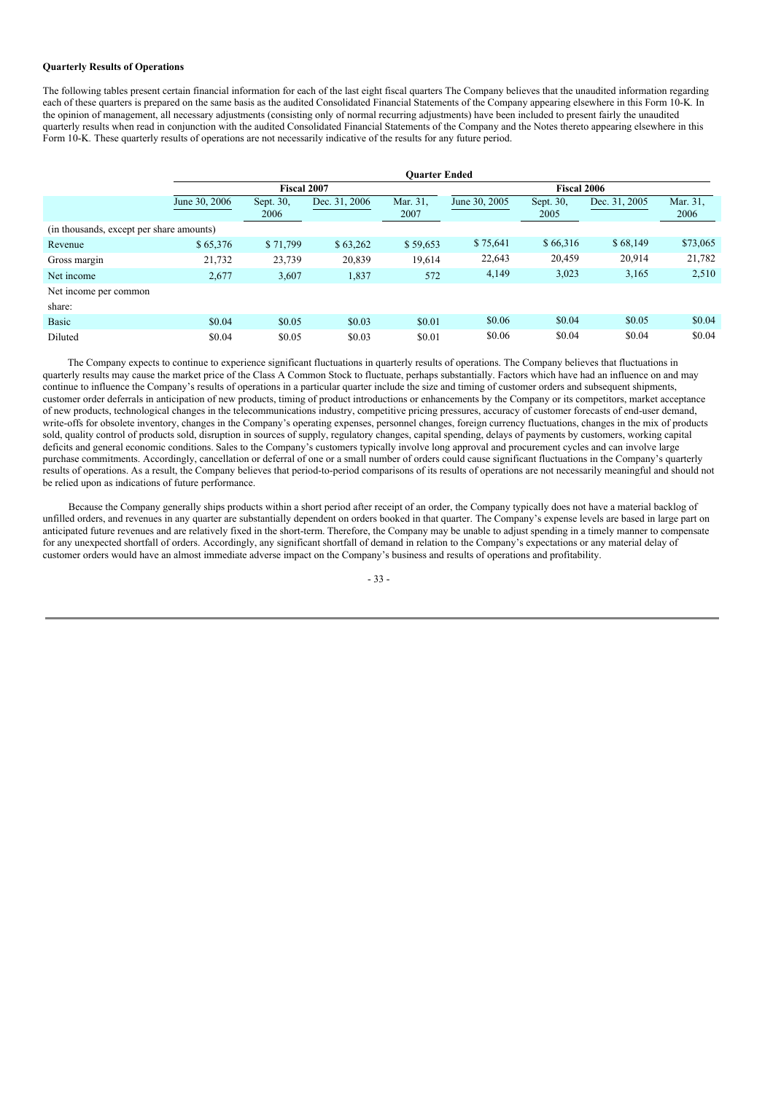# **Quarterly Results of Operations**

The following tables present certain financial information for each of the last eight fiscal quarters The Company believes that the unaudited information regarding each of these quarters is prepared on the same basis as the audited Consolidated Financial Statements of the Company appearing elsewhere in this Form 10-K*.* In the opinion of management, all necessary adjustments (consisting only of normal recurring adjustments) have been included to present fairly the unaudited quarterly results when read in conjunction with the audited Consolidated Financial Statements of the Company and the Notes thereto appearing elsewhere in this Form 10-K*.* These quarterly results of operations are not necessarily indicative of the results for any future period.

|                                          | <b>Ouarter Ended</b> |                   |               |                  |               |                   |               |                  |
|------------------------------------------|----------------------|-------------------|---------------|------------------|---------------|-------------------|---------------|------------------|
|                                          | Fiscal 2007          |                   |               | Fiscal 2006      |               |                   |               |                  |
|                                          | June 30, 2006        | Sept. 30.<br>2006 | Dec. 31, 2006 | Mar. 31,<br>2007 | June 30, 2005 | Sept. 30,<br>2005 | Dec. 31, 2005 | Mar. 31.<br>2006 |
| (in thousands, except per share amounts) |                      |                   |               |                  |               |                   |               |                  |
| Revenue                                  | \$65,376             | \$71,799          | \$63,262      | \$59,653         | \$75,641      | \$66,316          | \$68,149      | \$73,065         |
| Gross margin                             | 21,732               | 23,739            | 20.839        | 19.614           | 22,643        | 20,459            | 20,914        | 21,782           |
| Net income                               | 2,677                | 3,607             | 1,837         | 572              | 4,149         | 3,023             | 3,165         | 2,510            |
| Net income per common                    |                      |                   |               |                  |               |                   |               |                  |
| share:                                   |                      |                   |               |                  |               |                   |               |                  |
| Basic                                    | \$0.04               | \$0.05            | \$0.03        | \$0.01           | \$0.06        | \$0.04            | \$0.05        | \$0.04           |
| Diluted                                  | \$0.04               | \$0.05            | \$0.03        | \$0.01           | \$0.06        | \$0.04            | \$0.04        | \$0.04           |

The Company expects to continue to experience significant fluctuations in quarterly results of operations. The Company believes that fluctuations in quarterly results may cause the market price of the Class A Common Stock to fluctuate, perhaps substantially. Factors which have had an influence on and may continue to influence the Company's results of operations in a particular quarter include the size and timing of customer orders and subsequent shipments, customer order deferrals in anticipation of new products, timing of product introductions or enhancements by the Company or its competitors, market acceptance of new products, technological changes in the telecommunications industry, competitive pricing pressures, accuracy of customer forecasts of end-user demand, write-offs for obsolete inventory, changes in the Company's operating expenses, personnel changes, foreign currency fluctuations, changes in the mix of products sold, quality control of products sold, disruption in sources of supply, regulatory changes, capital spending, delays of payments by customers, working capital deficits and general economic conditions. Sales to the Company's customers typically involve long approval and procurement cycles and can involve large purchase commitments. Accordingly, cancellation or deferral of one or a small number of orders could cause significant fluctuations in the Company's quarterly results of operations. As a result, the Company believes that period-to-period comparisons of its results of operations are not necessarily meaningful and should not be relied upon as indications of future performance.

Because the Company generally ships products within a short period after receipt of an order, the Company typically does not have a material backlog of unfilled orders, and revenues in any quarter are substantially dependent on orders booked in that quarter. The Company's expense levels are based in large part on anticipated future revenues and are relatively fixed in the short-term. Therefore, the Company may be unable to adjust spending in a timely manner to compensate for any unexpected shortfall of orders. Accordingly, any significant shortfall of demand in relation to the Company's expectations or any material delay of customer orders would have an almost immediate adverse impact on the Company's business and results of operations and profitability.

- 33 -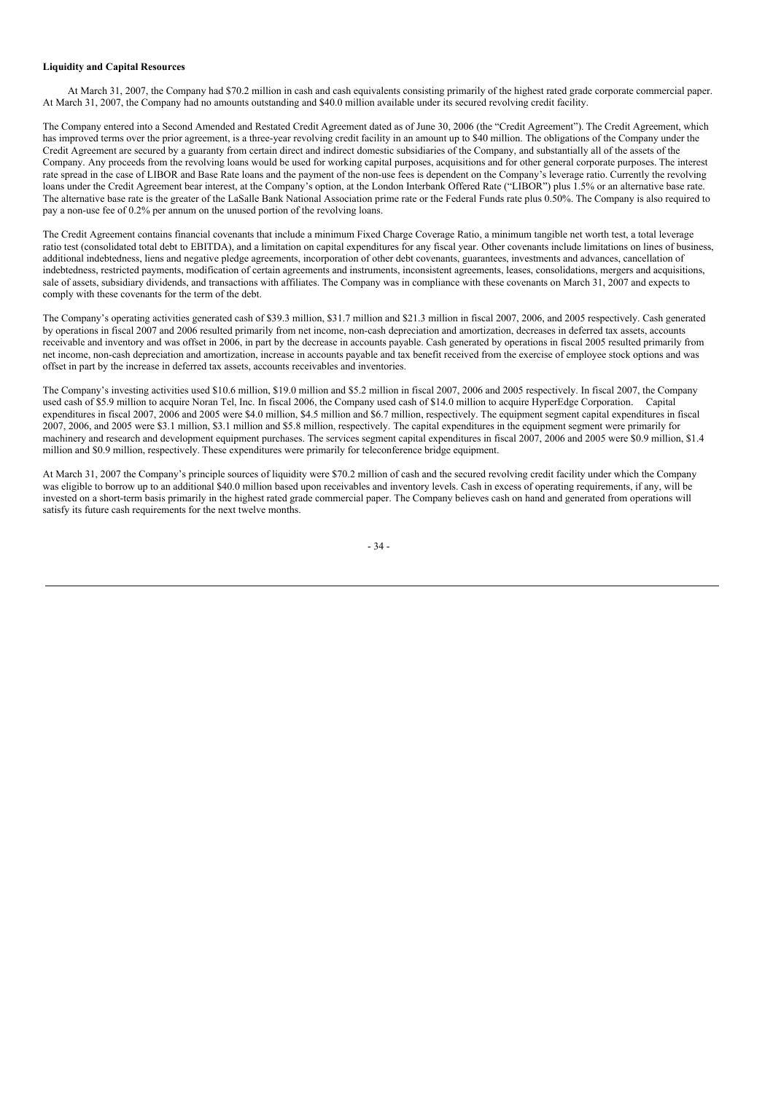#### **Liquidity and Capital Resources**

At March 31, 2007, the Company had \$70.2 million in cash and cash equivalents consisting primarily of the highest rated grade corporate commercial paper. At March 31, 2007, the Company had no amounts outstanding and \$40.0 million available under its secured revolving credit facility.

The Company entered into a Second Amended and Restated Credit Agreement dated as of June 30, 2006 (the "Credit Agreement"). The Credit Agreement, which has improved terms over the prior agreement, is a three-year revolving credit facility in an amount up to \$40 million. The obligations of the Company under the Credit Agreement are secured by a guaranty from certain direct and indirect domestic subsidiaries of the Company, and substantially all of the assets of the Company. Any proceeds from the revolving loans would be used for working capital purposes, acquisitions and for other general corporate purposes. The interest rate spread in the case of LIBOR and Base Rate loans and the payment of the non-use fees is dependent on the Company's leverage ratio. Currently the revolving loans under the Credit Agreement bear interest, at the Company's option, at the London Interbank Offered Rate ("LIBOR") plus 1.5% or an alternative base rate. The alternative base rate is the greater of the LaSalle Bank National Association prime rate or the Federal Funds rate plus 0.50%. The Company is also required to pay a non-use fee of 0.2% per annum on the unused portion of the revolving loans.

The Credit Agreement contains financial covenants that include a minimum Fixed Charge Coverage Ratio, a minimum tangible net worth test, a total leverage ratio test (consolidated total debt to EBITDA), and a limitation on capital expenditures for any fiscal year. Other covenants include limitations on lines of business, additional indebtedness, liens and negative pledge agreements, incorporation of other debt covenants, guarantees, investments and advances, cancellation of indebtedness, restricted payments, modification of certain agreements and instruments, inconsistent agreements, leases, consolidations, mergers and acquisitions, sale of assets, subsidiary dividends, and transactions with affiliates. The Company was in compliance with these covenants on March 31, 2007 and expects to comply with these covenants for the term of the debt.

The Company's operating activities generated cash of \$39.3 million, \$31.7 million and \$21.3 million in fiscal 2007, 2006, and 2005 respectively. Cash generated by operations in fiscal 2007 and 2006 resulted primarily from net income, non-cash depreciation and amortization, decreases in deferred tax assets, accounts receivable and inventory and was offset in 2006, in part by the decrease in accounts payable. Cash generated by operations in fiscal 2005 resulted primarily from net income, non-cash depreciation and amortization, increase in accounts payable and tax benefit received from the exercise of employee stock options and was offset in part by the increase in deferred tax assets, accounts receivables and inventories.

The Company's investing activities used \$10.6 million, \$19.0 million and \$5.2 million in fiscal 2007, 2006 and 2005 respectively. In fiscal 2007, the Company used cash of \$5.9 million to acquire Noran Tel, Inc. In fiscal 2006, the Company used cash of \$14.0 million to acquire HyperEdge Corporation. Capital expenditures in fiscal 2007, 2006 and 2005 were \$4.0 million, \$4.5 million and \$6.7 million, respectively. The equipment segment capital expenditures in fiscal 2007, 2006, and 2005 were \$3.1 million, \$3.1 million and \$5.8 million, respectively. The capital expenditures in the equipment segment were primarily for machinery and research and development equipment purchases. The services segment capital expenditures in fiscal 2007, 2006 and 2005 were \$0.9 million, \$1.4 million and \$0.9 million, respectively. These expenditures were primarily for teleconference bridge equipment.

At March 31, 2007 the Company's principle sources of liquidity were \$70.2 million of cash and the secured revolving credit facility under which the Company was eligible to borrow up to an additional \$40.0 million based upon receivables and inventory levels. Cash in excess of operating requirements, if any, will be invested on a short-term basis primarily in the highest rated grade commercial paper. The Company believes cash on hand and generated from operations will satisfy its future cash requirements for the next twelve months.

- 34 -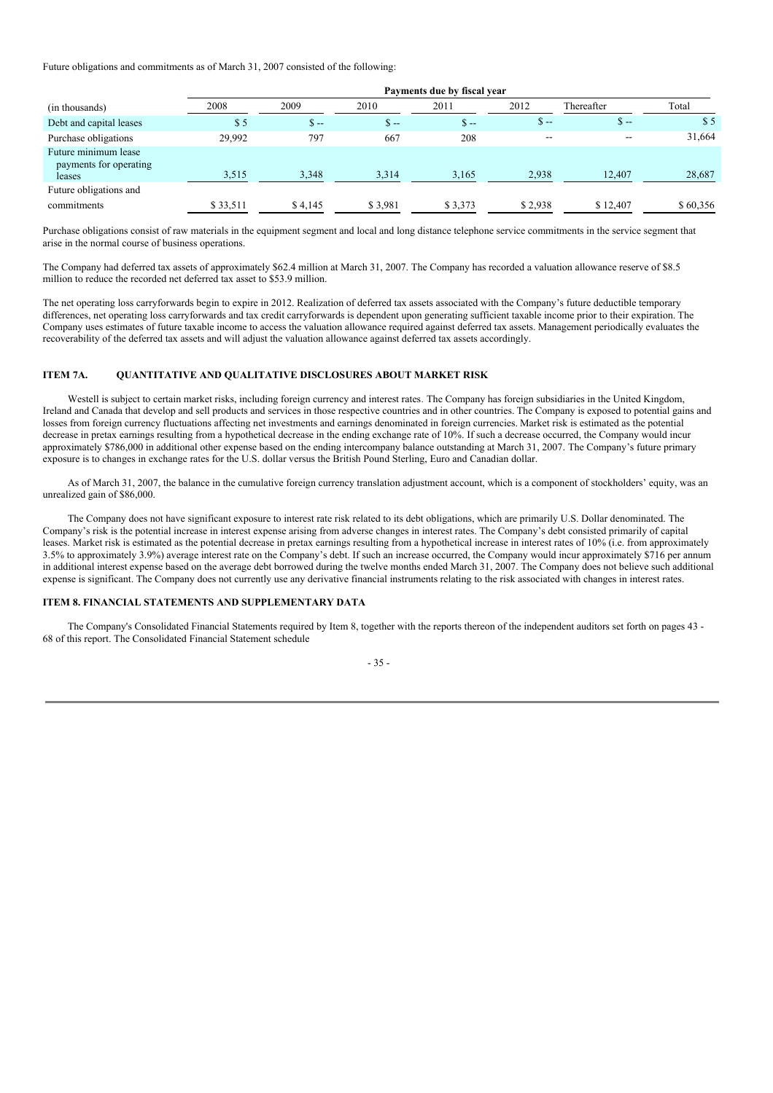Future obligations and commitments as of March 31, 2007 consisted of the following:

|                                                          |          |         |         | Payments due by fiscal year |         |            |          |
|----------------------------------------------------------|----------|---------|---------|-----------------------------|---------|------------|----------|
| (in thousands)                                           | 2008     | 2009    | 2010    | 2011                        | 2012    | Thereafter | Total    |
| Debt and capital leases                                  | \$5      | $S -$   | $S -$   | $S -$                       | $S -$   | $S -$      | \$5      |
| Purchase obligations                                     | 29,992   | 797     | 667     | 208                         | $- -$   | $- -$      | 31,664   |
| Future minimum lease<br>payments for operating<br>leases | 3.515    | 3.348   | 3.314   | 3.165                       | 2.938   | 12.407     | 28,687   |
| Future obligations and                                   |          |         |         |                             |         |            |          |
| commitments                                              | \$33,511 | \$4,145 | \$3,981 | \$3,373                     | \$2,938 | \$12,407   | \$60,356 |

Purchase obligations consist of raw materials in the equipment segment and local and long distance telephone service commitments in the service segment that arise in the normal course of business operations.

The Company had deferred tax assets of approximately \$62.4 million at March 31, 2007. The Company has recorded a valuation allowance reserve of \$8.5 million to reduce the recorded net deferred tax asset to \$53.9 million.

The net operating loss carryforwards begin to expire in 2012. Realization of deferred tax assets associated with the Company's future deductible temporary differences, net operating loss carryforwards and tax credit carryforwards is dependent upon generating sufficient taxable income prior to their expiration. The Company uses estimates of future taxable income to access the valuation allowance required against deferred tax assets. Management periodically evaluates the recoverability of the deferred tax assets and will adjust the valuation allowance against deferred tax assets accordingly.

### **ITEM 7A. QUANTITATIVE AND QUALITATIVE DISCLOSURES ABOUT MARKET RISK**

Westell is subject to certain market risks, including foreign currency and interest rates*.* The Company has foreign subsidiaries in the United Kingdom, Ireland and Canada that develop and sell products and services in those respective countries and in other countries. The Company is exposed to potential gains and losses from foreign currency fluctuations affecting net investments and earnings denominated in foreign currencies. Market risk is estimated as the potential decrease in pretax earnings resulting from a hypothetical decrease in the ending exchange rate of 10%. If such a decrease occurred, the Company would incur approximately \$786,000 in additional other expense based on the ending intercompany balance outstanding at March 31, 2007. The Company's future primary exposure is to changes in exchange rates for the U.S. dollar versus the British Pound Sterling, Euro and Canadian dollar.

As of March 31, 2007, the balance in the cumulative foreign currency translation adjustment account, which is a component of stockholders' equity, was an unrealized gain of \$86,000.

The Company does not have significant exposure to interest rate risk related to its debt obligations, which are primarily U.S. Dollar denominated. The Company's risk is the potential increase in interest expense arising from adverse changes in interest rates. The Company's debt consisted primarily of capital leases. Market risk is estimated as the potential decrease in pretax earnings resulting from a hypothetical increase in interest rates of 10% (i.e. from approximately 3.5% to approximately 3.9%) average interest rate on the Company's debt. If such an increase occurred, the Company would incur approximately \$716 per annum in additional interest expense based on the average debt borrowed during the twelve months ended March 31, 2007. The Company does not believe such additional expense is significant. The Company does not currently use any derivative financial instruments relating to the risk associated with changes in interest rates.

### **ITEM 8. FINANCIAL STATEMENTS AND SUPPLEMENTARY DATA**

The Company's Consolidated Financial Statements required by Item 8, together with the reports thereon of the independent auditors set forth on pages 43 - 68 of this report. The Consolidated Financial Statement schedule

- 35 -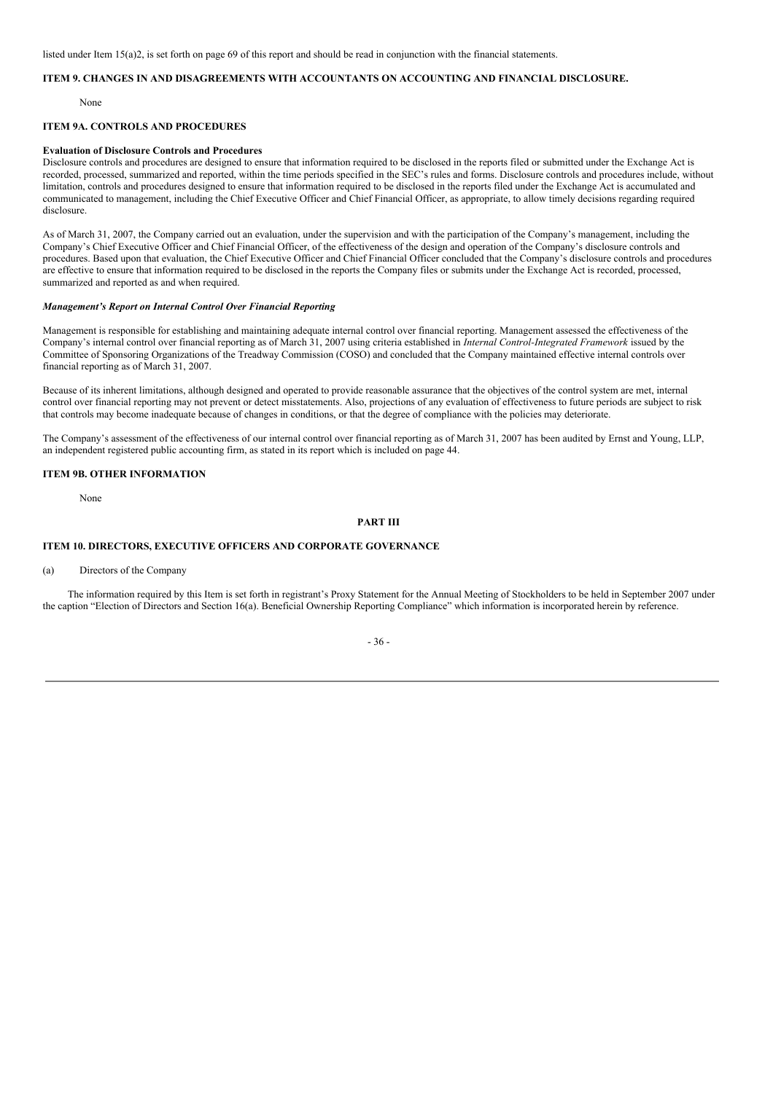listed under Item 15(a)2, is set forth on page 69 of this report and should be read in conjunction with the financial statements.

## **ITEM 9. CHANGES IN AND DISAGREEMENTS WITH ACCOUNTANTS ON ACCOUNTING AND FINANCIAL DISCLOSURE.**

None

#### **ITEM 9A. CONTROLS AND PROCEDURES**

#### **Evaluation of Disclosure Controls and Procedures**

Disclosure controls and procedures are designed to ensure that information required to be disclosed in the reports filed or submitted under the Exchange Act is recorded, processed, summarized and reported, within the time periods specified in the SEC's rules and forms. Disclosure controls and procedures include, without limitation, controls and procedures designed to ensure that information required to be disclosed in the reports filed under the Exchange Act is accumulated and communicated to management, including the Chief Executive Officer and Chief Financial Officer, as appropriate, to allow timely decisions regarding required disclosure.

As of March 31, 2007, the Company carried out an evaluation, under the supervision and with the participation of the Company's management, including the Company's Chief Executive Officer and Chief Financial Officer, of the effectiveness of the design and operation of the Company's disclosure controls and procedures. Based upon that evaluation, the Chief Executive Officer and Chief Financial Officer concluded that the Company's disclosure controls and procedures are effective to ensure that information required to be disclosed in the reports the Company files or submits under the Exchange Act is recorded, processed, summarized and reported as and when required.

#### *Management's Report on Internal Control Over Financial Reporting*

Management is responsible for establishing and maintaining adequate internal control over financial reporting. Management assessed the effectiveness of the Company's internal control over financial reporting as of March 31, 2007 using criteria established in *Internal Control-Integrated Framework* issued by the Committee of Sponsoring Organizations of the Treadway Commission (COSO) and concluded that the Company maintained effective internal controls over financial reporting as of March 31, 2007.

Because of its inherent limitations, although designed and operated to provide reasonable assurance that the objectives of the control system are met, internal control over financial reporting may not prevent or detect misstatements. Also, projections of any evaluation of effectiveness to future periods are subject to risk that controls may become inadequate because of changes in conditions, or that the degree of compliance with the policies may deteriorate.

The Company's assessment of the effectiveness of our internal control over financial reporting as of March 31, 2007 has been audited by Ernst and Young, LLP, an independent registered public accounting firm, as stated in its report which is included on page 44.

### **ITEM 9B. OTHER INFORMATION**

None

### **PART III**

### **ITEM 10. DIRECTORS, EXECUTIVE OFFICERS AND CORPORATE GOVERNANCE**

#### (a) Directors of the Company

The information required by this Item is set forth in registrant's Proxy Statement for the Annual Meeting of Stockholders to be held in September 2007 under the caption "Election of Directors and Section 16(a). Beneficial Ownership Reporting Compliance" which information is incorporated herein by reference.

#### - 36 -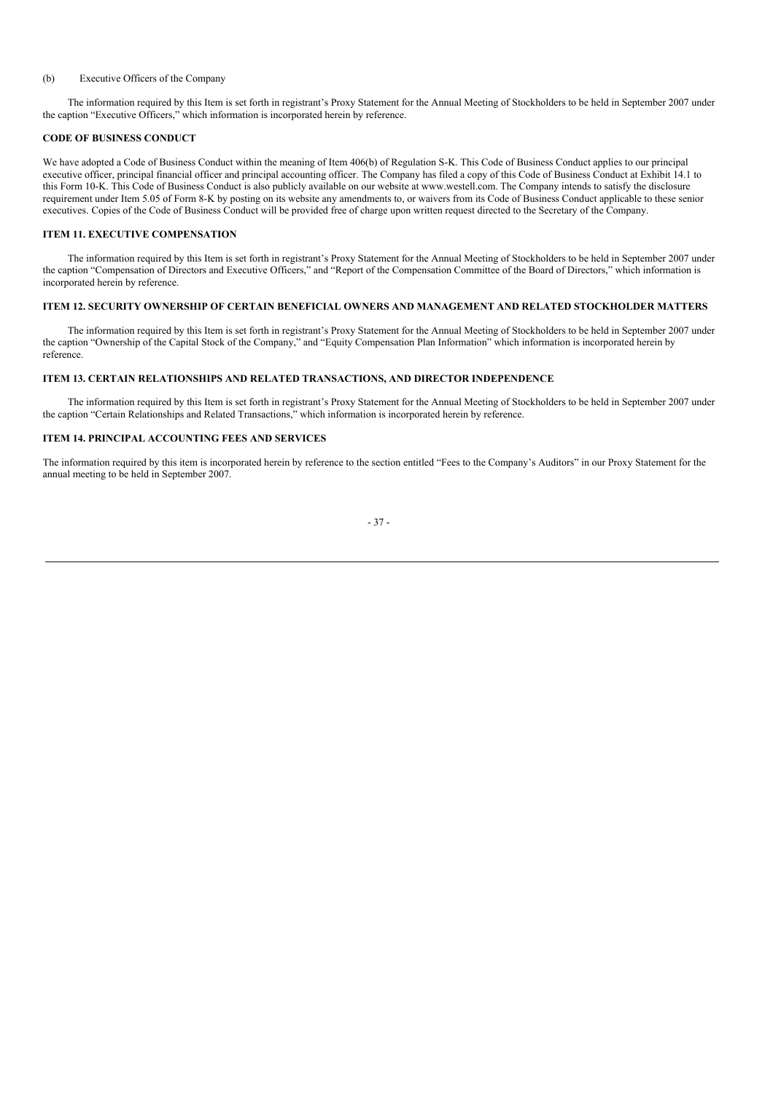#### (b) Executive Officers of the Company

The information required by this Item is set forth in registrant's Proxy Statement for the Annual Meeting of Stockholders to be held in September 2007 under the caption "Executive Officers," which information is incorporated herein by reference.

## **CODE OF BUSINESS CONDUCT**

We have adopted a Code of Business Conduct within the meaning of Item 406(b) of Regulation S-K. This Code of Business Conduct applies to our principal executive officer, principal financial officer and principal accounting officer. The Company has filed a copy of this Code of Business Conduct at Exhibit 14.1 to this Form 10-K. This Code of Business Conduct is also publicly available on our website at www.westell.com. The Company intends to satisfy the disclosure requirement under Item 5.05 of Form 8-K by posting on its website any amendments to, or waivers from its Code of Business Conduct applicable to these senior executives. Copies of the Code of Business Conduct will be provided free of charge upon written request directed to the Secretary of the Company.

#### **ITEM 11. EXECUTIVE COMPENSATION**

The information required by this Item is set forth in registrant's Proxy Statement for the Annual Meeting of Stockholders to be held in September 2007 under the caption "Compensation of Directors and Executive Officers," and "Report of the Compensation Committee of the Board of Directors," which information is incorporated herein by reference.

### **ITEM 12. SECURITY OWNERSHIP OF CERTAIN BENEFICIAL OWNERS AND MANAGEMENT AND RELATED STOCKHOLDER MATTERS**

The information required by this Item is set forth in registrant's Proxy Statement for the Annual Meeting of Stockholders to be held in September 2007 under the caption "Ownership of the Capital Stock of the Company," and "Equity Compensation Plan Information" which information is incorporated herein by reference.

#### **ITEM 13. CERTAIN RELATIONSHIPS AND RELATED TRANSACTIONS, AND DIRECTOR INDEPENDENCE**

The information required by this Item is set forth in registrant's Proxy Statement for the Annual Meeting of Stockholders to be held in September 2007 under the caption "Certain Relationships and Related Transactions," which information is incorporated herein by reference.

### **ITEM 14. PRINCIPAL ACCOUNTING FEES AND SERVICES**

The information required by this item is incorporated herein by reference to the section entitled "Fees to the Company's Auditors" in our Proxy Statement for the annual meeting to be held in September 2007.

- 37 -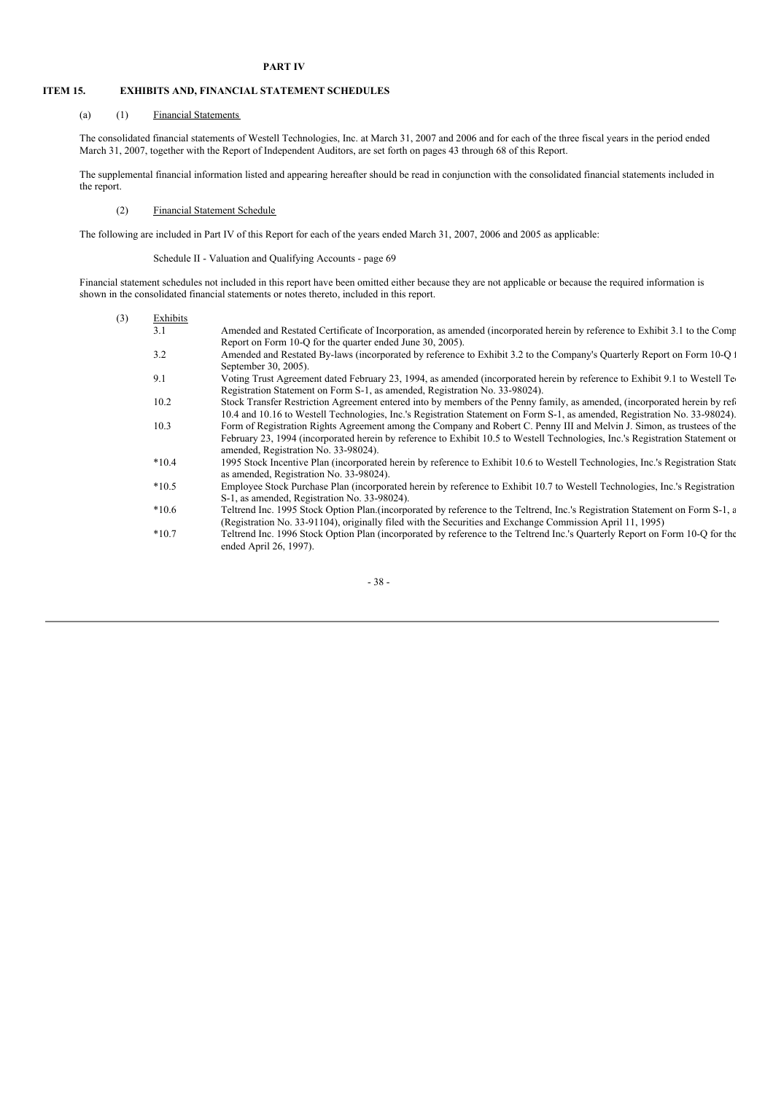## **PART IV**

### **ITEM 15. EXHIBITS AND, FINANCIAL STATEMENT SCHEDULES**

### (a) (1) Financial Statements

The consolidated financial statements of Westell Technologies, Inc. at March 31, 2007 and 2006 and for each of the three fiscal years in the period ended March 31, 2007, together with the Report of Independent Auditors, are set forth on pages 43 through 68 of this Report.

The supplemental financial information listed and appearing hereafter should be read in conjunction with the consolidated financial statements included in the report.

### (2) Financial Statement Schedule

The following are included in Part IV of this Report for each of the years ended March 31, 2007, 2006 and 2005 as applicable:

Schedule II - Valuation and Qualifying Accounts - page 69

Financial statement schedules not included in this report have been omitted either because they are not applicable or because the required information is shown in the consolidated financial statements or notes thereto, included in this report.

| (3) | Exhibits |                                                                                                                                |
|-----|----------|--------------------------------------------------------------------------------------------------------------------------------|
|     | 3.1      | Amended and Restated Certificate of Incorporation, as amended (incorporated herein by reference to Exhibit 3.1 to the Comp     |
|     |          | Report on Form 10-Q for the quarter ended June 30, 2005).                                                                      |
|     | 3.2      | Amended and Restated By-laws (incorporated by reference to Exhibit 3.2 to the Company's Quarterly Report on Form 10-Q 1        |
|     |          | September 30, 2005).                                                                                                           |
|     | 9.1      | Voting Trust Agreement dated February 23, 1994, as amended (incorporated herein by reference to Exhibit 9.1 to Westell Te      |
|     |          | Registration Statement on Form S-1, as amended, Registration No. 33-98024).                                                    |
|     | 10.2     | Stock Transfer Restriction Agreement entered into by members of the Penny family, as amended, (incorporated herein by ref      |
|     |          | 10.4 and 10.16 to Westell Technologies, Inc.'s Registration Statement on Form S-1, as amended, Registration No. 33-98024).     |
|     | 10.3     | Form of Registration Rights Agreement among the Company and Robert C. Penny III and Melvin J. Simon, as trustees of the        |
|     |          | February 23, 1994 (incorporated herein by reference to Exhibit 10.5 to Westell Technologies, Inc.'s Registration Statement or  |
|     |          | amended, Registration No. 33-98024).                                                                                           |
|     | $*10.4$  | 1995 Stock Incentive Plan (incorporated herein by reference to Exhibit 10.6 to Westell Technologies, Inc.'s Registration State |
|     |          | as amended, Registration No. 33-98024).                                                                                        |
|     | $*10.5$  | Employee Stock Purchase Plan (incorporated herein by reference to Exhibit 10.7 to Westell Technologies, Inc.'s Registration    |
|     |          | S-1, as amended, Registration No. 33-98024).                                                                                   |
|     | $*10.6$  | Teltrend Inc. 1995 Stock Option Plan. (incorporated by reference to the Teltrend, Inc.'s Registration Statement on Form S-1, a |
|     |          | (Registration No. 33-91104), originally filed with the Securities and Exchange Commission April 11, 1995)                      |
|     | $*10.7$  | Teltrend Inc. 1996 Stock Option Plan (incorporated by reference to the Teltrend Inc.'s Quarterly Report on Form 10-Q for the   |
|     |          | ended April 26, 1997).                                                                                                         |

- 38 -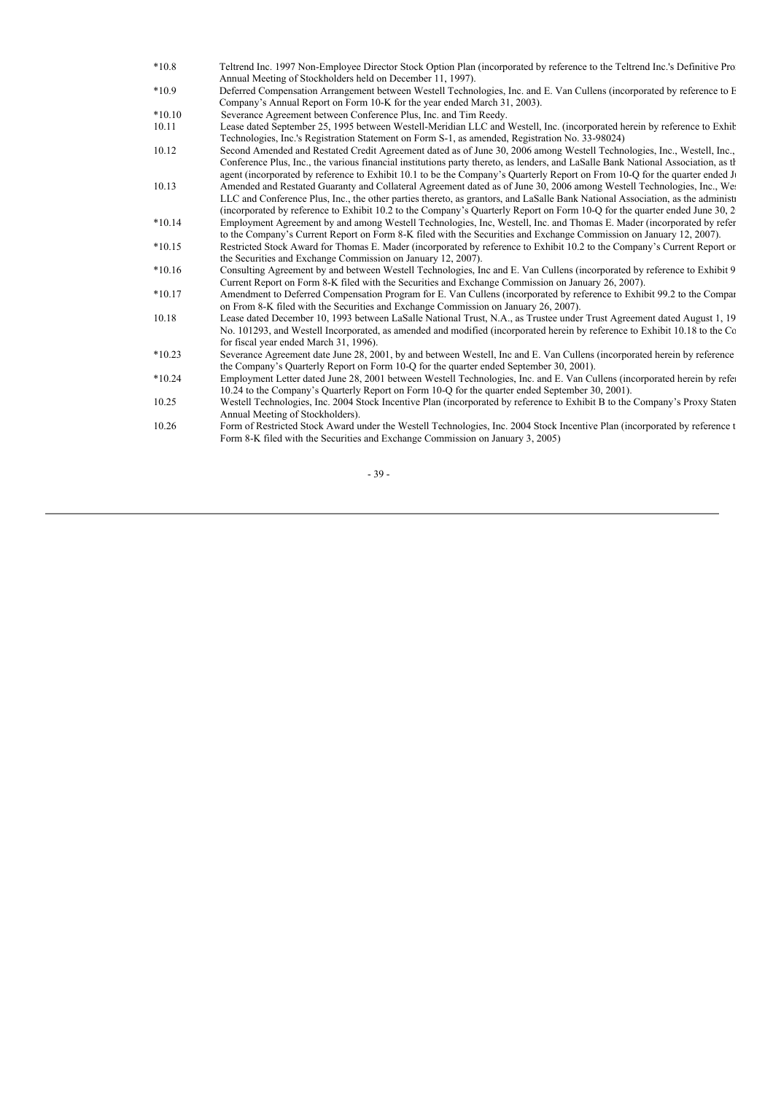| $*10.8$  | Teltrend Inc. 1997 Non-Employee Director Stock Option Plan (incorporated by reference to the Teltrend Inc.'s Definitive Pro<br>Annual Meeting of Stockholders held on December 11, 1997).                                                                     |
|----------|---------------------------------------------------------------------------------------------------------------------------------------------------------------------------------------------------------------------------------------------------------------|
| $*10.9$  | Deferred Compensation Arrangement between Westell Technologies, Inc. and E. Van Cullens (incorporated by reference to E                                                                                                                                       |
|          | Company's Annual Report on Form 10-K for the year ended March 31, 2003).                                                                                                                                                                                      |
| $*10.10$ | Severance Agreement between Conference Plus, Inc. and Tim Reedy.                                                                                                                                                                                              |
| 10.11    | Lease dated September 25, 1995 between Westell-Meridian LLC and Westell, Inc. (incorporated herein by reference to Exhibitation                                                                                                                               |
|          | Technologies, Inc.'s Registration Statement on Form S-1, as amended, Registration No. 33-98024)                                                                                                                                                               |
| 10.12    | Second Amended and Restated Credit Agreement dated as of June 30, 2006 among Westell Technologies, Inc., Westell, Inc.,<br>Conference Plus, Inc., the various financial institutions party thereto, as lenders, and LaSalle Bank National Association, as the |
|          | agent (incorporated by reference to Exhibit 10.1 to be the Company's Quarterly Report on From 10-Q for the quarter ended J                                                                                                                                    |
| 10.13    | Amended and Restated Guaranty and Collateral Agreement dated as of June 30, 2006 among Westell Technologies, Inc., We                                                                                                                                         |
|          | LLC and Conference Plus, Inc., the other parties thereto, as grantors, and LaSalle Bank National Association, as the administr<br>(incorporated by reference to Exhibit 10.2 to the Company's Quarterly Report on Form 10-Q for the quarter ended June 30, 2  |
| $*10.14$ | Employment Agreement by and among Westell Technologies, Inc, Westell, Inc. and Thomas E. Mader (incorporated by refer                                                                                                                                         |
|          | to the Company's Current Report on Form 8-K filed with the Securities and Exchange Commission on January 12, 2007).                                                                                                                                           |
| $*10.15$ | Restricted Stock Award for Thomas E. Mader (incorporated by reference to Exhibit 10.2 to the Company's Current Report or                                                                                                                                      |
|          | the Securities and Exchange Commission on January 12, 2007).                                                                                                                                                                                                  |
| $*10.16$ | Consulting Agreement by and between Westell Technologies, Inc and E. Van Cullens (incorporated by reference to Exhibit 9                                                                                                                                      |
|          | Current Report on Form 8-K filed with the Securities and Exchange Commission on January 26, 2007).                                                                                                                                                            |
| $*10.17$ | Amendment to Deferred Compensation Program for E. Van Cullens (incorporated by reference to Exhibit 99.2 to the Compar                                                                                                                                        |
|          | on From 8-K filed with the Securities and Exchange Commission on January 26, 2007).                                                                                                                                                                           |
| 10.18    | Lease dated December 10, 1993 between LaSalle National Trust, N.A., as Trustee under Trust Agreement dated August 1, 19                                                                                                                                       |
|          | No. 101293, and Westell Incorporated, as amended and modified (incorporated herein by reference to Exhibit 10.18 to the Co.<br>for fiscal year ended March 31, 1996).                                                                                         |
| $*10.23$ | Severance Agreement date June 28, 2001, by and between Westell, Inc and E. Van Cullens (incorporated herein by reference<br>the Company's Quarterly Report on Form 10-Q for the quarter ended September 30, 2001).                                            |
| $*10.24$ | Employment Letter dated June 28, 2001 between Westell Technologies, Inc. and E. Van Cullens (incorporated herein by refer<br>10.24 to the Company's Quarterly Report on Form 10-Q for the quarter ended September 30, 2001).                                  |
| 10.25    | Westell Technologies, Inc. 2004 Stock Incentive Plan (incorporated by reference to Exhibit B to the Company's Proxy Staten<br>Annual Meeting of Stockholders).                                                                                                |
| 10.26    | Form of Restricted Stock Award under the Westell Technologies, Inc. 2004 Stock Incentive Plan (incorporated by reference t<br>Form 8-K filed with the Securities and Exchange Commission on January 3, 2005)                                                  |
|          |                                                                                                                                                                                                                                                               |

- 39 -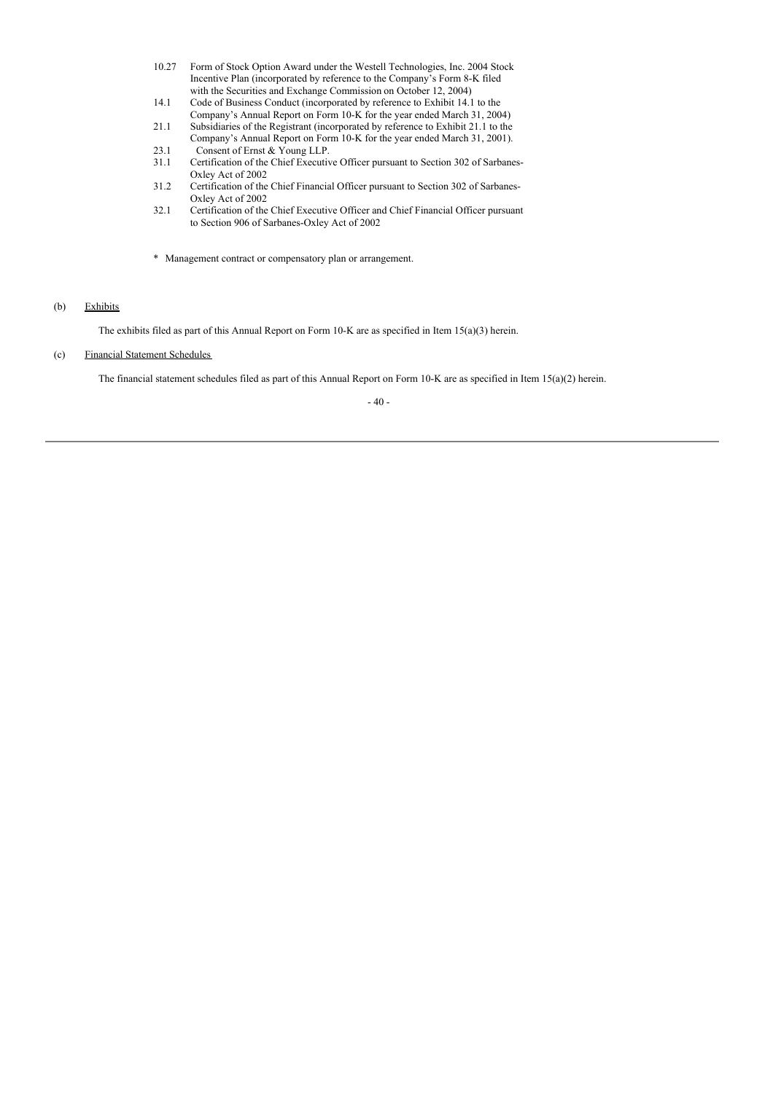- 10.27 Form of Stock Option Award under the Westell Technologies, Inc. 2004 Stock Incentive Plan (incorporated by reference to the Company's Form 8-K filed with the Securities and Exchange Commission on October 12, 2004)
- 14.1 Code of Business Conduct (incorporated by reference to Exhibit 14.1 to the Company's Annual Report on Form 10-K for the year ended March 31, 2004)
- 21.1 Subsidiaries of the Registrant (incorporated by reference to Exhibit 21.1 to the
- Company's Annual Report on Form 10-K for the year ended March 31, 2001). 23.1 Consent of Ernst & Young LLP.
- 31.1 Certification of the Chief Executive Officer pursuant to Section 302 of Sarbanes-Oxley Act of 2002
- 31.2 Certification of the Chief Financial Officer pursuant to Section 302 of Sarbanes-Oxley Act of 2002
- 32.1 Certification of the Chief Executive Officer and Chief Financial Officer pursuant to Section 906 of Sarbanes-Oxley Act of 2002
- \* Management contract or compensatory plan or arrangement.

## (b) Exhibits

The exhibits filed as part of this Annual Report on Form 10-K are as specified in Item 15(a)(3) herein.

### (c) Financial Statement Schedules

The financial statement schedules filed as part of this Annual Report on Form 10-K are as specified in Item 15(a)(2) herein.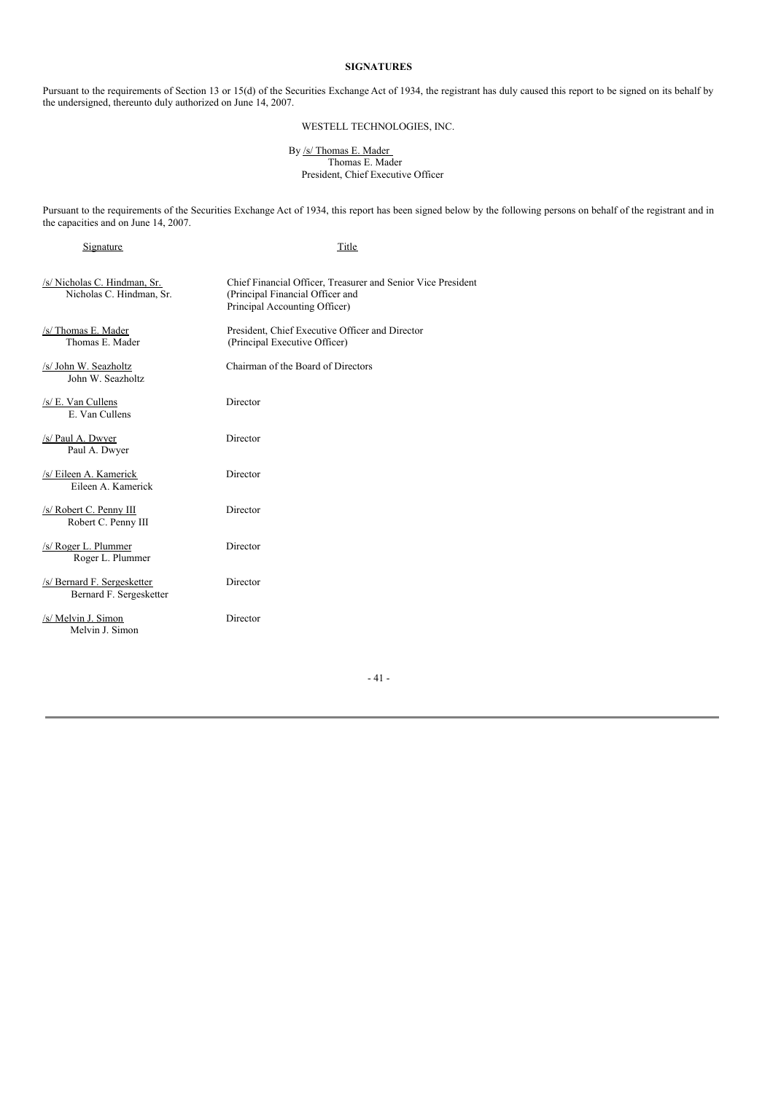## **SIGNATURES**

Pursuant to the requirements of Section 13 or 15(d) of the Securities Exchange Act of 1934, the registrant has duly caused this report to be signed on its behalf by the undersigned, thereunto duly authorized on June 14, 2007.

WESTELL TECHNOLOGIES, INC.

By /s/ Thomas E. Mader Thomas E. Mader President, Chief Executive Officer

Pursuant to the requirements of the Securities Exchange Act of 1934, this report has been signed below by the following persons on behalf of the registrant and in the capacities and on June 14, 2007.

| Signature                                                | Title                                                                                                                             |
|----------------------------------------------------------|-----------------------------------------------------------------------------------------------------------------------------------|
| /s/ Nicholas C. Hindman, Sr.<br>Nicholas C. Hindman, Sr. | Chief Financial Officer, Treasurer and Senior Vice President<br>(Principal Financial Officer and<br>Principal Accounting Officer) |
| /s/ Thomas E. Mader<br>Thomas E. Mader                   | President, Chief Executive Officer and Director<br>(Principal Executive Officer)                                                  |
| /s/ John W. Seazholtz<br>John W. Seazholtz               | Chairman of the Board of Directors                                                                                                |
| /s/ E. Van Cullens<br>E. Van Cullens                     | Director                                                                                                                          |
| /s/ Paul A. Dwyer<br>Paul A. Dwyer                       | Director                                                                                                                          |
| /s/ Eileen A. Kamerick<br>Eileen A. Kamerick             | Director                                                                                                                          |
| /s/ Robert C. Penny III<br>Robert C. Penny III           | Director                                                                                                                          |
| /s/ Roger L. Plummer<br>Roger L. Plummer                 | Director                                                                                                                          |
| /s/ Bernard F. Sergesketter<br>Bernard F. Sergesketter   | Director                                                                                                                          |
| /s/ Melvin J. Simon<br>Melvin J. Simon                   | Director                                                                                                                          |
|                                                          |                                                                                                                                   |

## - 41 -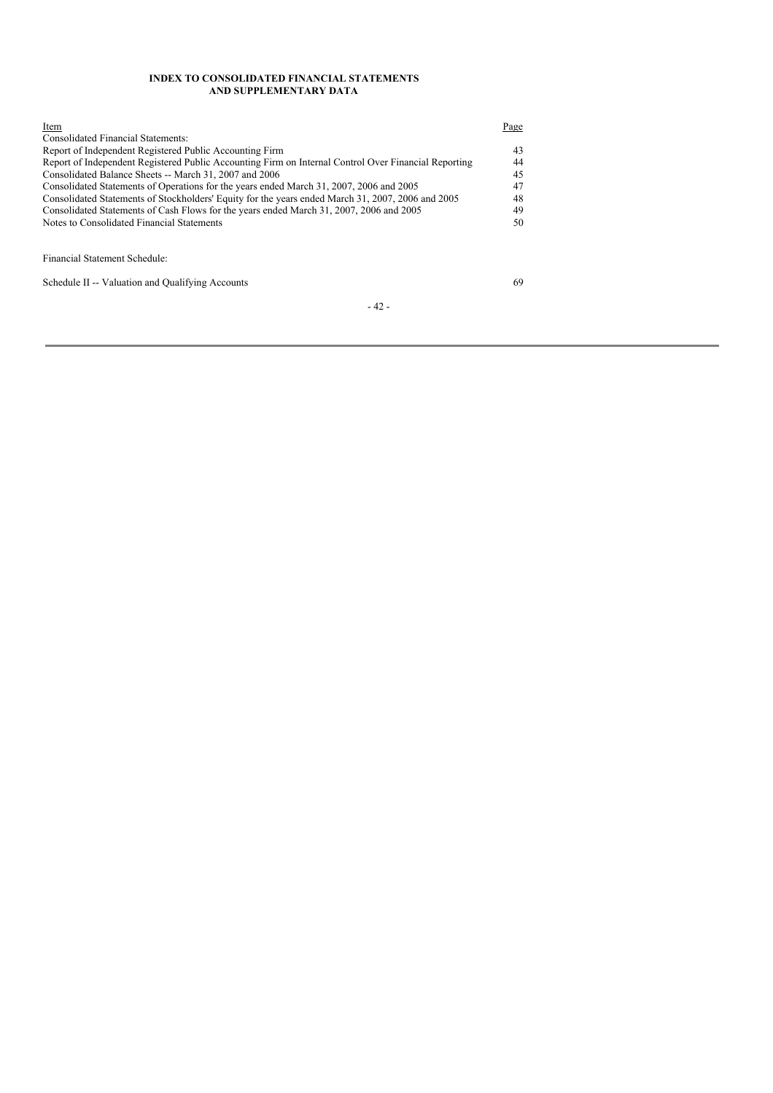## **INDEX TO CONSOLIDATED FINANCIAL STATEMENTS AND SUPPLEMENTARY DATA**

| Item                                                                                                 | Page |
|------------------------------------------------------------------------------------------------------|------|
| <b>Consolidated Financial Statements:</b>                                                            |      |
| Report of Independent Registered Public Accounting Firm                                              | 43   |
| Report of Independent Registered Public Accounting Firm on Internal Control Over Financial Reporting | 44   |
| Consolidated Balance Sheets -- March 31, 2007 and 2006                                               | 45   |
| Consolidated Statements of Operations for the years ended March 31, 2007, 2006 and 2005              | 47   |
| Consolidated Statements of Stockholders' Equity for the years ended March 31, 2007, 2006 and 2005    | 48   |
| Consolidated Statements of Cash Flows for the years ended March 31, 2007, 2006 and 2005              | 49   |
| Notes to Consolidated Financial Statements                                                           | 50   |
|                                                                                                      |      |

## Financial Statement Schedule:

Schedule II -- Valuation and Qualifying Accounts 69

# - 42 -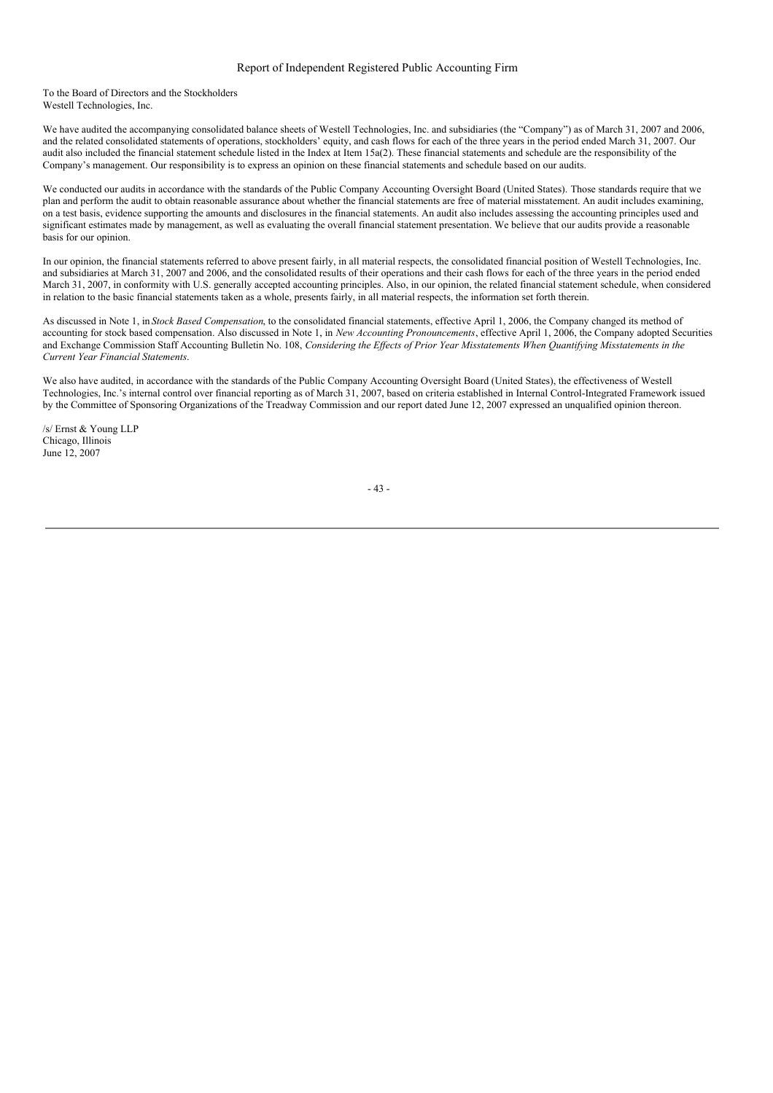### Report of Independent Registered Public Accounting Firm

To the Board of Directors and the Stockholders Westell Technologies, Inc.

We have audited the accompanying consolidated balance sheets of Westell Technologies, Inc. and subsidiaries (the "Company") as of March 31, 2007 and 2006, and the related consolidated statements of operations, stockholders' equity, and cash flows for each of the three years in the period ended March 31, 2007. Our audit also included the financial statement schedule listed in the Index at Item 15a(2). These financial statements and schedule are the responsibility of the Company's management. Our responsibility is to express an opinion on these financial statements and schedule based on our audits.

We conducted our audits in accordance with the standards of the Public Company Accounting Oversight Board (United States). Those standards require that we plan and perform the audit to obtain reasonable assurance about whether the financial statements are free of material misstatement. An audit includes examining, on a test basis, evidence supporting the amounts and disclosures in the financial statements. An audit also includes assessing the accounting principles used and significant estimates made by management, as well as evaluating the overall financial statement presentation. We believe that our audits provide a reasonable basis for our opinion.

In our opinion, the financial statements referred to above present fairly, in all material respects, the consolidated financial position of Westell Technologies, Inc. and subsidiaries at March 31, 2007 and 2006, and the consolidated results of their operations and their cash flows for each of the three years in the period ended March 31, 2007, in conformity with U.S. generally accepted accounting principles. Also, in our opinion, the related financial statement schedule, when considered in relation to the basic financial statements taken as a whole, presents fairly, in all material respects, the information set forth therein.

As discussed in Note 1, in*Stock Based Compensation*, to the consolidated financial statements, effective April 1, 2006, the Company changed its method of accounting for stock based compensation. Also discussed in Note 1, in *New Accounting Pronouncements*, effective April 1, 2006, the Company adopted Securities and Exchange Commission Staff Accounting Bulletin No. 108, Considering the Effects of Prior Year Misstatements When Quantifying Misstatements in the *Current Year Financial Statements*.

We also have audited, in accordance with the standards of the Public Company Accounting Oversight Board (United States), the effectiveness of Westell Technologies, Inc.'s internal control over financial reporting as of March 31, 2007, based on criteria established in Internal Control-Integrated Framework issued by the Committee of Sponsoring Organizations of the Treadway Commission and our report dated June 12, 2007 expressed an unqualified opinion thereon.

/s/ Ernst & Young LLP Chicago, Illinois June 12, 2007

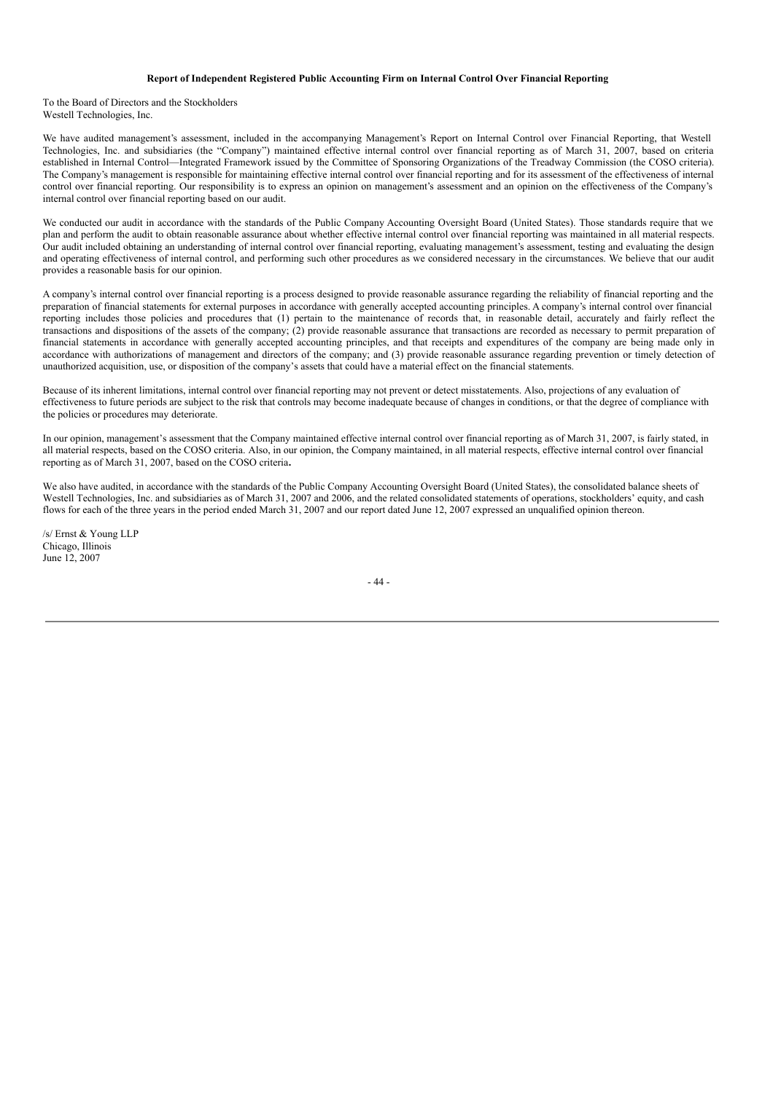#### **Report of Independent Registered Public Accounting Firm on Internal Control Over Financial Reporting**

To the Board of Directors and the Stockholders Westell Technologies, Inc.

We have audited management's assessment, included in the accompanying Management's Report on Internal Control over Financial Reporting, that Westell Technologies, Inc. and subsidiaries (the "Company") maintained effective internal control over financial reporting as of March 31, 2007, based on criteria established in Internal Control—Integrated Framework issued by the Committee of Sponsoring Organizations of the Treadway Commission (the COSO criteria). The Company's management is responsible for maintaining effective internal control over financial reporting and for its assessment of the effectiveness of internal control over financial reporting. Our responsibility is to express an opinion on management's assessment and an opinion on the effectiveness of the Company's internal control over financial reporting based on our audit.

We conducted our audit in accordance with the standards of the Public Company Accounting Oversight Board (United States). Those standards require that we plan and perform the audit to obtain reasonable assurance about whether effective internal control over financial reporting was maintained in all material respects. Our audit included obtaining an understanding of internal control over financial reporting, evaluating management's assessment, testing and evaluating the design and operating effectiveness of internal control, and performing such other procedures as we considered necessary in the circumstances. We believe that our audit provides a reasonable basis for our opinion.

A company's internal control over financial reporting is a process designed to provide reasonable assurance regarding the reliability of financial reporting and the preparation of financial statements for external purposes in accordance with generally accepted accounting principles. A company's internal control over financial reporting includes those policies and procedures that (1) pertain to the maintenance of records that, in reasonable detail, accurately and fairly reflect the transactions and dispositions of the assets of the company; (2) provide reasonable assurance that transactions are recorded as necessary to permit preparation of financial statements in accordance with generally accepted accounting principles, and that receipts and expenditures of the company are being made only in accordance with authorizations of management and directors of the company; and (3) provide reasonable assurance regarding prevention or timely detection of unauthorized acquisition, use, or disposition of the company's assets that could have a material effect on the financial statements.

Because of its inherent limitations, internal control over financial reporting may not prevent or detect misstatements. Also, projections of any evaluation of effectiveness to future periods are subject to the risk that controls may become inadequate because of changes in conditions, or that the degree of compliance with the policies or procedures may deteriorate.

In our opinion, management's assessment that the Company maintained effective internal control over financial reporting as of March 31, 2007, is fairly stated, in all material respects, based on the COSO criteria. Also, in our opinion, the Company maintained, in all material respects, effective internal control over financial reporting as of March 31, 2007, based on the COSO criteria**.**

We also have audited, in accordance with the standards of the Public Company Accounting Oversight Board (United States), the consolidated balance sheets of Westell Technologies, Inc. and subsidiaries as of March 31, 2007 and 2006, and the related consolidated statements of operations, stockholders' equity, and cash flows for each of the three years in the period ended March 31, 2007 and our report dated June 12, 2007 expressed an unqualified opinion thereon.

/s/ Ernst & Young LLP Chicago, Illinois June 12, 2007

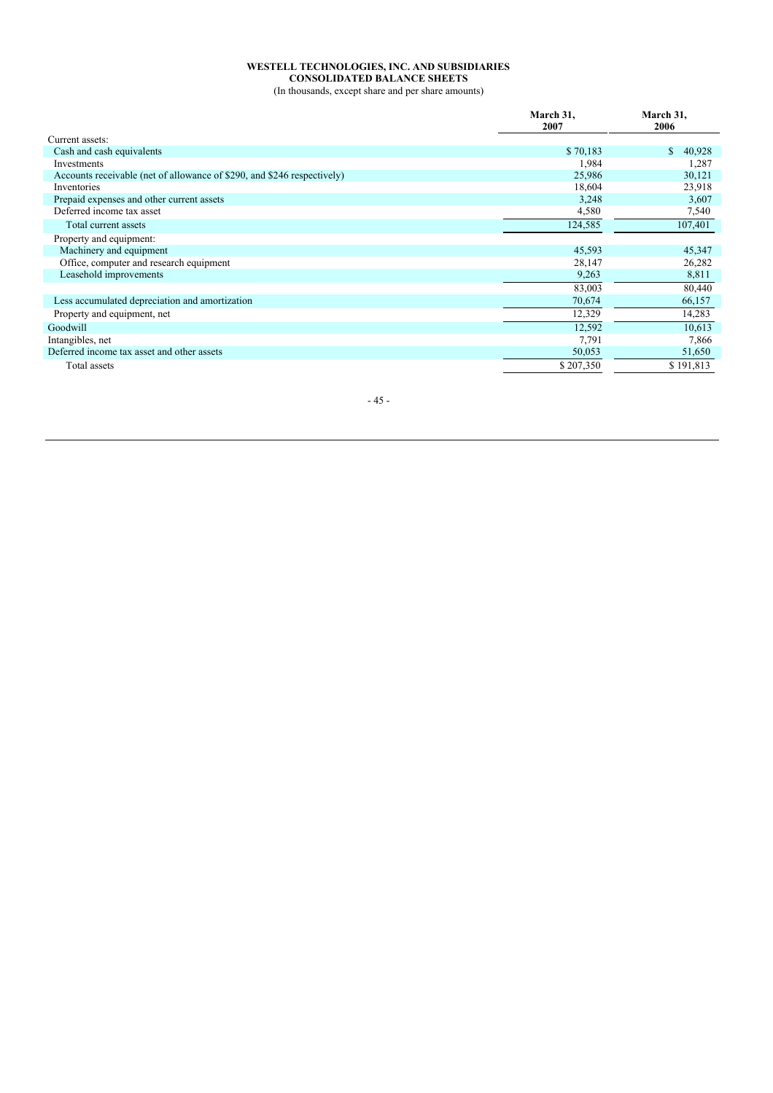### **WESTELL TECHNOLOGIES, INC. AND SUBSIDIARIES CONSOLIDATED BALANCE SHEETS** (In thousands, except share and per share amounts)

**March 31, 2007 March 31, 2006** Current assets: Cash and cash equivalents **3** 70,183 **\$** 40,928 Investments **5** 1,984 **\$** 40,928 Investments  $1,984$   $1,287$ Accounts receivable (net of allowance of \$290, and \$246 respectively) 25,986 30,121<br>
Inventories 23,918 Inventories 23,918 Prepaid expenses and other current assets 3,007<br>Deferred income tax asset 3,607<br> $7,540$ <br>3,248 3,607<br>3,248 3,607 Deferred income tax asset Total current assets 124,585 107,401 Property and equipment: Machinery and equipment 45,347 45,347 45,347 45,347 45,347 45,347 45,347 45,347 45,347 45,347 45,347 45,347 45,347 45,347 45,347 45,347 45,347 45,347 45,347 45,347 45,347 45,347 46,282 45,347 46,282 46,282 46,282 46,282 46 Office, computer and research equipment 28,147 26,282<br>Leasehold improvements 28,147 26,282 Leasehold improvements 83,003 80,440 Less accumulated depreciation and amortization  $70,674$  66,157 Property and equipment, net 12,329 14,283 Goodwill 12,592 10,613 Intangibles, net 7,791 7,866<br>Deferred income tax asset and other assets 50,053 51,650 Deferred income tax asset and other assets<br>
Total assets  $\frac{50,053}{\$207,350}$   $\frac{51,650}{\$191,813}$ Total assets \$ 207,350 \$ 191,813

- 45 -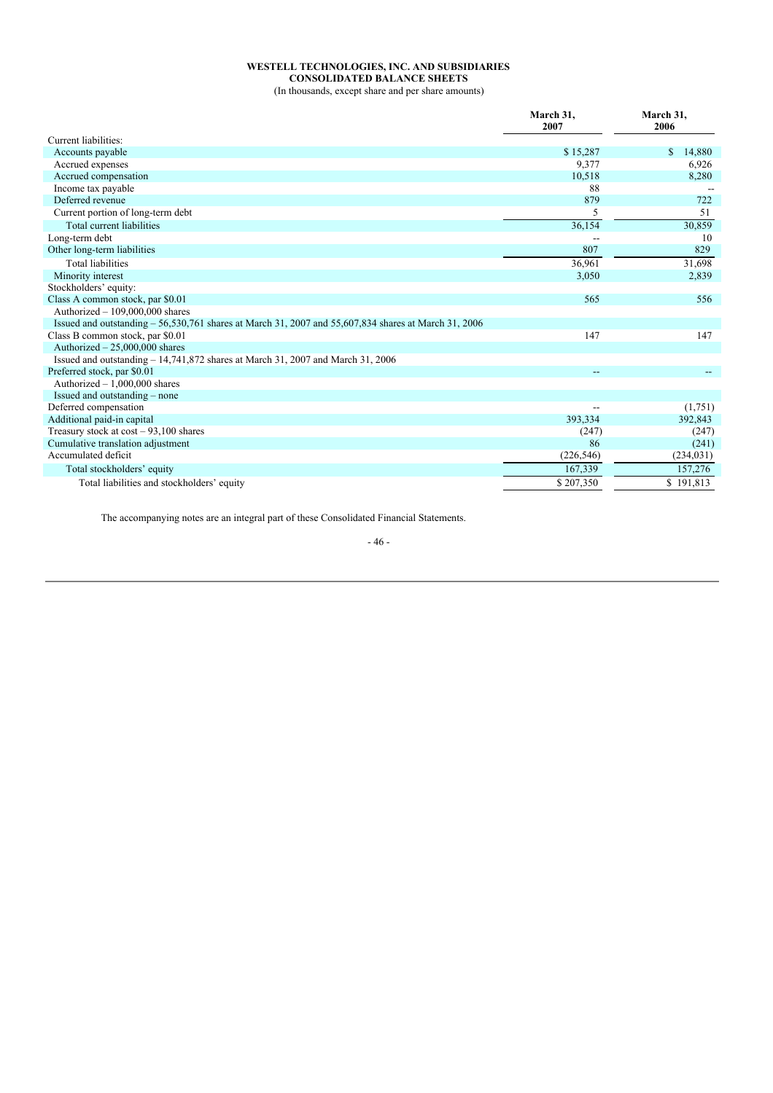# **WESTELL TECHNOLOGIES, INC. AND SUBSIDIARIES CONSOLIDATED BALANCE SHEETS**

(In thousands, except share and per share amounts)

|                                                                                                       | March 31,<br>2007 | March 31.<br>2006 |
|-------------------------------------------------------------------------------------------------------|-------------------|-------------------|
| Current liabilities:                                                                                  |                   |                   |
| Accounts payable                                                                                      | \$15,287          | S.<br>14,880      |
| Accrued expenses                                                                                      | 9,377             | 6,926             |
| Accrued compensation                                                                                  | 10,518            | 8,280             |
| Income tax payable                                                                                    | 88                |                   |
| Deferred revenue                                                                                      | 879               | 722               |
| Current portion of long-term debt                                                                     | 5.                | 51                |
| Total current liabilities                                                                             | 36,154            | 30,859            |
| Long-term debt                                                                                        |                   | 10                |
| Other long-term liabilities                                                                           | 807               | 829               |
| <b>Total liabilities</b>                                                                              | 36,961            | 31,698            |
| Minority interest                                                                                     | 3,050             | 2,839             |
| Stockholders' equity:                                                                                 |                   |                   |
| Class A common stock, par \$0.01                                                                      | 565               | 556               |
| Authorized $-109,000,000$ shares                                                                      |                   |                   |
| Issued and outstanding $-56,530,761$ shares at March 31, 2007 and 55,607,834 shares at March 31, 2006 |                   |                   |
| Class B common stock, par \$0.01                                                                      | 147               | 147               |
| Authorized $-25,000,000$ shares                                                                       |                   |                   |
| Issued and outstanding $-14,741,872$ shares at March 31, 2007 and March 31, 2006                      |                   |                   |
| Preferred stock, par \$0.01                                                                           |                   |                   |
| Authorized - 1,000,000 shares                                                                         |                   |                   |
| Issued and outstanding – none                                                                         |                   |                   |
| Deferred compensation                                                                                 |                   | (1,751)           |
| Additional paid-in capital                                                                            | 393,334           | 392,843           |
| Treasury stock at $cost - 93,100$ shares                                                              | (247)             | (247)             |
| Cumulative translation adjustment                                                                     | 86                | (241)             |
| Accumulated deficit                                                                                   | (226, 546)        | (234, 031)        |
| Total stockholders' equity                                                                            | 167,339           | 157,276           |
| Total liabilities and stockholders' equity                                                            | \$207,350         | \$191,813         |

The accompanying notes are an integral part of these Consolidated Financial Statements.

- 46 -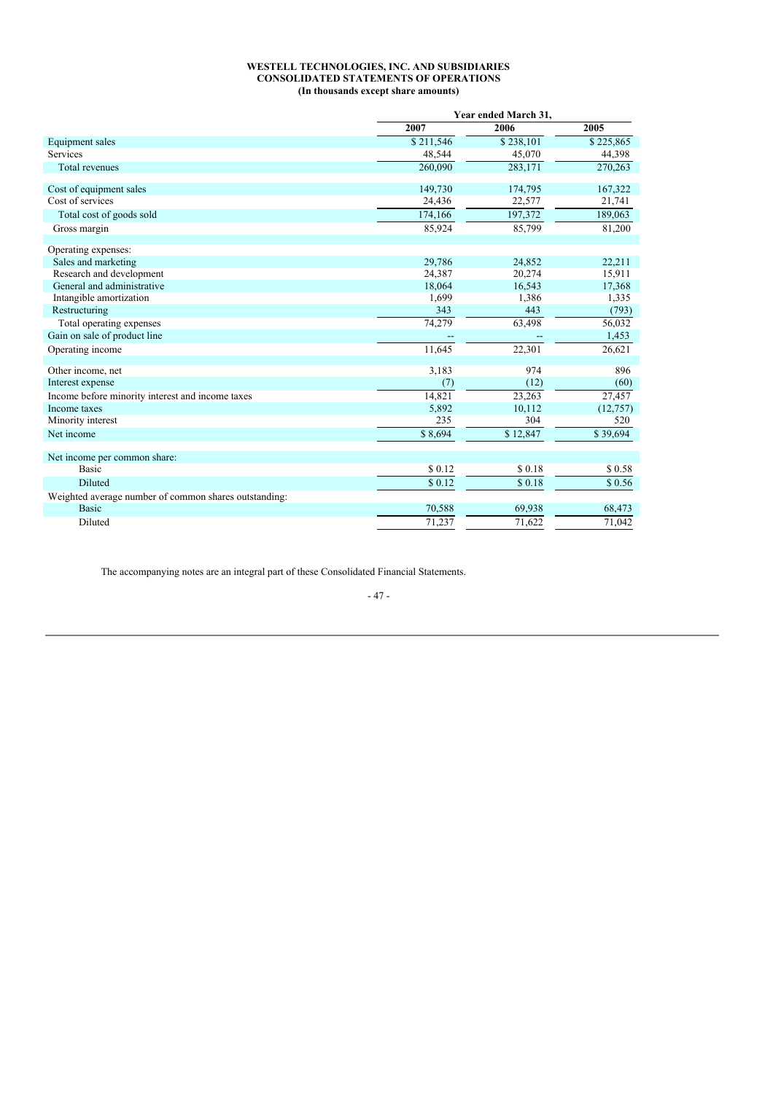#### **WESTELL TECHNOLOGIES, INC. AND SUBSIDIARIES CONSOLIDATED STATEMENTS OF OPERATIONS (In thousands except share amounts)**

|                                                       | Year ended March 31, |                |           |
|-------------------------------------------------------|----------------------|----------------|-----------|
|                                                       | 2007                 | 2006           | 2005      |
| Equipment sales                                       | \$211,546            | \$238,101      | \$225,865 |
| <b>Services</b>                                       | 48,544               | 45,070         | 44,398    |
| Total revenues                                        | 260,090              | 283,171        | 270,263   |
| Cost of equipment sales                               | 149,730              | 174,795        | 167,322   |
| Cost of services                                      | 24,436               | 22,577         | 21,741    |
| Total cost of goods sold                              | 174,166              | 197,372        | 189,063   |
| Gross margin                                          | 85,924               | 85,799         | 81,200    |
| Operating expenses:                                   |                      |                |           |
| Sales and marketing                                   | 29,786               | 24,852         | 22,211    |
| Research and development                              | 24,387               | 20,274         | 15,911    |
| General and administrative                            | 18.064               | 16,543         | 17,368    |
| Intangible amortization                               | 1,699                | 1,386          | 1,335     |
| Restructuring                                         | 343                  | 443            | (793)     |
| Total operating expenses                              | 74,279               | 63,498         | 56,032    |
| Gain on sale of product line                          |                      | $\overline{a}$ | 1,453     |
| Operating income                                      | 11,645               | 22,301         | 26,621    |
| Other income, net                                     | 3.183                | 974            | 896       |
| Interest expense                                      | (7)                  | (12)           | (60)      |
| Income before minority interest and income taxes      | 14,821               | 23,263         | 27,457    |
| Income taxes                                          | 5,892                | 10,112         | (12,757)  |
| Minority interest                                     | 235                  | 304            | 520       |
| Net income                                            | \$8,694              | \$12,847       | \$39,694  |
| Net income per common share:                          |                      |                |           |
| <b>Basic</b>                                          | \$0.12               | \$0.18         | \$0.58    |
| <b>Diluted</b>                                        | \$0.12               | \$0.18         | \$0.56    |
| Weighted average number of common shares outstanding: |                      |                |           |
| <b>Basic</b>                                          | 70,588               | 69,938         | 68,473    |
| Diluted                                               | 71,237               | 71,622         | 71,042    |

The accompanying notes are an integral part of these Consolidated Financial Statements.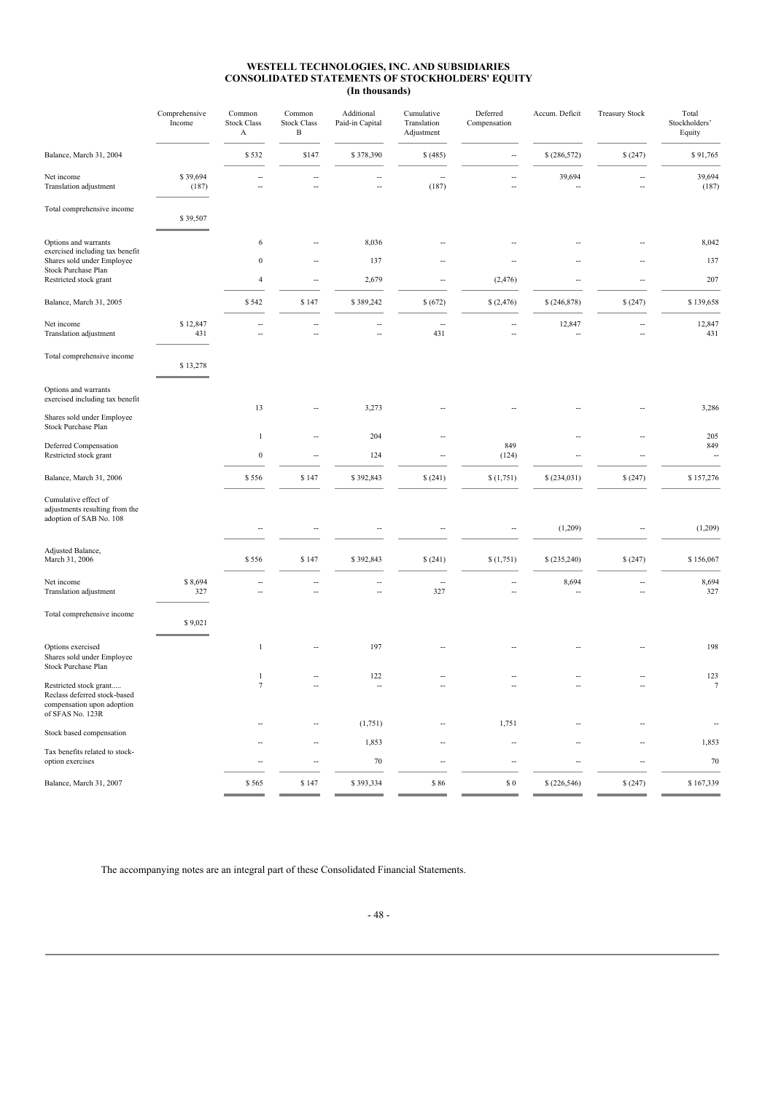#### **WESTELL TECHNOLOGIES, INC. AND SUBSIDIARIES CONSOLIDATED STATEMENTS OF STOCKHOLDERS' EQUITY (In thousands)**

|                                                                                                          | Comprehensive<br>Income | Common<br><b>Stock Class</b><br>A | Common<br><b>Stock Class</b><br>B                | Additional<br>Paid-in Capital                        | Cumulative<br>Translation<br>Adjustment | Deferred<br>Compensation         | Accum. Deficit  | <b>Treasury Stock</b>                      | Total<br>Stockholders'<br>Equity |
|----------------------------------------------------------------------------------------------------------|-------------------------|-----------------------------------|--------------------------------------------------|------------------------------------------------------|-----------------------------------------|----------------------------------|-----------------|--------------------------------------------|----------------------------------|
| Balance, March 31, 2004                                                                                  |                         | \$532                             | \$147                                            | \$378,390                                            | \$ (485)                                |                                  | \$(286,572)     | \$(247)                                    | \$91,765                         |
| Net income<br>Translation adjustment                                                                     | \$39,694<br>(187)       | --<br>$\sim$                      | $\ddot{\phantom{a}}$<br>$\sim$                   | ÷.                                                   | $\ddotsc$<br>(187)                      | $\overline{a}$<br>$\overline{a}$ | 39,694<br>Ξ.    | $\overline{\phantom{a}}$<br>$\sim$         | 39,694<br>(187)                  |
| Total comprehensive income                                                                               | \$39,507                |                                   |                                                  |                                                      |                                         |                                  |                 |                                            |                                  |
| Options and warrants<br>exercised including tax benefit                                                  |                         | 6                                 |                                                  | 8,036                                                |                                         |                                  |                 |                                            | 8,042                            |
| Shares sold under Employee<br>Stock Purchase Plan                                                        |                         | $\boldsymbol{0}$                  |                                                  | 137                                                  |                                         |                                  |                 |                                            | 137                              |
| Restricted stock grant                                                                                   |                         | $\overline{\mathcal{A}}$          | $\overline{\phantom{a}}$                         | 2,679                                                | $\overline{\phantom{a}}$                | (2, 476)                         | Ξ.              | $\overline{a}$                             | 207                              |
| Balance, March 31, 2005                                                                                  |                         | \$542                             | \$147                                            | \$389,242                                            | \$ (672)                                | \$(2,476)                        | $$$ $(246,878)$ | \$(247)                                    | \$139,658                        |
| Net income<br>Translation adjustment                                                                     | \$12,847<br>431         | $\overline{a}$<br>--              | $\ddot{\phantom{a}}$<br>÷.                       | $\overline{\phantom{a}}$<br>$\overline{\phantom{a}}$ | 4<br>431                                | Ξ.<br>Ξ.                         | 12,847          | $\overline{\phantom{a}}$<br>$\ddotsc$      | 12,847<br>431                    |
| Total comprehensive income                                                                               | \$13,278                |                                   |                                                  |                                                      |                                         |                                  |                 |                                            |                                  |
| Options and warrants<br>exercised including tax benefit                                                  |                         |                                   |                                                  |                                                      |                                         |                                  |                 |                                            |                                  |
| Shares sold under Employee<br>Stock Purchase Plan                                                        |                         | 13                                | $\overline{\phantom{a}}$                         | 3,273                                                |                                         |                                  |                 |                                            | 3,286                            |
| Deferred Compensation<br>Restricted stock grant                                                          |                         | 1<br>$\boldsymbol{0}$             | $\ddot{\phantom{a}}$<br>$\overline{\phantom{a}}$ | 204<br>124                                           | $\overline{\phantom{a}}$<br>--          | 849<br>(124)                     |                 | $\overline{\phantom{a}}$                   | 205<br>849<br>$\overline{a}$     |
| Balance, March 31, 2006                                                                                  |                         | \$556                             | \$147                                            | \$392,843                                            | \$(241)                                 | \$(1,751)                        | \$(234,031)     | \$(247)                                    | \$157,276                        |
| Cumulative effect of<br>adjustments resulting from the<br>adoption of SAB No. 108                        |                         |                                   |                                                  |                                                      |                                         |                                  |                 |                                            |                                  |
|                                                                                                          |                         |                                   |                                                  |                                                      |                                         |                                  | (1,209)         |                                            | (1,209)                          |
| Adjusted Balance,<br>March 31, 2006                                                                      |                         | \$556                             | \$147                                            | \$392,843                                            | \$(241)                                 | \$(1,751)                        | \$(235,240)     | \$(247)                                    | \$156,067                        |
| Net income<br>Translation adjustment                                                                     | \$8,694<br>327          | --<br>$\overline{\phantom{a}}$    | $\overline{\phantom{a}}$<br>÷.                   | ÷.                                                   | $\overline{\phantom{a}}$<br>327         | --<br>Ξ.                         | 8,694<br>--     | $\overline{\phantom{a}}$<br>$\overline{a}$ | 8,694<br>327                     |
| Total comprehensive income                                                                               | \$9,021                 |                                   |                                                  |                                                      |                                         |                                  |                 |                                            |                                  |
| Options exercised<br>Shares sold under Employee                                                          |                         | 1                                 |                                                  | 197                                                  |                                         |                                  |                 |                                            | 198                              |
| Stock Purchase Plan                                                                                      |                         | 1                                 |                                                  | 122                                                  |                                         |                                  |                 |                                            | 123                              |
| Restricted stock grant<br>Reclass deferred stock-based<br>compensation upon adoption<br>of SFAS No. 123R |                         | $\tau$                            |                                                  | L.                                                   |                                         |                                  |                 |                                            | $\tau$                           |
| Stock based compensation                                                                                 |                         | $\overline{a}$                    | $\overline{\phantom{a}}$                         | (1,751)                                              | $\overline{\phantom{a}}$                | 1,751                            | --              | $\overline{\phantom{a}}$                   | $\overline{\phantom{a}}$         |
| Tax benefits related to stock-                                                                           |                         | --                                | $\overline{\phantom{a}}$                         | 1,853                                                | $\overline{\phantom{a}}$                | $\overline{\phantom{a}}$         | --              | --                                         | 1,853                            |
| option exercises                                                                                         |                         | $\overline{\phantom{a}}$          | $\overline{\phantom{a}}$                         | 70                                                   | --                                      | $\overline{\phantom{a}}$         | --              | $\overline{\phantom{a}}$                   | 70                               |
| Balance, March 31, 2007                                                                                  |                         | \$565                             | \$147                                            | \$393,334                                            | \$86                                    | $\$$ $0$                         | $$$ $(226,546)$ | \$(247)                                    | \$167,339                        |

The accompanying notes are an integral part of these Consolidated Financial Statements.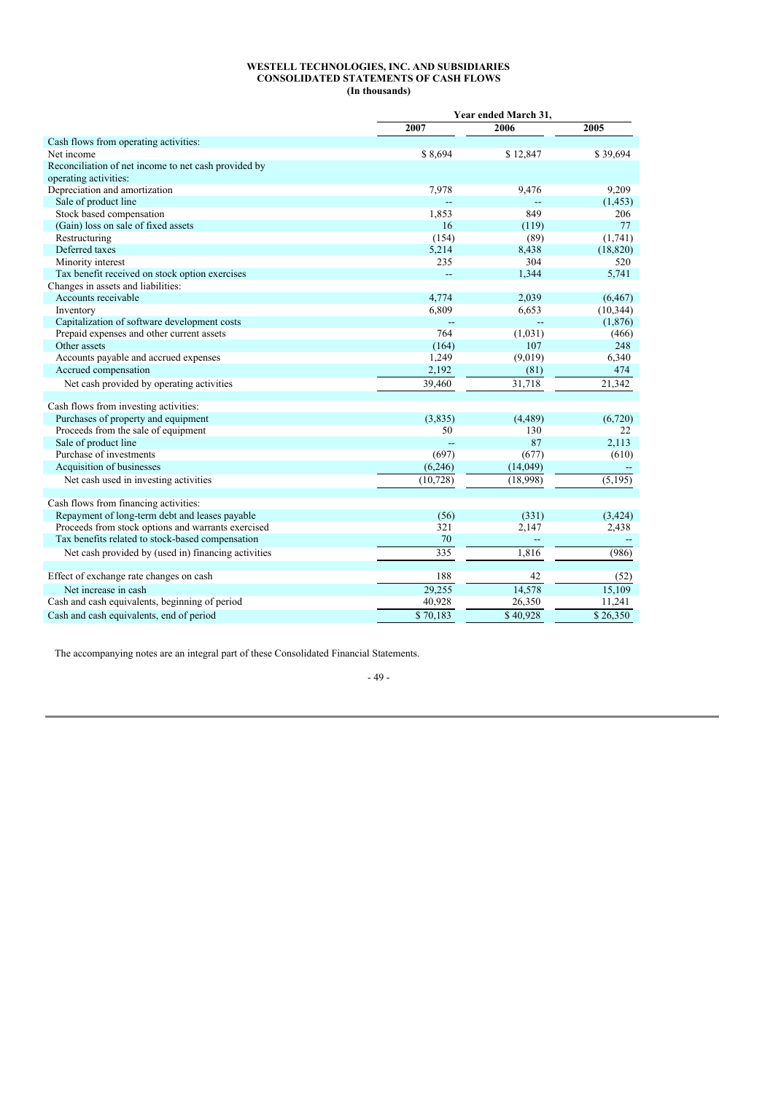#### **WESTELL TECHNOLOGIES, INC. AND SUBSIDIARIES CONSOLIDATED STATEMENTS OF CASH FLOWS (In thousands)**

| 2006<br>2005<br>2007<br>Cash flows from operating activities:<br>Net income<br>\$8,694<br>\$12,847<br>\$39,694<br>Reconciliation of net income to net cash provided by<br>operating activities:<br>Depreciation and amortization<br>7,978<br>9,209<br>9,476<br>Sale of product line<br>(1, 453)<br>Stock based compensation<br>849<br>1,853<br>206<br>(Gain) loss on sale of fixed assets<br>77<br>16<br>(119)<br>(154)<br>(89)<br>(1,741)<br>Restructuring<br>Deferred taxes<br>5,214<br>8,438<br>(18, 820)<br>235<br>304<br>520<br>Minority interest<br>Tax benefit received on stock option exercises<br>5.741<br>1,344<br>$\overline{a}$<br>Changes in assets and liabilities:<br>Accounts receivable<br>4,774<br>2,039<br>(6, 467)<br>6,809<br>Inventory<br>6,653<br>Capitalization of software development costs<br>(1, 876)<br>764<br>Prepaid expenses and other current assets<br>(1,031)<br>(466)<br>Other assets<br>107<br>(164)<br>248<br>Accounts payable and accrued expenses<br>1,249<br>(9,019)<br>6,340<br>Accrued compensation<br>2,192<br>(81)<br>474<br>Net cash provided by operating activities<br>31,718<br>39,460<br>21,342<br>Cash flows from investing activities:<br>Purchases of property and equipment<br>(3,835)<br>(4, 489)<br>(6,720)<br>Proceeds from the sale of equipment<br>50<br>130<br>22<br>Sale of product line<br>87<br>2,113<br>$\overline{a}$<br>Purchase of investments<br>(697)<br>(677)<br>(610)<br>Acquisition of businesses<br>(6,246)<br>(14,049)<br>Net cash used in investing activities<br>(10, 728)<br>(18,998)<br>(5, 195)<br>Cash flows from financing activities:<br>Repayment of long-term debt and leases payable<br>(56)<br>(331)<br>(3, 424)<br>Proceeds from stock options and warrants exercised<br>321<br>2,147<br>2,438<br>Tax benefits related to stock-based compensation<br>70<br>335<br>1.816<br>Net cash provided by (used in) financing activities<br>(986)<br>188<br>Effect of exchange rate changes on cash<br>42<br>(52)<br>Net increase in cash<br>29,255<br>14,578<br>15,109<br>Cash and cash equivalents, beginning of period<br>40,928<br>11,241<br>26,350 |                                          | Year ended March 31, |          |          |  |
|----------------------------------------------------------------------------------------------------------------------------------------------------------------------------------------------------------------------------------------------------------------------------------------------------------------------------------------------------------------------------------------------------------------------------------------------------------------------------------------------------------------------------------------------------------------------------------------------------------------------------------------------------------------------------------------------------------------------------------------------------------------------------------------------------------------------------------------------------------------------------------------------------------------------------------------------------------------------------------------------------------------------------------------------------------------------------------------------------------------------------------------------------------------------------------------------------------------------------------------------------------------------------------------------------------------------------------------------------------------------------------------------------------------------------------------------------------------------------------------------------------------------------------------------------------------------------------------------------------------------------------------------------------------------------------------------------------------------------------------------------------------------------------------------------------------------------------------------------------------------------------------------------------------------------------------------------------------------------------------------------------------------------------------------------------------------------------------------------------------------------------------|------------------------------------------|----------------------|----------|----------|--|
| (10, 344)                                                                                                                                                                                                                                                                                                                                                                                                                                                                                                                                                                                                                                                                                                                                                                                                                                                                                                                                                                                                                                                                                                                                                                                                                                                                                                                                                                                                                                                                                                                                                                                                                                                                                                                                                                                                                                                                                                                                                                                                                                                                                                                              |                                          |                      |          |          |  |
|                                                                                                                                                                                                                                                                                                                                                                                                                                                                                                                                                                                                                                                                                                                                                                                                                                                                                                                                                                                                                                                                                                                                                                                                                                                                                                                                                                                                                                                                                                                                                                                                                                                                                                                                                                                                                                                                                                                                                                                                                                                                                                                                        |                                          |                      |          |          |  |
|                                                                                                                                                                                                                                                                                                                                                                                                                                                                                                                                                                                                                                                                                                                                                                                                                                                                                                                                                                                                                                                                                                                                                                                                                                                                                                                                                                                                                                                                                                                                                                                                                                                                                                                                                                                                                                                                                                                                                                                                                                                                                                                                        |                                          |                      |          |          |  |
|                                                                                                                                                                                                                                                                                                                                                                                                                                                                                                                                                                                                                                                                                                                                                                                                                                                                                                                                                                                                                                                                                                                                                                                                                                                                                                                                                                                                                                                                                                                                                                                                                                                                                                                                                                                                                                                                                                                                                                                                                                                                                                                                        |                                          |                      |          |          |  |
|                                                                                                                                                                                                                                                                                                                                                                                                                                                                                                                                                                                                                                                                                                                                                                                                                                                                                                                                                                                                                                                                                                                                                                                                                                                                                                                                                                                                                                                                                                                                                                                                                                                                                                                                                                                                                                                                                                                                                                                                                                                                                                                                        |                                          |                      |          |          |  |
|                                                                                                                                                                                                                                                                                                                                                                                                                                                                                                                                                                                                                                                                                                                                                                                                                                                                                                                                                                                                                                                                                                                                                                                                                                                                                                                                                                                                                                                                                                                                                                                                                                                                                                                                                                                                                                                                                                                                                                                                                                                                                                                                        |                                          |                      |          |          |  |
|                                                                                                                                                                                                                                                                                                                                                                                                                                                                                                                                                                                                                                                                                                                                                                                                                                                                                                                                                                                                                                                                                                                                                                                                                                                                                                                                                                                                                                                                                                                                                                                                                                                                                                                                                                                                                                                                                                                                                                                                                                                                                                                                        |                                          |                      |          |          |  |
|                                                                                                                                                                                                                                                                                                                                                                                                                                                                                                                                                                                                                                                                                                                                                                                                                                                                                                                                                                                                                                                                                                                                                                                                                                                                                                                                                                                                                                                                                                                                                                                                                                                                                                                                                                                                                                                                                                                                                                                                                                                                                                                                        |                                          |                      |          |          |  |
|                                                                                                                                                                                                                                                                                                                                                                                                                                                                                                                                                                                                                                                                                                                                                                                                                                                                                                                                                                                                                                                                                                                                                                                                                                                                                                                                                                                                                                                                                                                                                                                                                                                                                                                                                                                                                                                                                                                                                                                                                                                                                                                                        |                                          |                      |          |          |  |
|                                                                                                                                                                                                                                                                                                                                                                                                                                                                                                                                                                                                                                                                                                                                                                                                                                                                                                                                                                                                                                                                                                                                                                                                                                                                                                                                                                                                                                                                                                                                                                                                                                                                                                                                                                                                                                                                                                                                                                                                                                                                                                                                        |                                          |                      |          |          |  |
|                                                                                                                                                                                                                                                                                                                                                                                                                                                                                                                                                                                                                                                                                                                                                                                                                                                                                                                                                                                                                                                                                                                                                                                                                                                                                                                                                                                                                                                                                                                                                                                                                                                                                                                                                                                                                                                                                                                                                                                                                                                                                                                                        |                                          |                      |          |          |  |
|                                                                                                                                                                                                                                                                                                                                                                                                                                                                                                                                                                                                                                                                                                                                                                                                                                                                                                                                                                                                                                                                                                                                                                                                                                                                                                                                                                                                                                                                                                                                                                                                                                                                                                                                                                                                                                                                                                                                                                                                                                                                                                                                        |                                          |                      |          |          |  |
|                                                                                                                                                                                                                                                                                                                                                                                                                                                                                                                                                                                                                                                                                                                                                                                                                                                                                                                                                                                                                                                                                                                                                                                                                                                                                                                                                                                                                                                                                                                                                                                                                                                                                                                                                                                                                                                                                                                                                                                                                                                                                                                                        |                                          |                      |          |          |  |
|                                                                                                                                                                                                                                                                                                                                                                                                                                                                                                                                                                                                                                                                                                                                                                                                                                                                                                                                                                                                                                                                                                                                                                                                                                                                                                                                                                                                                                                                                                                                                                                                                                                                                                                                                                                                                                                                                                                                                                                                                                                                                                                                        |                                          |                      |          |          |  |
|                                                                                                                                                                                                                                                                                                                                                                                                                                                                                                                                                                                                                                                                                                                                                                                                                                                                                                                                                                                                                                                                                                                                                                                                                                                                                                                                                                                                                                                                                                                                                                                                                                                                                                                                                                                                                                                                                                                                                                                                                                                                                                                                        |                                          |                      |          |          |  |
|                                                                                                                                                                                                                                                                                                                                                                                                                                                                                                                                                                                                                                                                                                                                                                                                                                                                                                                                                                                                                                                                                                                                                                                                                                                                                                                                                                                                                                                                                                                                                                                                                                                                                                                                                                                                                                                                                                                                                                                                                                                                                                                                        |                                          |                      |          |          |  |
|                                                                                                                                                                                                                                                                                                                                                                                                                                                                                                                                                                                                                                                                                                                                                                                                                                                                                                                                                                                                                                                                                                                                                                                                                                                                                                                                                                                                                                                                                                                                                                                                                                                                                                                                                                                                                                                                                                                                                                                                                                                                                                                                        |                                          |                      |          |          |  |
|                                                                                                                                                                                                                                                                                                                                                                                                                                                                                                                                                                                                                                                                                                                                                                                                                                                                                                                                                                                                                                                                                                                                                                                                                                                                                                                                                                                                                                                                                                                                                                                                                                                                                                                                                                                                                                                                                                                                                                                                                                                                                                                                        |                                          |                      |          |          |  |
|                                                                                                                                                                                                                                                                                                                                                                                                                                                                                                                                                                                                                                                                                                                                                                                                                                                                                                                                                                                                                                                                                                                                                                                                                                                                                                                                                                                                                                                                                                                                                                                                                                                                                                                                                                                                                                                                                                                                                                                                                                                                                                                                        |                                          |                      |          |          |  |
|                                                                                                                                                                                                                                                                                                                                                                                                                                                                                                                                                                                                                                                                                                                                                                                                                                                                                                                                                                                                                                                                                                                                                                                                                                                                                                                                                                                                                                                                                                                                                                                                                                                                                                                                                                                                                                                                                                                                                                                                                                                                                                                                        |                                          |                      |          |          |  |
|                                                                                                                                                                                                                                                                                                                                                                                                                                                                                                                                                                                                                                                                                                                                                                                                                                                                                                                                                                                                                                                                                                                                                                                                                                                                                                                                                                                                                                                                                                                                                                                                                                                                                                                                                                                                                                                                                                                                                                                                                                                                                                                                        |                                          |                      |          |          |  |
|                                                                                                                                                                                                                                                                                                                                                                                                                                                                                                                                                                                                                                                                                                                                                                                                                                                                                                                                                                                                                                                                                                                                                                                                                                                                                                                                                                                                                                                                                                                                                                                                                                                                                                                                                                                                                                                                                                                                                                                                                                                                                                                                        |                                          |                      |          |          |  |
|                                                                                                                                                                                                                                                                                                                                                                                                                                                                                                                                                                                                                                                                                                                                                                                                                                                                                                                                                                                                                                                                                                                                                                                                                                                                                                                                                                                                                                                                                                                                                                                                                                                                                                                                                                                                                                                                                                                                                                                                                                                                                                                                        |                                          |                      |          |          |  |
|                                                                                                                                                                                                                                                                                                                                                                                                                                                                                                                                                                                                                                                                                                                                                                                                                                                                                                                                                                                                                                                                                                                                                                                                                                                                                                                                                                                                                                                                                                                                                                                                                                                                                                                                                                                                                                                                                                                                                                                                                                                                                                                                        |                                          |                      |          |          |  |
|                                                                                                                                                                                                                                                                                                                                                                                                                                                                                                                                                                                                                                                                                                                                                                                                                                                                                                                                                                                                                                                                                                                                                                                                                                                                                                                                                                                                                                                                                                                                                                                                                                                                                                                                                                                                                                                                                                                                                                                                                                                                                                                                        |                                          |                      |          |          |  |
|                                                                                                                                                                                                                                                                                                                                                                                                                                                                                                                                                                                                                                                                                                                                                                                                                                                                                                                                                                                                                                                                                                                                                                                                                                                                                                                                                                                                                                                                                                                                                                                                                                                                                                                                                                                                                                                                                                                                                                                                                                                                                                                                        |                                          |                      |          |          |  |
|                                                                                                                                                                                                                                                                                                                                                                                                                                                                                                                                                                                                                                                                                                                                                                                                                                                                                                                                                                                                                                                                                                                                                                                                                                                                                                                                                                                                                                                                                                                                                                                                                                                                                                                                                                                                                                                                                                                                                                                                                                                                                                                                        |                                          |                      |          |          |  |
|                                                                                                                                                                                                                                                                                                                                                                                                                                                                                                                                                                                                                                                                                                                                                                                                                                                                                                                                                                                                                                                                                                                                                                                                                                                                                                                                                                                                                                                                                                                                                                                                                                                                                                                                                                                                                                                                                                                                                                                                                                                                                                                                        |                                          |                      |          |          |  |
|                                                                                                                                                                                                                                                                                                                                                                                                                                                                                                                                                                                                                                                                                                                                                                                                                                                                                                                                                                                                                                                                                                                                                                                                                                                                                                                                                                                                                                                                                                                                                                                                                                                                                                                                                                                                                                                                                                                                                                                                                                                                                                                                        |                                          |                      |          |          |  |
|                                                                                                                                                                                                                                                                                                                                                                                                                                                                                                                                                                                                                                                                                                                                                                                                                                                                                                                                                                                                                                                                                                                                                                                                                                                                                                                                                                                                                                                                                                                                                                                                                                                                                                                                                                                                                                                                                                                                                                                                                                                                                                                                        |                                          |                      |          |          |  |
|                                                                                                                                                                                                                                                                                                                                                                                                                                                                                                                                                                                                                                                                                                                                                                                                                                                                                                                                                                                                                                                                                                                                                                                                                                                                                                                                                                                                                                                                                                                                                                                                                                                                                                                                                                                                                                                                                                                                                                                                                                                                                                                                        |                                          |                      |          |          |  |
|                                                                                                                                                                                                                                                                                                                                                                                                                                                                                                                                                                                                                                                                                                                                                                                                                                                                                                                                                                                                                                                                                                                                                                                                                                                                                                                                                                                                                                                                                                                                                                                                                                                                                                                                                                                                                                                                                                                                                                                                                                                                                                                                        |                                          |                      |          |          |  |
|                                                                                                                                                                                                                                                                                                                                                                                                                                                                                                                                                                                                                                                                                                                                                                                                                                                                                                                                                                                                                                                                                                                                                                                                                                                                                                                                                                                                                                                                                                                                                                                                                                                                                                                                                                                                                                                                                                                                                                                                                                                                                                                                        |                                          |                      |          |          |  |
|                                                                                                                                                                                                                                                                                                                                                                                                                                                                                                                                                                                                                                                                                                                                                                                                                                                                                                                                                                                                                                                                                                                                                                                                                                                                                                                                                                                                                                                                                                                                                                                                                                                                                                                                                                                                                                                                                                                                                                                                                                                                                                                                        |                                          |                      |          |          |  |
|                                                                                                                                                                                                                                                                                                                                                                                                                                                                                                                                                                                                                                                                                                                                                                                                                                                                                                                                                                                                                                                                                                                                                                                                                                                                                                                                                                                                                                                                                                                                                                                                                                                                                                                                                                                                                                                                                                                                                                                                                                                                                                                                        |                                          |                      |          |          |  |
|                                                                                                                                                                                                                                                                                                                                                                                                                                                                                                                                                                                                                                                                                                                                                                                                                                                                                                                                                                                                                                                                                                                                                                                                                                                                                                                                                                                                                                                                                                                                                                                                                                                                                                                                                                                                                                                                                                                                                                                                                                                                                                                                        |                                          |                      |          |          |  |
|                                                                                                                                                                                                                                                                                                                                                                                                                                                                                                                                                                                                                                                                                                                                                                                                                                                                                                                                                                                                                                                                                                                                                                                                                                                                                                                                                                                                                                                                                                                                                                                                                                                                                                                                                                                                                                                                                                                                                                                                                                                                                                                                        |                                          |                      |          |          |  |
|                                                                                                                                                                                                                                                                                                                                                                                                                                                                                                                                                                                                                                                                                                                                                                                                                                                                                                                                                                                                                                                                                                                                                                                                                                                                                                                                                                                                                                                                                                                                                                                                                                                                                                                                                                                                                                                                                                                                                                                                                                                                                                                                        | Cash and cash equivalents, end of period | \$70,183             | \$40,928 | \$26,350 |  |

The accompanying notes are an integral part of these Consolidated Financial Statements.

- 49 -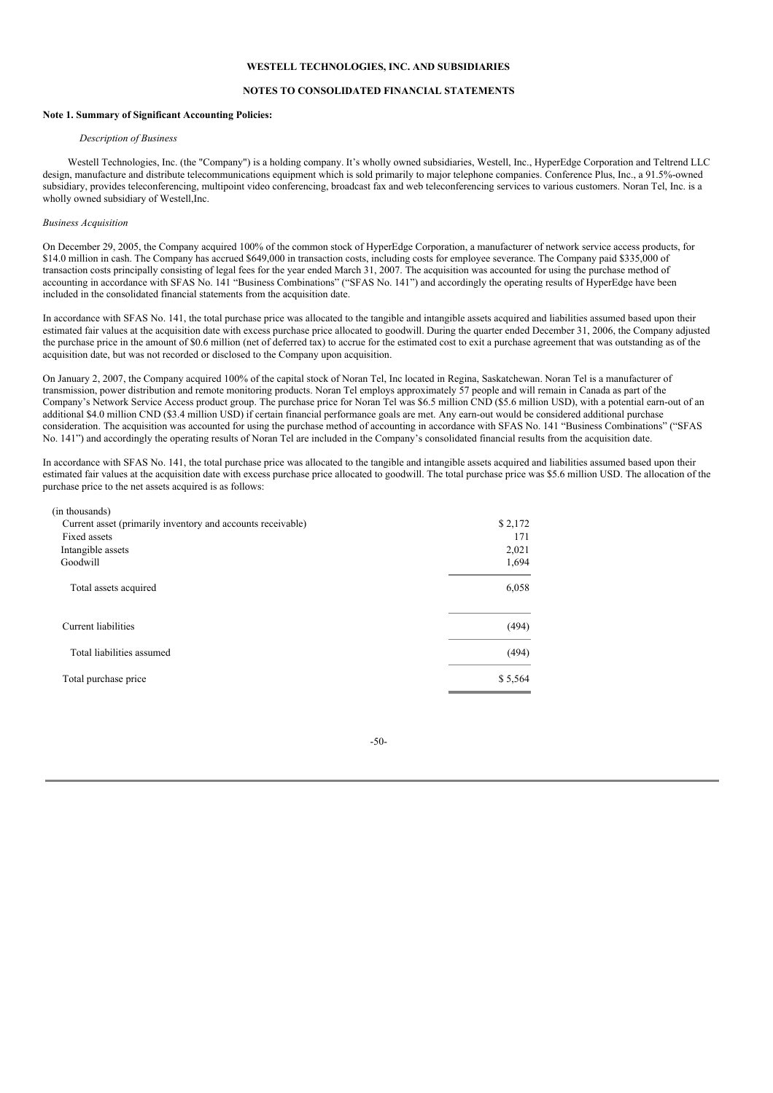### **WESTELL TECHNOLOGIES, INC. AND SUBSIDIARIES**

## **NOTES TO CONSOLIDATED FINANCIAL STATEMENTS**

#### **Note 1. Summary of Significant Accounting Policies:**

#### *Description of Business*

Westell Technologies, Inc. (the "Company") is a holding company. It's wholly owned subsidiaries, Westell, Inc., HyperEdge Corporation and Teltrend LLC design, manufacture and distribute telecommunications equipment which is sold primarily to major telephone companies. Conference Plus, Inc., a 91.5%-owned subsidiary, provides teleconferencing, multipoint video conferencing, broadcast fax and web teleconferencing services to various customers. Noran Tel, Inc. is a wholly owned subsidiary of Westell,Inc.

### *Business Acquisition*

 $(i_{\rm m}$  thousands)

On December 29, 2005, the Company acquired 100% of the common stock of HyperEdge Corporation, a manufacturer of network service access products, for \$14.0 million in cash. The Company has accrued \$649,000 in transaction costs, including costs for employee severance. The Company paid \$335,000 of transaction costs principally consisting of legal fees for the year ended March 31, 2007. The acquisition was accounted for using the purchase method of accounting in accordance with SFAS No. 141 "Business Combinations" ("SFAS No. 141") and accordingly the operating results of HyperEdge have been included in the consolidated financial statements from the acquisition date.

In accordance with SFAS No. 141, the total purchase price was allocated to the tangible and intangible assets acquired and liabilities assumed based upon their estimated fair values at the acquisition date with excess purchase price allocated to goodwill. During the quarter ended December 31, 2006, the Company adjusted the purchase price in the amount of \$0.6 million (net of deferred tax) to accrue for the estimated cost to exit a purchase agreement that was outstanding as of the acquisition date, but was not recorded or disclosed to the Company upon acquisition.

On January 2, 2007, the Company acquired 100% of the capital stock of Noran Tel, Inc located in Regina, Saskatchewan. Noran Tel is a manufacturer of transmission, power distribution and remote monitoring products. Noran Tel employs approximately 57 people and will remain in Canada as part of the Company's Network Service Access product group. The purchase price for Noran Tel was \$6.5 million CND (\$5.6 million USD), with a potential earn-out of an additional \$4.0 million CND (\$3.4 million USD) if certain financial performance goals are met. Any earn-out would be considered additional purchase consideration. The acquisition was accounted for using the purchase method of accounting in accordance with SFAS No. 141 "Business Combinations" ("SFAS No. 141") and accordingly the operating results of Noran Tel are included in the Company's consolidated financial results from the acquisition date.

In accordance with SFAS No. 141, the total purchase price was allocated to the tangible and intangible assets acquired and liabilities assumed based upon their estimated fair values at the acquisition date with excess purchase price allocated to goodwill. The total purchase price was \$5.6 million USD. The allocation of the purchase price to the net assets acquired is as follows:

| ти июизаниз)                                                |         |
|-------------------------------------------------------------|---------|
| Current asset (primarily inventory and accounts receivable) | \$2,172 |
| Fixed assets                                                | 171     |
| Intangible assets                                           | 2,021   |
| Goodwill                                                    | 1,694   |
| Total assets acquired                                       | 6,058   |
| Current liabilities                                         | (494)   |
| Total liabilities assumed                                   | (494)   |
| Total purchase price                                        | \$5,564 |
|                                                             |         |

-50-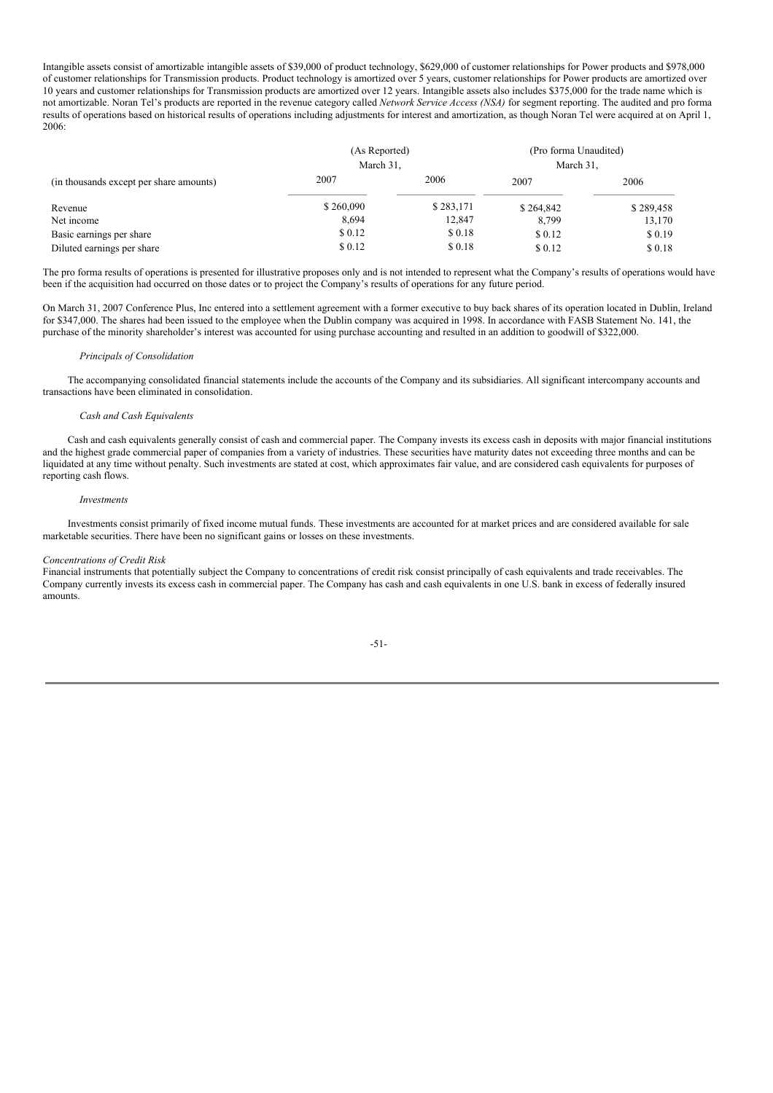Intangible assets consist of amortizable intangible assets of \$39,000 of product technology, \$629,000 of customer relationships for Power products and \$978,000 of customer relationships for Transmission products. Product technology is amortized over 5 years, customer relationships for Power products are amortized over 10 years and customer relationships for Transmission products are amortized over 12 years. Intangible assets also includes \$375,000 for the trade name which is not amortizable. Noran Tel's products are reported in the revenue category called *Network Service Access (NSA)* for segment reporting. The audited and pro forma results of operations based on historical results of operations including adjustments for interest and amortization, as though Noran Tel were acquired at on April 1, 2006:

|                                         | (As Reported) |           | (Pro forma Unaudited) |           |
|-----------------------------------------|---------------|-----------|-----------------------|-----------|
|                                         | March 31,     |           | March 31,             |           |
| (in thousands except per share amounts) | 2007          | 2006      | 2007                  | 2006      |
| Revenue                                 | \$260,090     | \$283,171 | \$264,842             | \$289,458 |
| Net income                              | 8,694         | 12,847    | 8,799                 | 13,170    |
| Basic earnings per share                | \$0.12        | \$0.18    | \$0.12                | \$0.19    |
| Diluted earnings per share              | \$ 0.12       | \$0.18    | \$0.12                | \$0.18    |

The pro forma results of operations is presented for illustrative proposes only and is not intended to represent what the Company's results of operations would have been if the acquisition had occurred on those dates or to project the Company's results of operations for any future period.

On March 31, 2007 Conference Plus, Inc entered into a settlement agreement with a former executive to buy back shares of its operation located in Dublin, Ireland for \$347,000. The shares had been issued to the employee when the Dublin company was acquired in 1998. In accordance with FASB Statement No. 141, the purchase of the minority shareholder's interest was accounted for using purchase accounting and resulted in an addition to goodwill of \$322,000.

#### *Principals of Consolidation*

The accompanying consolidated financial statements include the accounts of the Company and its subsidiaries. All significant intercompany accounts and transactions have been eliminated in consolidation.

#### *Cash and Cash Equivalents*

Cash and cash equivalents generally consist of cash and commercial paper. The Company invests its excess cash in deposits with major financial institutions and the highest grade commercial paper of companies from a variety of industries. These securities have maturity dates not exceeding three months and can be liquidated at any time without penalty. Such investments are stated at cost, which approximates fair value, and are considered cash equivalents for purposes of reporting cash flows.

#### *Investments*

Investments consist primarily of fixed income mutual funds. These investments are accounted for at market prices and are considered available for sale marketable securities. There have been no significant gains or losses on these investments.

### *Concentrations of Credit Risk*

Financial instruments that potentially subject the Company to concentrations of credit risk consist principally of cash equivalents and trade receivables. The Company currently invests its excess cash in commercial paper. The Company has cash and cash equivalents in one U.S. bank in excess of federally insured amounts.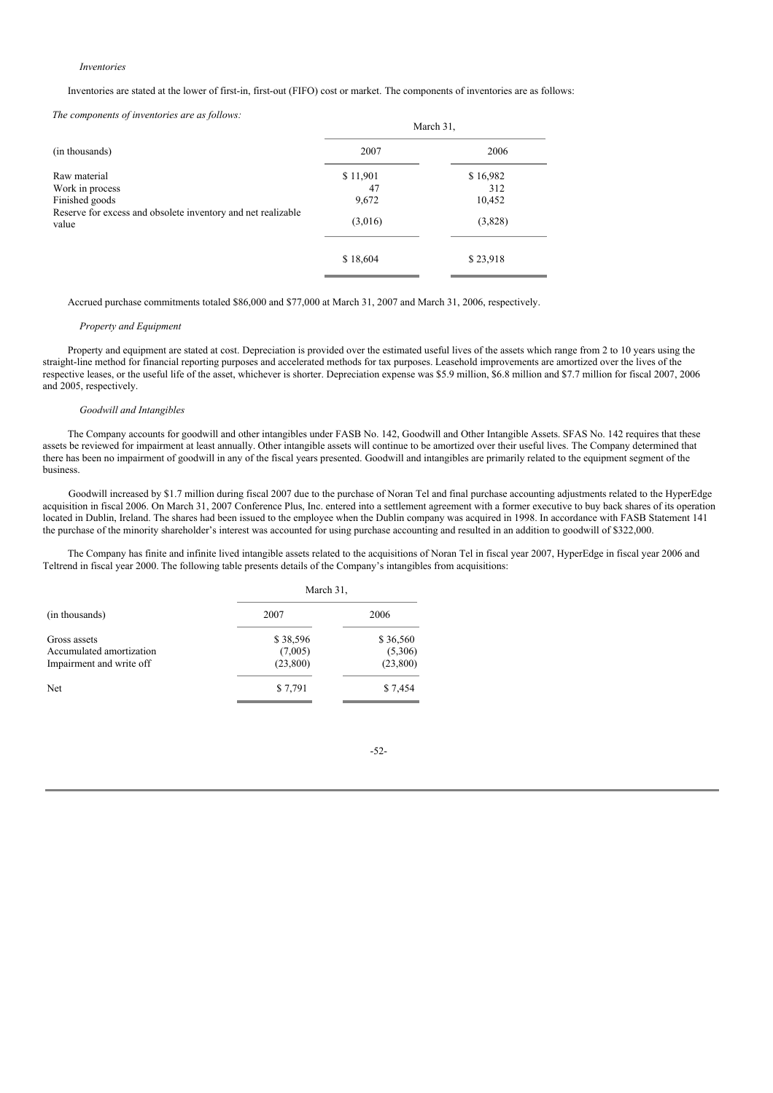#### *Inventories*

Inventories are stated at the lower of first-in, first-out (FIFO) cost or market. The components of inventories are as follows:

*The components of inventories are as follows:*

| The components of threntories are as follows.                         | March 31, |          |  |
|-----------------------------------------------------------------------|-----------|----------|--|
| (in thousands)                                                        | 2007      | 2006     |  |
| Raw material                                                          | \$11,901  | \$16,982 |  |
| Work in process                                                       | 47        | 312      |  |
| Finished goods                                                        | 9,672     | 10,452   |  |
| Reserve for excess and obsolete inventory and net realizable<br>value | (3,016)   | (3,828)  |  |
|                                                                       | \$18,604  | \$23,918 |  |

Accrued purchase commitments totaled \$86,000 and \$77,000 at March 31, 2007 and March 31, 2006, respectively.

#### *Property and Equipment*

Property and equipment are stated at cost. Depreciation is provided over the estimated useful lives of the assets which range from 2 to 10 years using the straight-line method for financial reporting purposes and accelerated methods for tax purposes. Leasehold improvements are amortized over the lives of the respective leases, or the useful life of the asset, whichever is shorter. Depreciation expense was \$5.9 million, \$6.8 million and \$7.7 million for fiscal 2007, 2006 and 2005, respectively.

#### *Goodwill and Intangibles*

The Company accounts for goodwill and other intangibles under FASB No. 142, Goodwill and Other Intangible Assets. SFAS No. 142 requires that these assets be reviewed for impairment at least annually. Other intangible assets will continue to be amortized over their useful lives. The Company determined that there has been no impairment of goodwill in any of the fiscal years presented. Goodwill and intangibles are primarily related to the equipment segment of the business.

Goodwill increased by \$1.7 million during fiscal 2007 due to the purchase of Noran Tel and final purchase accounting adjustments related to the HyperEdge acquisition in fiscal 2006. On March 31, 2007 Conference Plus, Inc. entered into a settlement agreement with a former executive to buy back shares of its operation located in Dublin, Ireland. The shares had been issued to the employee when the Dublin company was acquired in 1998. In accordance with FASB Statement 141 the purchase of the minority shareholder's interest was accounted for using purchase accounting and resulted in an addition to goodwill of \$322,000.

The Company has finite and infinite lived intangible assets related to the acquisitions of Noran Tel in fiscal year 2007, HyperEdge in fiscal year 2006 and Teltrend in fiscal year 2000. The following table presents details of the Company's intangibles from acquisitions:

|                          | March 31, |          |
|--------------------------|-----------|----------|
| (in thousands)           | 2007      | 2006     |
| Gross assets             | \$38,596  | \$36,560 |
| Accumulated amortization | (7,005)   | (5,306)  |
| Impairment and write off | (23,800)  | (23,800) |
| Net                      | \$7,791   | \$7,454  |

-52-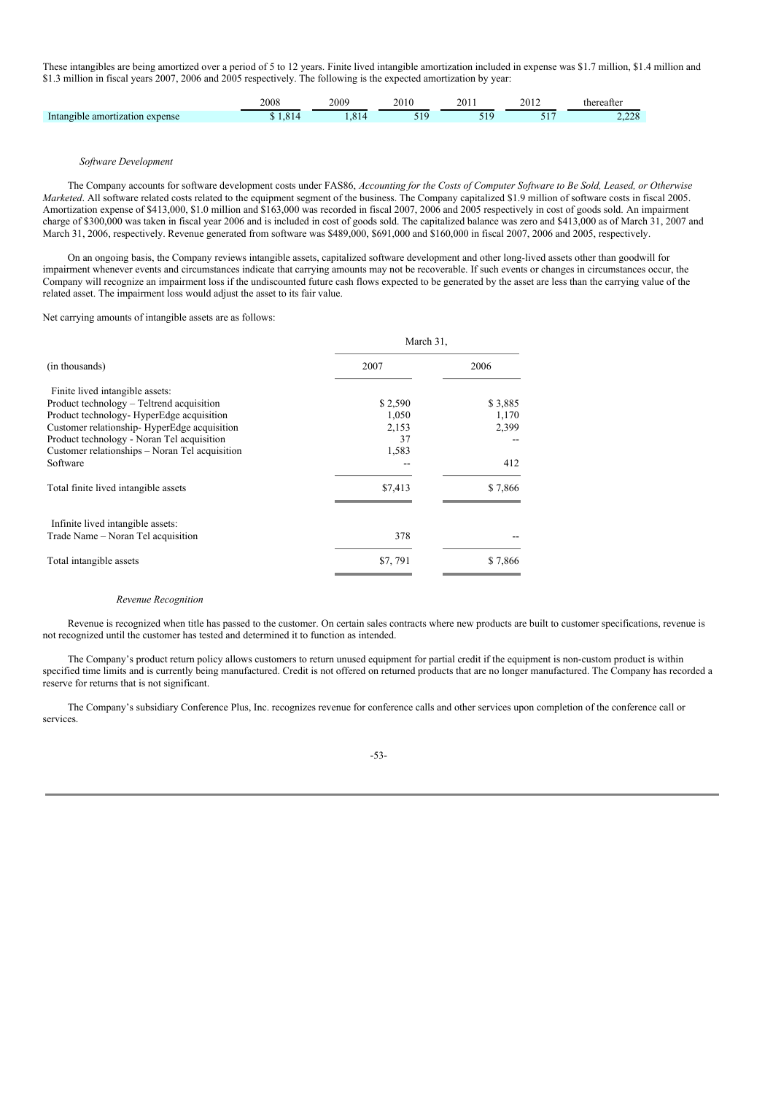These intangibles are being amortized over a period of 5 to 12 years. Finite lived intangible amortization included in expense was \$1.7 million, \$1.4 million and \$1.3 million in fiscal years 2007, 2006 and 2005 respectively. The following is the expected amortization by year:

|                                    | 2008 | 2009 | 2011 | 2012        |     |
|------------------------------------|------|------|------|-------------|-----|
| Intangible<br>amortization expense |      |      |      | $-11$<br>ັ້ | 220 |

#### *Software Development*

The Company accounts for software development costs under FAS86, Accounting for the Costs of Computer Software to Be Sold, Leased, or Otherwise *Marketed*. All software related costs related to the equipment segment of the business. The Company capitalized \$1.9 million of software costs in fiscal 2005. Amortization expense of \$413,000, \$1.0 million and \$163,000 was recorded in fiscal 2007, 2006 and 2005 respectively in cost of goods sold. An impairment charge of \$300,000 was taken in fiscal year 2006 and is included in cost of goods sold. The capitalized balance was zero and \$413,000 as of March 31, 2007 and March 31, 2006, respectively. Revenue generated from software was \$489,000, \$691,000 and \$160,000 in fiscal 2007, 2006 and 2005, respectively.

On an ongoing basis, the Company reviews intangible assets, capitalized software development and other long-lived assets other than goodwill for impairment whenever events and circumstances indicate that carrying amounts may not be recoverable. If such events or changes in circumstances occur, the Company will recognize an impairment loss if the undiscounted future cash flows expected to be generated by the asset are less than the carrying value of the related asset. The impairment loss would adjust the asset to its fair value.

### Net carrying amounts of intangible assets are as follows:

|                                                | March 31, |         |
|------------------------------------------------|-----------|---------|
| (in thousands)                                 | 2007      | 2006    |
| Finite lived intangible assets:                |           |         |
| Product technology – Teltrend acquisition      | \$2,590   | \$3,885 |
| Product technology-HyperEdge acquisition       | 1,050     | 1,170   |
| Customer relationship-HyperEdge acquisition    | 2,153     | 2,399   |
| Product technology - Noran Tel acquisition     | 37        |         |
| Customer relationships - Noran Tel acquisition | 1,583     |         |
| Software                                       |           | 412     |
| Total finite lived intangible assets           | \$7,413   | \$7,866 |
| Infinite lived intangible assets:              |           |         |
| Trade Name – Noran Tel acquisition             | 378       |         |
| Total intangible assets                        | \$7,791   | \$7,866 |

#### *Revenue Recognition*

Revenue is recognized when title has passed to the customer. On certain sales contracts where new products are built to customer specifications, revenue is not recognized until the customer has tested and determined it to function as intended.

The Company's product return policy allows customers to return unused equipment for partial credit if the equipment is non-custom product is within specified time limits and is currently being manufactured. Credit is not offered on returned products that are no longer manufactured. The Company has recorded a reserve for returns that is not significant.

The Company's subsidiary Conference Plus, Inc. recognizes revenue for conference calls and other services upon completion of the conference call or services.

#### -53-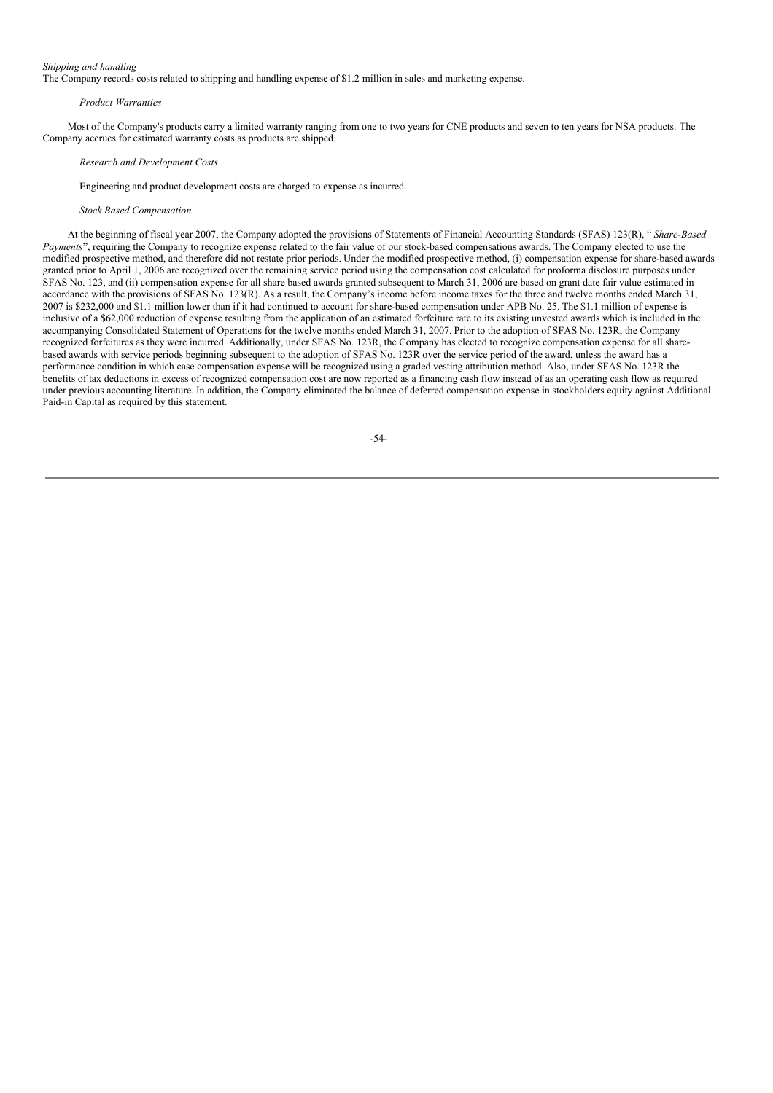#### *Shipping and handling*

The Company records costs related to shipping and handling expense of \$1.2 million in sales and marketing expense.

#### *Product Warranties*

Most of the Company's products carry a limited warranty ranging from one to two years for CNE products and seven to ten years for NSA products. The Company accrues for estimated warranty costs as products are shipped.

#### *Research and Development Costs*

Engineering and product development costs are charged to expense as incurred.

#### *Stock Based Compensation*

At the beginning of fiscal year 2007, the Company adopted the provisions of Statements of Financial Accounting Standards (SFAS) 123(R), " *Share-Based Payments*", requiring the Company to recognize expense related to the fair value of our stock-based compensations awards. The Company elected to use the modified prospective method, and therefore did not restate prior periods. Under the modified prospective method, (i) compensation expense for share-based awards granted prior to April 1, 2006 are recognized over the remaining service period using the compensation cost calculated for proforma disclosure purposes under SFAS No. 123, and (ii) compensation expense for all share based awards granted subsequent to March 31, 2006 are based on grant date fair value estimated in accordance with the provisions of SFAS No. 123(R). As a result, the Company's income before income taxes for the three and twelve months ended March 31, 2007 is \$232,000 and \$1.1 million lower than if it had continued to account for share-based compensation under APB No. 25. The \$1.1 million of expense is inclusive of a \$62,000 reduction of expense resulting from the application of an estimated forfeiture rate to its existing unvested awards which is included in the accompanying Consolidated Statement of Operations for the twelve months ended March 31, 2007. Prior to the adoption of SFAS No. 123R, the Company recognized forfeitures as they were incurred. Additionally, under SFAS No. 123R, the Company has elected to recognize compensation expense for all sharebased awards with service periods beginning subsequent to the adoption of SFAS No. 123R over the service period of the award, unless the award has a performance condition in which case compensation expense will be recognized using a graded vesting attribution method. Also, under SFAS No. 123R the benefits of tax deductions in excess of recognized compensation cost are now reported as a financing cash flow instead of as an operating cash flow as required under previous accounting literature. In addition, the Company eliminated the balance of deferred compensation expense in stockholders equity against Additional Paid-in Capital as required by this statement.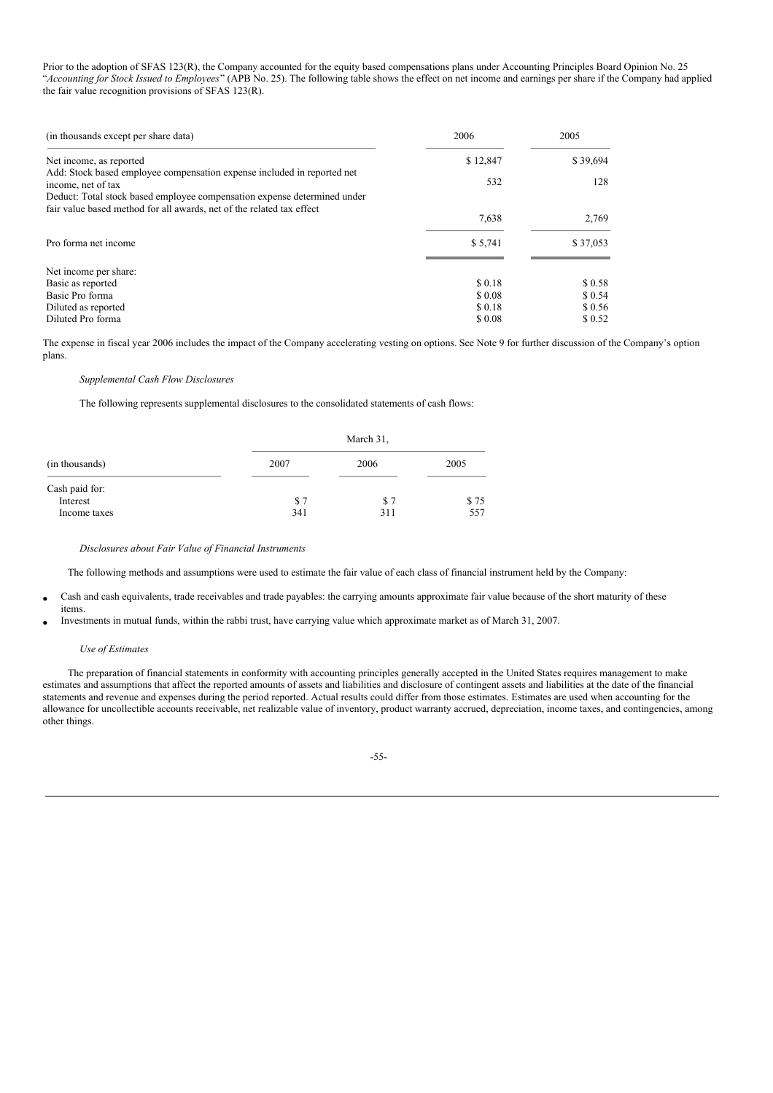Prior to the adoption of SFAS 123(R), the Company accounted for the equity based compensations plans under Accounting Principles Board Opinion No. 25 "*Accounting for Stock Issued to Employees*" (APB No. 25). The following table shows the effect on net income and earnings per share if the Company had applied the fair value recognition provisions of SFAS 123(R).

| (in thousands except per share data)                                                          | 2006     | 2005     |
|-----------------------------------------------------------------------------------------------|----------|----------|
| Net income, as reported                                                                       | \$12,847 | \$39,694 |
| Add: Stock based employee compensation expense included in reported net<br>income, net of tax | 532      | 128      |
| Deduct: Total stock based employee compensation expense determined under                      |          |          |
| fair value based method for all awards, net of the related tax effect                         | 7,638    | 2.769    |
| Pro forma net income                                                                          | \$5,741  | \$37,053 |
| Net income per share:                                                                         |          |          |
| Basic as reported                                                                             | \$0.18   | \$0.58   |
| Basic Pro forma                                                                               | \$0.08   | \$0.54   |
| Diluted as reported                                                                           | \$0.18   | \$0.56   |
| Diluted Pro forma                                                                             | \$0.08   | \$0.52   |

The expense in fiscal year 2006 includes the impact of the Company accelerating vesting on options. See Note 9 for further discussion of the Company's option plans.

### *Supplemental Cash Flow Disclosures*

The following represents supplemental disclosures to the consolidated statements of cash flows:

|                |      | March 31, |      |  |  |
|----------------|------|-----------|------|--|--|
| (in thousands) | 2007 | 2006      | 2005 |  |  |
| Cash paid for: |      |           |      |  |  |
| Interest       | \$7  | \$7       | \$75 |  |  |
| Income taxes   | 341  | 311       | 557  |  |  |

*Disclosures about Fair Value of Financial Instruments*

The following methods and assumptions were used to estimate the fair value of each class of financial instrument held by the Company:

- **•** Cash and cash equivalents, trade receivables and trade payables: the carrying amounts approximate fair value because of the short maturity of these items.
- **•** Investments in mutual funds, within the rabbi trust, have carrying value which approximate market as of March 31, 2007.

### *Use of Estimates*

The preparation of financial statements in conformity with accounting principles generally accepted in the United States requires management to make estimates and assumptions that affect the reported amounts of assets and liabilities and disclosure of contingent assets and liabilities at the date of the financial statements and revenue and expenses during the period reported. Actual results could differ from those estimates. Estimates are used when accounting for the allowance for uncollectible accounts receivable, net realizable value of inventory, product warranty accrued, depreciation, income taxes, and contingencies, among other things.

#### -55-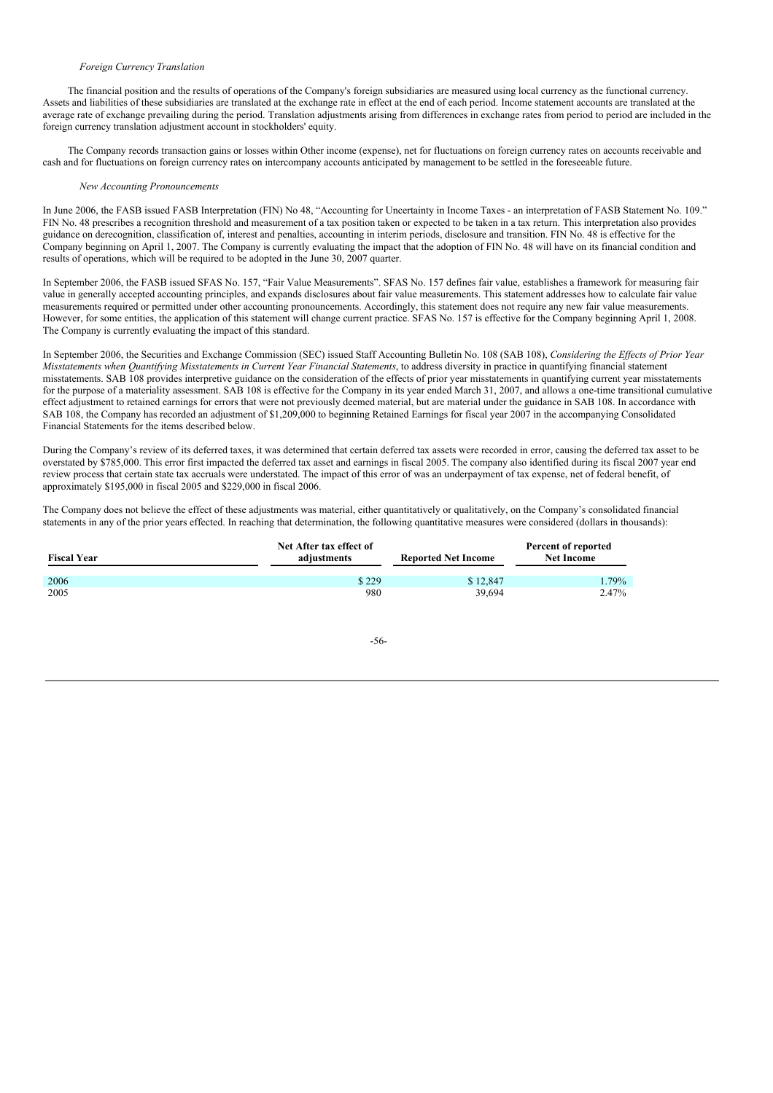#### *Foreign Currency Translation*

The financial position and the results of operations of the Company's foreign subsidiaries are measured using local currency as the functional currency. Assets and liabilities of these subsidiaries are translated at the exchange rate in effect at the end of each period. Income statement accounts are translated at the average rate of exchange prevailing during the period. Translation adjustments arising from differences in exchange rates from period to period are included in the foreign currency translation adjustment account in stockholders' equity.

The Company records transaction gains or losses within Other income (expense), net for fluctuations on foreign currency rates on accounts receivable and cash and for fluctuations on foreign currency rates on intercompany accounts anticipated by management to be settled in the foreseeable future.

#### *New Accounting Pronouncements*

In June 2006, the FASB issued FASB Interpretation (FIN) No 48, "Accounting for Uncertainty in Income Taxes - an interpretation of FASB Statement No. 109." FIN No. 48 prescribes a recognition threshold and measurement of a tax position taken or expected to be taken in a tax return. This interpretation also provides guidance on derecognition, classification of, interest and penalties, accounting in interim periods, disclosure and transition. FIN No. 48 is effective for the Company beginning on April 1, 2007. The Company is currently evaluating the impact that the adoption of FIN No. 48 will have on its financial condition and results of operations, which will be required to be adopted in the June 30, 2007 quarter.

In September 2006, the FASB issued SFAS No. 157, "Fair Value Measurements". SFAS No. 157 defines fair value, establishes a framework for measuring fair value in generally accepted accounting principles, and expands disclosures about fair value measurements. This statement addresses how to calculate fair value measurements required or permitted under other accounting pronouncements. Accordingly, this statement does not require any new fair value measurements. However, for some entities, the application of this statement will change current practice. SFAS No. 157 is effective for the Company beginning April 1, 2008. The Company is currently evaluating the impact of this standard.

In September 2006, the Securities and Exchange Commission (SEC) issued Staff Accounting Bulletin No. 108 (SAB 108), *Considering the Ef ects of Prior Year Misstatements when Quantifying Misstatements in Current Year Financial Statements*, to address diversity in practice in quantifying financial statement misstatements. SAB 108 provides interpretive guidance on the consideration of the effects of prior year misstatements in quantifying current year misstatements for the purpose of a materiality assessment. SAB 108 is effective for the Company in its year ended March 31, 2007, and allows a one-time transitional cumulative effect adjustment to retained earnings for errors that were not previously deemed material, but are material under the guidance in SAB 108. In accordance with SAB 108, the Company has recorded an adjustment of \$1,209,000 to beginning Retained Earnings for fiscal year 2007 in the accompanying Consolidated Financial Statements for the items described below.

During the Company's review of its deferred taxes, it was determined that certain deferred tax assets were recorded in error, causing the deferred tax asset to be overstated by \$785,000. This error first impacted the deferred tax asset and earnings in fiscal 2005. The company also identified during its fiscal 2007 year end review process that certain state tax accruals were understated. The impact of this error of was an underpayment of tax expense, net of federal benefit, of approximately \$195,000 in fiscal 2005 and \$229,000 in fiscal 2006.

The Company does not believe the effect of these adjustments was material, either quantitatively or qualitatively, on the Company's consolidated financial statements in any of the prior years effected. In reaching that determination, the following quantitative measures were considered (dollars in thousands):

| <b>Fiscal Year</b> | Net After tax effect of<br>adjustments | <b>Reported Net Income</b> | Percent of reported<br><b>Net Income</b> |
|--------------------|----------------------------------------|----------------------------|------------------------------------------|
| 2006               | \$229                                  | \$12,847                   | 1.79%                                    |
| 2005               | 980                                    | 39.694                     | 2.47%                                    |

#### -56-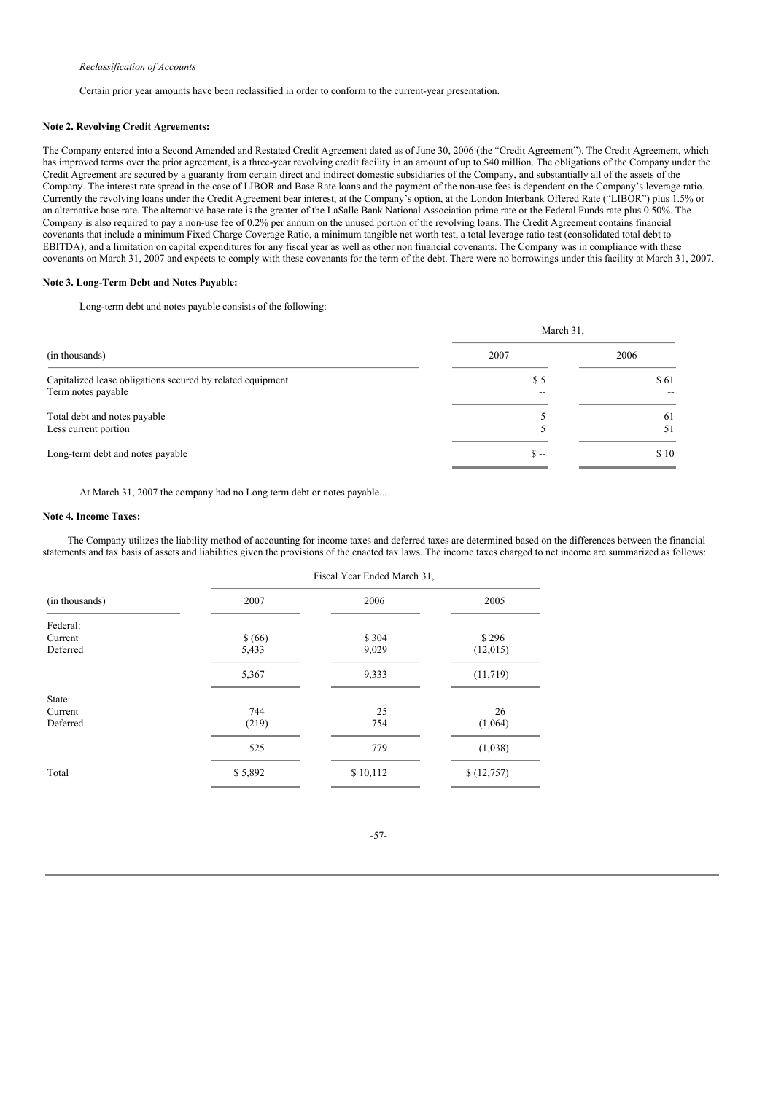#### *Reclassification of Accounts*

Certain prior year amounts have been reclassified in order to conform to the current-year presentation.

#### **Note 2. Revolving Credit Agreements:**

The Company entered into a Second Amended and Restated Credit Agreement dated as of June 30, 2006 (the "Credit Agreement"). The Credit Agreement, which has improved terms over the prior agreement, is a three-year revolving credit facility in an amount of up to \$40 million. The obligations of the Company under the Credit Agreement are secured by a guaranty from certain direct and indirect domestic subsidiaries of the Company, and substantially all of the assets of the Company. The interest rate spread in the case of LIBOR and Base Rate loans and the payment of the non-use fees is dependent on the Company's leverage ratio. Currently the revolving loans under the Credit Agreement bear interest, at the Company's option, at the London Interbank Offered Rate ("LIBOR") plus 1.5% or an alternative base rate. The alternative base rate is the greater of the LaSalle Bank National Association prime rate or the Federal Funds rate plus 0.50%. The Company is also required to pay a non-use fee of 0.2% per annum on the unused portion of the revolving loans. The Credit Agreement contains financial covenants that include a minimum Fixed Charge Coverage Ratio, a minimum tangible net worth test, a total leverage ratio test (consolidated total debt to EBITDA), and a limitation on capital expenditures for any fiscal year as well as other non financial covenants. The Company was in compliance with these covenants on March 31, 2007 and expects to comply with these covenants for the term of the debt. There were no borrowings under this facility at March 31, 2007.

#### **Note 3. Long-Term Debt and Notes Payable:**

Long-term debt and notes payable consists of the following:

|                                                                                  | March 31, |          |  |
|----------------------------------------------------------------------------------|-----------|----------|--|
| (in thousands)                                                                   | 2007      | 2006     |  |
| Capitalized lease obligations secured by related equipment<br>Term notes payable | \$5       | \$61     |  |
| Total debt and notes payable<br>Less current portion                             |           | 61<br>51 |  |
| Long-term debt and notes payable                                                 | $S -$     | \$10     |  |

At March 31, 2007 the company had no Long term debt or notes payable...

#### **Note 4. Income Taxes:**

The Company utilizes the liability method of accounting for income taxes and deferred taxes are determined based on the differences between the financial statements and tax basis of assets and liabilities given the provisions of the enacted tax laws. The income taxes charged to net income are summarized as follows:

|                |         | Fiscal Year Ended March 31, |            |  |
|----------------|---------|-----------------------------|------------|--|
| (in thousands) | 2007    | 2006                        | 2005       |  |
| Federal:       |         |                             |            |  |
| Current        | \$ (66) | \$304                       | \$296      |  |
| Deferred       | 5,433   | 9,029                       | (12,015)   |  |
|                | 5,367   | 9,333                       | (11,719)   |  |
| State:         |         |                             |            |  |
| Current        | 744     | 25                          | 26         |  |
| Deferred       | (219)   | 754                         | (1,064)    |  |
|                | 525     | 779                         | (1,038)    |  |
| Total          | \$5,892 | \$10,112                    | \$(12,757) |  |
|                |         |                             |            |  |

## -57-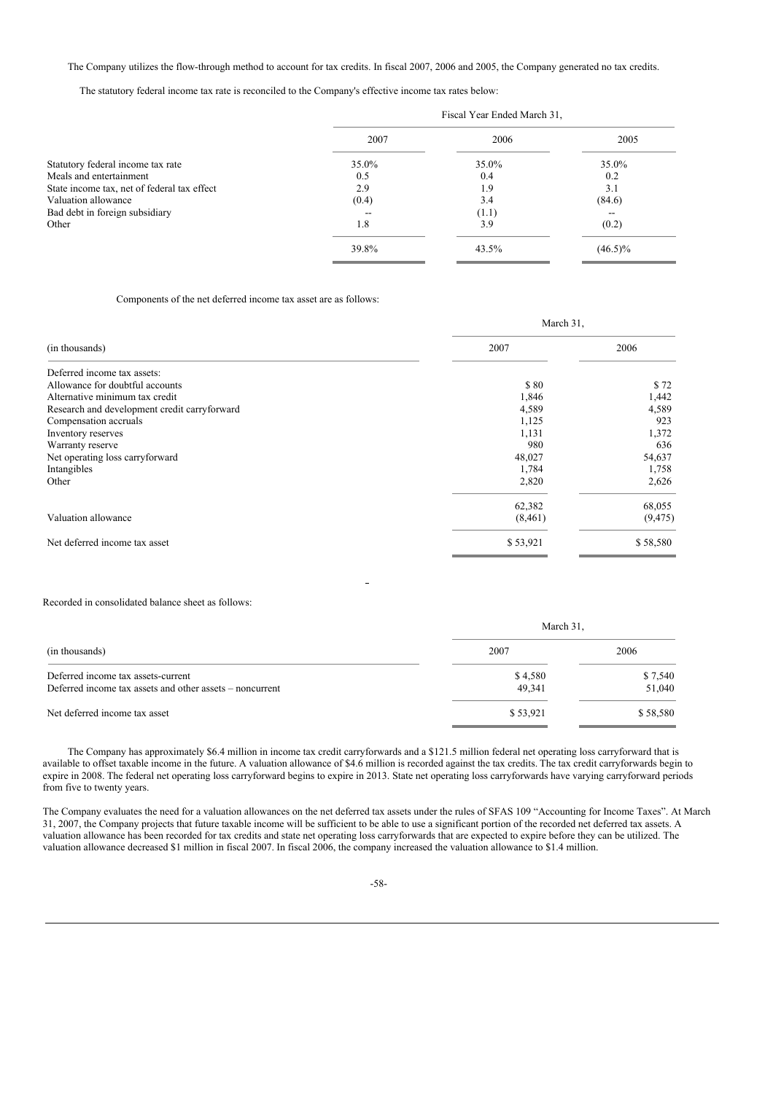The Company utilizes the flow-through method to account for tax credits. In fiscal 2007, 2006 and 2005, the Company generated no tax credits.

The statutory federal income tax rate is reconciled to the Company's effective income tax rates below:

|                                             |       | Fiscal Year Ended March 31, |            |
|---------------------------------------------|-------|-----------------------------|------------|
|                                             | 2007  | 2006                        | 2005       |
| Statutory federal income tax rate           | 35.0% | $35.0\%$                    | 35.0%      |
| Meals and entertainment                     | 0.5   | 0.4                         | 0.2        |
| State income tax, net of federal tax effect | 2.9   | 1.9                         | 3.1        |
| Valuation allowance                         | (0.4) | 3.4                         | (84.6)     |
| Bad debt in foreign subsidiary              | --    | (1.1)                       | --         |
| Other                                       | 1.8   | 3.9                         | (0.2)      |
|                                             | 39.8% | 43.5%                       | $(46.5)\%$ |
|                                             |       |                             |            |

#### Components of the net deferred income tax asset are as follows:

|                                              | March 31, |          |  |
|----------------------------------------------|-----------|----------|--|
| (in thousands)                               | 2007      | 2006     |  |
| Deferred income tax assets:                  |           |          |  |
| Allowance for doubtful accounts              | \$80      | \$72     |  |
| Alternative minimum tax credit               | 1,846     | 1,442    |  |
| Research and development credit carryforward | 4,589     | 4,589    |  |
| Compensation accruals                        | 1,125     | 923      |  |
| Inventory reserves                           | 1,131     | 1,372    |  |
| Warranty reserve                             | 980       | 636      |  |
| Net operating loss carryforward              | 48,027    | 54,637   |  |
| Intangibles                                  | 1,784     | 1,758    |  |
| Other                                        | 2,820     | 2,626    |  |
|                                              | 62,382    | 68,055   |  |
| Valuation allowance                          | (8,461)   | (9, 475) |  |
| Net deferred income tax asset                | \$53,921  | \$58,580 |  |

Recorded in consolidated balance sheet as follows:

|                                                                                                | March 31,         |                   |  |
|------------------------------------------------------------------------------------------------|-------------------|-------------------|--|
| (in thousands)                                                                                 | 2007              | 2006              |  |
| Deferred income tax assets-current<br>Deferred income tax assets and other assets – noncurrent | \$4,580<br>49.341 | \$7,540<br>51,040 |  |
| Net deferred income tax asset                                                                  | \$53.921          | \$58,580          |  |

The Company has approximately \$6.4 million in income tax credit carryforwards and a \$121.5 million federal net operating loss carryforward that is available to offset taxable income in the future. A valuation allowance of \$4.6 million is recorded against the tax credits. The tax credit carryforwards begin to expire in 2008. The federal net operating loss carryforward begins to expire in 2013. State net operating loss carryforwards have varying carryforward periods from five to twenty years.

The Company evaluates the need for a valuation allowances on the net deferred tax assets under the rules of SFAS 109 "Accounting for Income Taxes". At March 31, 2007, the Company projects that future taxable income will be sufficient to be able to use a significant portion of the recorded net deferred tax assets. A valuation allowance has been recorded for tax credits and state net operating loss carryforwards that are expected to expire before they can be utilized. The valuation allowance decreased \$1 million in fiscal 2007. In fiscal 2006, the company increased the valuation allowance to \$1.4 million.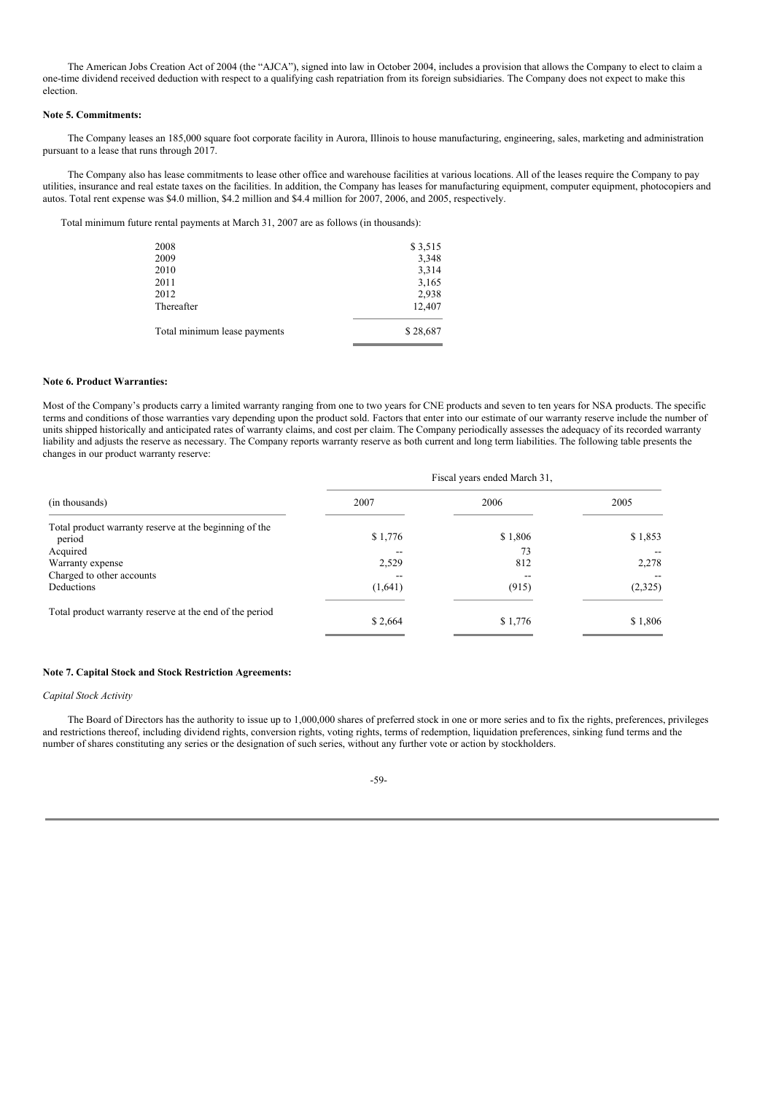The American Jobs Creation Act of 2004 (the "AJCA"), signed into law in October 2004, includes a provision that allows the Company to elect to claim a one-time dividend received deduction with respect to a qualifying cash repatriation from its foreign subsidiaries. The Company does not expect to make this election.

#### **Note 5. Commitments:**

The Company leases an 185,000 square foot corporate facility in Aurora, Illinois to house manufacturing, engineering, sales, marketing and administration pursuant to a lease that runs through 2017.

The Company also has lease commitments to lease other office and warehouse facilities at various locations. All of the leases require the Company to pay utilities, insurance and real estate taxes on the facilities. In addition, the Company has leases for manufacturing equipment, computer equipment, photocopiers and autos. Total rent expense was \$4.0 million, \$4.2 million and \$4.4 million for 2007, 2006, and 2005, respectively.

Total minimum future rental payments at March 31, 2007 are as follows (in thousands):

| 2008                         | \$3,515  |
|------------------------------|----------|
| 2009                         | 3,348    |
| 2010                         | 3,314    |
| 2011                         | 3,165    |
| 2012                         | 2,938    |
| Thereafter                   | 12,407   |
| Total minimum lease payments | \$28,687 |

### **Note 6. Product Warranties:**

Most of the Company's products carry a limited warranty ranging from one to two years for CNE products and seven to ten years for NSA products. The specific terms and conditions of those warranties vary depending upon the product sold. Factors that enter into our estimate of our warranty reserve include the number of units shipped historically and anticipated rates of warranty claims, and cost per claim. The Company periodically assesses the adequacy of its recorded warranty liability and adjusts the reserve as necessary. The Company reports warranty reserve as both current and long term liabilities. The following table presents the changes in our product warranty reserve:

| Fiscal years ended March 31, |         |         |
|------------------------------|---------|---------|
| 2007                         | 2006    | 2005    |
| \$1,776                      | \$1,806 | \$1,853 |
| --                           | 73      |         |
| 2,529                        | 812     | 2,278   |
| $-$                          | --      |         |
| (1,641)                      | (915)   | (2,325) |
| \$2,664                      | \$1,776 | \$1,806 |
|                              |         |         |

### **Note 7. Capital Stock and Stock Restriction Agreements:**

### *Capital Stock Activity*

The Board of Directors has the authority to issue up to 1,000,000 shares of preferred stock in one or more series and to fix the rights, preferences, privileges and restrictions thereof, including dividend rights, conversion rights, voting rights, terms of redemption, liquidation preferences, sinking fund terms and the number of shares constituting any series or the designation of such series, without any further vote or action by stockholders.

### -59-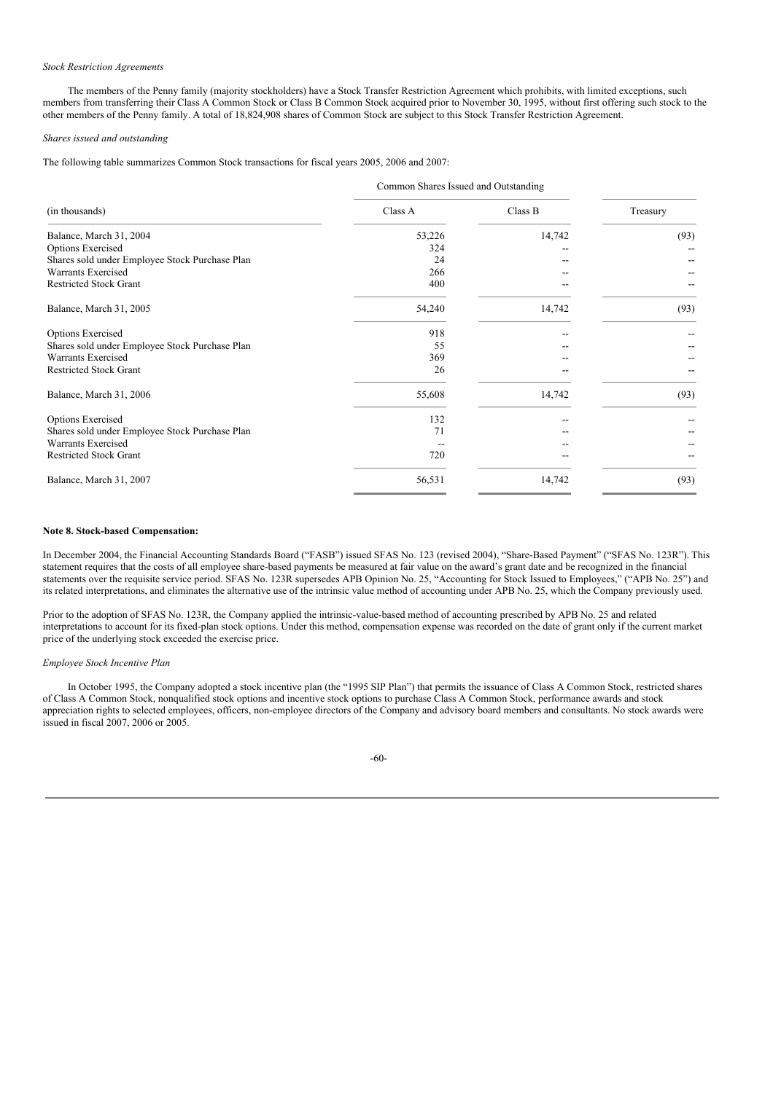### *Stock Restriction Agreements*

The members of the Penny family (majority stockholders) have a Stock Transfer Restriction Agreement which prohibits, with limited exceptions, such members from transferring their Class A Common Stock or Class B Common Stock acquired prior to November 30, 1995, without first offering such stock to the other members of the Penny family. A total of 18,824,908 shares of Common Stock are subject to this Stock Transfer Restriction Agreement.

#### *Shares issued and outstanding*

The following table summarizes Common Stock transactions for fiscal years 2005, 2006 and 2007:

|                                                | Common Shares Issued and Outstanding |         |          |
|------------------------------------------------|--------------------------------------|---------|----------|
| (in thousands)                                 | Class A                              | Class B | Treasury |
| Balance, March 31, 2004                        | 53,226                               | 14,742  | (93)     |
| <b>Options Exercised</b>                       | 324                                  |         |          |
| Shares sold under Employee Stock Purchase Plan | 24                                   |         |          |
| Warrants Exercised                             | 266                                  |         |          |
| <b>Restricted Stock Grant</b>                  | 400                                  |         |          |
| Balance, March 31, 2005                        | 54,240                               | 14,742  | (93)     |
| Options Exercised                              | 918                                  |         |          |
| Shares sold under Employee Stock Purchase Plan | 55                                   |         |          |
| Warrants Exercised                             | 369                                  |         |          |
| <b>Restricted Stock Grant</b>                  | 26                                   |         |          |
| Balance, March 31, 2006                        | 55,608                               | 14,742  | (93)     |
| Options Exercised                              | 132                                  |         |          |
| Shares sold under Employee Stock Purchase Plan | 71                                   |         |          |
| Warrants Exercised                             |                                      |         |          |
| <b>Restricted Stock Grant</b>                  | 720                                  |         |          |
| Balance, March 31, 2007                        | 56,531                               | 14,742  | (93)     |

### **Note 8. Stock-based Compensation:**

In December 2004, the Financial Accounting Standards Board ("FASB") issued SFAS No. 123 (revised 2004), "Share-Based Payment" ("SFAS No. 123R"). This statement requires that the costs of all employee share-based payments be measured at fair value on the award's grant date and be recognized in the financial statements over the requisite service period. SFAS No. 123R supersedes APB Opinion No. 25, "Accounting for Stock Issued to Employees," ("APB No. 25") and its related interpretations, and eliminates the alternative use of the intrinsic value method of accounting under APB No. 25, which the Company previously used.

Prior to the adoption of SFAS No. 123R, the Company applied the intrinsic-value-based method of accounting prescribed by APB No. 25 and related interpretations to account for its fixed-plan stock options. Under this method, compensation expense was recorded on the date of grant only if the current market price of the underlying stock exceeded the exercise price.

#### *Employee Stock Incentive Plan*

In October 1995, the Company adopted a stock incentive plan (the "1995 SIP Plan") that permits the issuance of Class A Common Stock, restricted shares of Class A Common Stock, nonqualified stock options and incentive stock options to purchase Class A Common Stock, performance awards and stock appreciation rights to selected employees, officers, non-employee directors of the Company and advisory board members and consultants. No stock awards were issued in fiscal 2007, 2006 or 2005.

#### -60-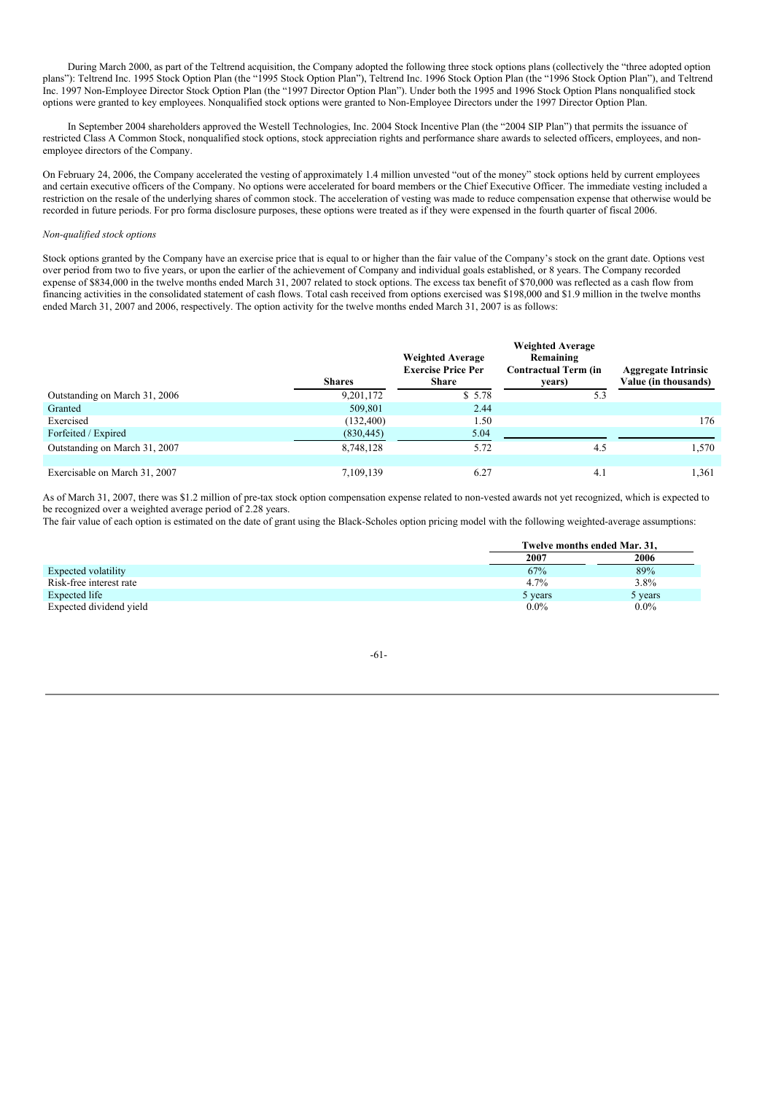During March 2000, as part of the Teltrend acquisition, the Company adopted the following three stock options plans (collectively the "three adopted option plans"): Teltrend Inc. 1995 Stock Option Plan (the "1995 Stock Option Plan"), Teltrend Inc. 1996 Stock Option Plan (the "1996 Stock Option Plan"), and Teltrend Inc. 1997 Non-Employee Director Stock Option Plan (the "1997 Director Option Plan"). Under both the 1995 and 1996 Stock Option Plans nonqualified stock options were granted to key employees. Nonqualified stock options were granted to Non-Employee Directors under the 1997 Director Option Plan.

In September 2004 shareholders approved the Westell Technologies, Inc. 2004 Stock Incentive Plan (the "2004 SIP Plan") that permits the issuance of restricted Class A Common Stock, nonqualified stock options, stock appreciation rights and performance share awards to selected officers, employees, and nonemployee directors of the Company.

On February 24, 2006, the Company accelerated the vesting of approximately 1.4 million unvested "out of the money" stock options held by current employees and certain executive officers of the Company. No options were accelerated for board members or the Chief Executive Officer. The immediate vesting included a restriction on the resale of the underlying shares of common stock. The acceleration of vesting was made to reduce compensation expense that otherwise would be recorded in future periods. For pro forma disclosure purposes, these options were treated as if they were expensed in the fourth quarter of fiscal 2006.

#### *Non-qualified stock options*

Stock options granted by the Company have an exercise price that is equal to or higher than the fair value of the Company's stock on the grant date. Options vest over period from two to five years, or upon the earlier of the achievement of Company and individual goals established, or 8 years. The Company recorded expense of \$834,000 in the twelve months ended March 31, 2007 related to stock options. The excess tax benefit of \$70,000 was reflected as a cash flow from financing activities in the consolidated statement of cash flows. Total cash received from options exercised was \$198,000 and \$1.9 million in the twelve months ended March 31, 2007 and 2006, respectively. The option activity for the twelve months ended March 31, 2007 is as follows:

|                               | <b>Shares</b> | <b>Weighted Average</b><br><b>Exercise Price Per</b><br>Share | <b>Weighted Average</b><br>Remaining<br><b>Contractual Term (in</b><br>years) | <b>Aggregate Intrinsic</b><br>Value (in thousands) |
|-------------------------------|---------------|---------------------------------------------------------------|-------------------------------------------------------------------------------|----------------------------------------------------|
| Outstanding on March 31, 2006 | 9,201,172     | \$5.78                                                        | 5.3                                                                           |                                                    |
| Granted                       | 509,801       | 2.44                                                          |                                                                               |                                                    |
| Exercised                     | (132,400)     | 1.50                                                          |                                                                               | 176                                                |
| Forfeited / Expired           | (830, 445)    | 5.04                                                          |                                                                               |                                                    |
| Outstanding on March 31, 2007 | 8,748,128     | 5.72                                                          | 4.5                                                                           | 1,570                                              |
|                               |               |                                                               |                                                                               |                                                    |
| Exercisable on March 31, 2007 | 7.109.139     | 6.27                                                          | 4.1                                                                           | 1,361                                              |

As of March 31, 2007, there was \$1.2 million of pre-tax stock option compensation expense related to non-vested awards not yet recognized, which is expected to be recognized over a weighted average period of 2.28 years.

The fair value of each option is estimated on the date of grant using the Black-Scholes option pricing model with the following weighted-average assumptions:

|                         |         | Twelve months ended Mar. 31. |  |
|-------------------------|---------|------------------------------|--|
|                         | 2007    | 2006                         |  |
| Expected volatility     | 67%     | 89%                          |  |
| Risk-free interest rate | 4.7%    | 3.8%                         |  |
| Expected life           | 5 years | 5 years                      |  |
| Expected dividend yield | $0.0\%$ | $0.0\%$                      |  |

#### -61-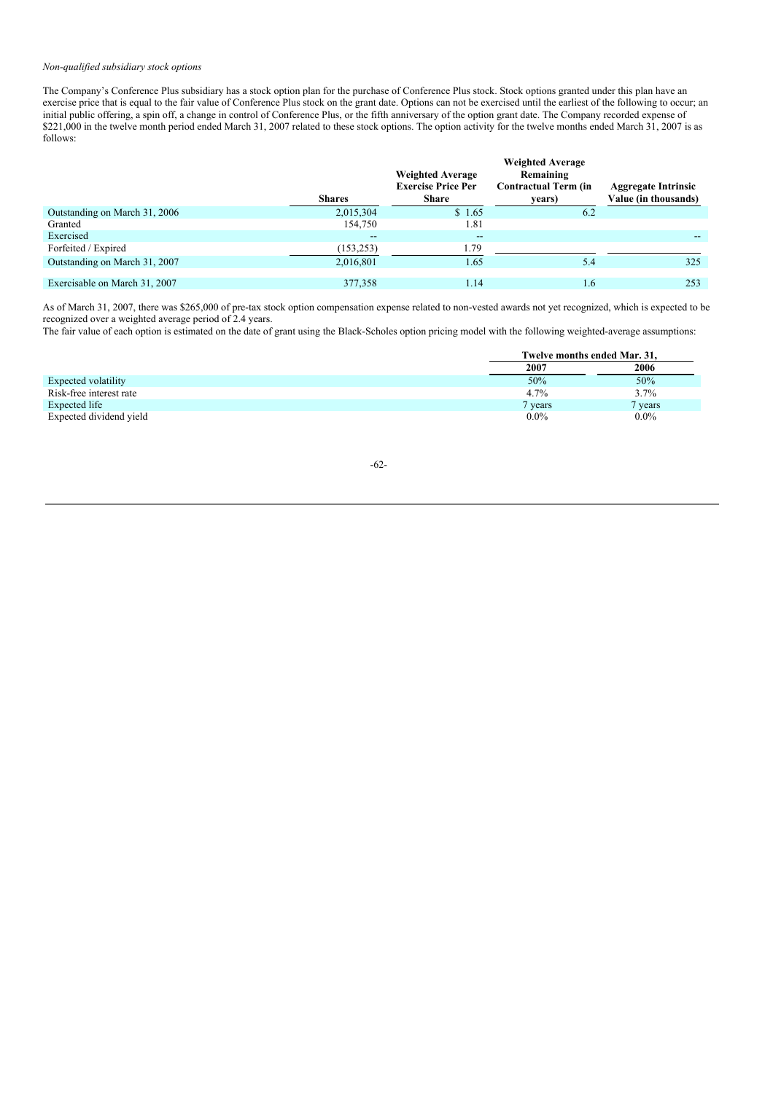### *Non-qualified subsidiary stock options*

The Company's Conference Plus subsidiary has a stock option plan for the purchase of Conference Plus stock. Stock options granted under this plan have an exercise price that is equal to the fair value of Conference Plus stock on the grant date. Options can not be exercised until the earliest of the following to occur; an initial public offering, a spin off, a change in control of Conference Plus, or the fifth anniversary of the option grant date. The Company recorded expense of \$221,000 in the twelve month period ended March 31, 2007 related to these stock options. The option activity for the twelve months ended March 31, 2007 is as follows:

|                               |                          | <b>Weighted Average</b>                                       |                                                    |                                                    |
|-------------------------------|--------------------------|---------------------------------------------------------------|----------------------------------------------------|----------------------------------------------------|
|                               | <b>Shares</b>            | <b>Weighted Average</b><br><b>Exercise Price Per</b><br>Share | Remaining<br><b>Contractual Term (in</b><br>years) | <b>Aggregate Intrinsic</b><br>Value (in thousands) |
| Outstanding on March 31, 2006 | 2,015,304                | \$1.65                                                        | 6.2                                                |                                                    |
| Granted                       | 154,750                  | 1.81                                                          |                                                    |                                                    |
| Exercised                     | $\overline{\phantom{m}}$ | $\overline{\phantom{m}}$                                      |                                                    |                                                    |
| Forfeited / Expired           | (153, 253)               | 1.79                                                          |                                                    |                                                    |
| Outstanding on March 31, 2007 | 2,016,801                | 1.65                                                          | 5.4                                                | 325                                                |
| Exercisable on March 31, 2007 | 377,358                  | 1.14                                                          | 1.6                                                | 253                                                |

As of March 31, 2007, there was \$265,000 of pre-tax stock option compensation expense related to non-vested awards not yet recognized, which is expected to be recognized over a weighted average period of 2.4 years.

The fair value of each option is estimated on the date of grant using the Black-Scholes option pricing model with the following weighted-average assumptions:

|                         | Twelve months ended Mar. 31. |         |
|-------------------------|------------------------------|---------|
|                         | 2007                         | 2006    |
| Expected volatility     | 50%                          | 50%     |
| Risk-free interest rate | $4.7\%$                      | 3.7%    |
| Expected life           | 7 years                      | 7 years |
| Expected dividend yield | $0.0\%$                      | $0.0\%$ |

### -62-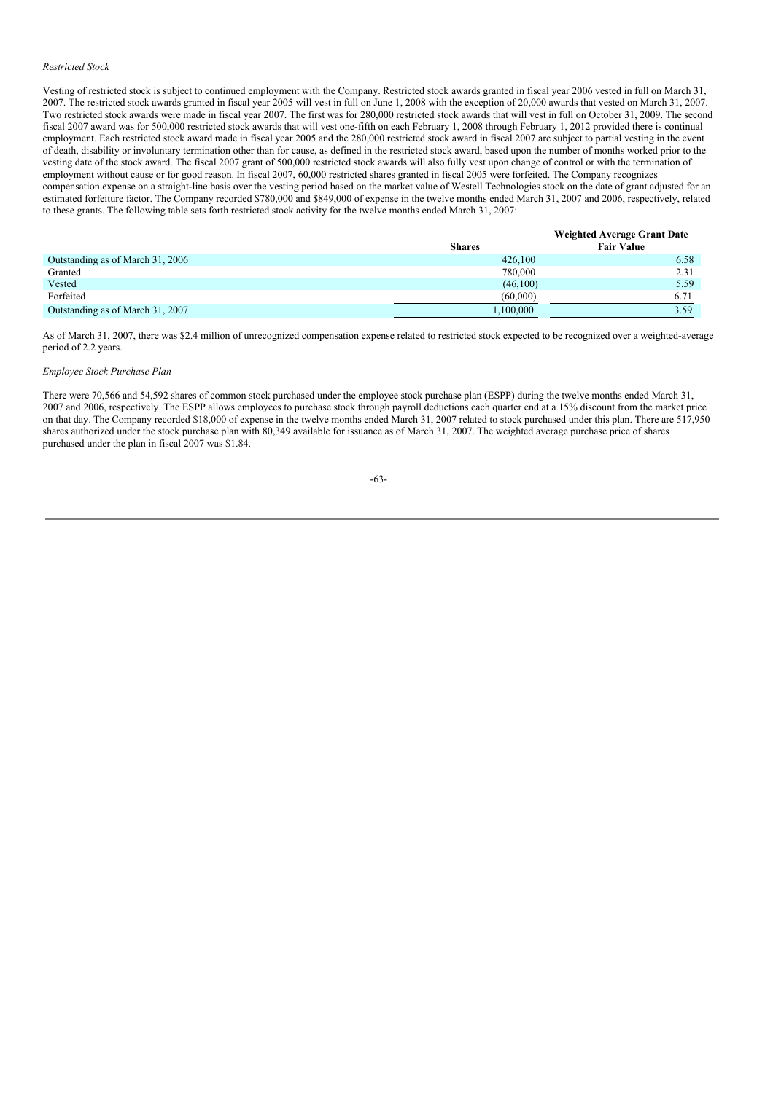### *Restricted Stock*

Vesting of restricted stock is subject to continued employment with the Company. Restricted stock awards granted in fiscal year 2006 vested in full on March 31, 2007. The restricted stock awards granted in fiscal year 2005 will vest in full on June 1, 2008 with the exception of 20,000 awards that vested on March 31, 2007. Two restricted stock awards were made in fiscal year 2007. The first was for 280,000 restricted stock awards that will vest in full on October 31, 2009. The second fiscal 2007 award was for 500,000 restricted stock awards that will vest one-fifth on each February 1, 2008 through February 1, 2012 provided there is continual employment. Each restricted stock award made in fiscal year 2005 and the 280,000 restricted stock award in fiscal 2007 are subject to partial vesting in the event of death, disability or involuntary termination other than for cause, as defined in the restricted stock award, based upon the number of months worked prior to the vesting date of the stock award. The fiscal 2007 grant of 500,000 restricted stock awards will also fully vest upon change of control or with the termination of employment without cause or for good reason. In fiscal 2007, 60,000 restricted shares granted in fiscal 2005 were forfeited. The Company recognizes compensation expense on a straight-line basis over the vesting period based on the market value of Westell Technologies stock on the date of grant adjusted for an estimated forfeiture factor. The Company recorded \$780,000 and \$849,000 of expense in the twelve months ended March 31, 2007 and 2006, respectively, related to these grants. The following table sets forth restricted stock activity for the twelve months ended March 31, 2007:

|                                  |               | <b>Weighted Average Grant Date</b> |
|----------------------------------|---------------|------------------------------------|
|                                  | <b>Shares</b> | <b>Fair Value</b>                  |
| Outstanding as of March 31, 2006 | 426,100       | 6.58                               |
| Granted                          | 780,000       | 2.31                               |
| Vested                           | (46,100)      | 5.59                               |
| Forfeited                        | (60,000)      | 6.71                               |
| Outstanding as of March 31, 2007 | 1,100,000     | 3.59                               |

As of March 31, 2007, there was \$2.4 million of unrecognized compensation expense related to restricted stock expected to be recognized over a weighted-average period of 2.2 years.

#### *Employee Stock Purchase Plan*

There were 70,566 and 54,592 shares of common stock purchased under the employee stock purchase plan (ESPP) during the twelve months ended March 31, 2007 and 2006, respectively. The ESPP allows employees to purchase stock through payroll deductions each quarter end at a 15% discount from the market price on that day. The Company recorded \$18,000 of expense in the twelve months ended March 31, 2007 related to stock purchased under this plan. There are 517,950 shares authorized under the stock purchase plan with 80,349 available for issuance as of March 31, 2007. The weighted average purchase price of shares purchased under the plan in fiscal 2007 was \$1.84.

#### -63-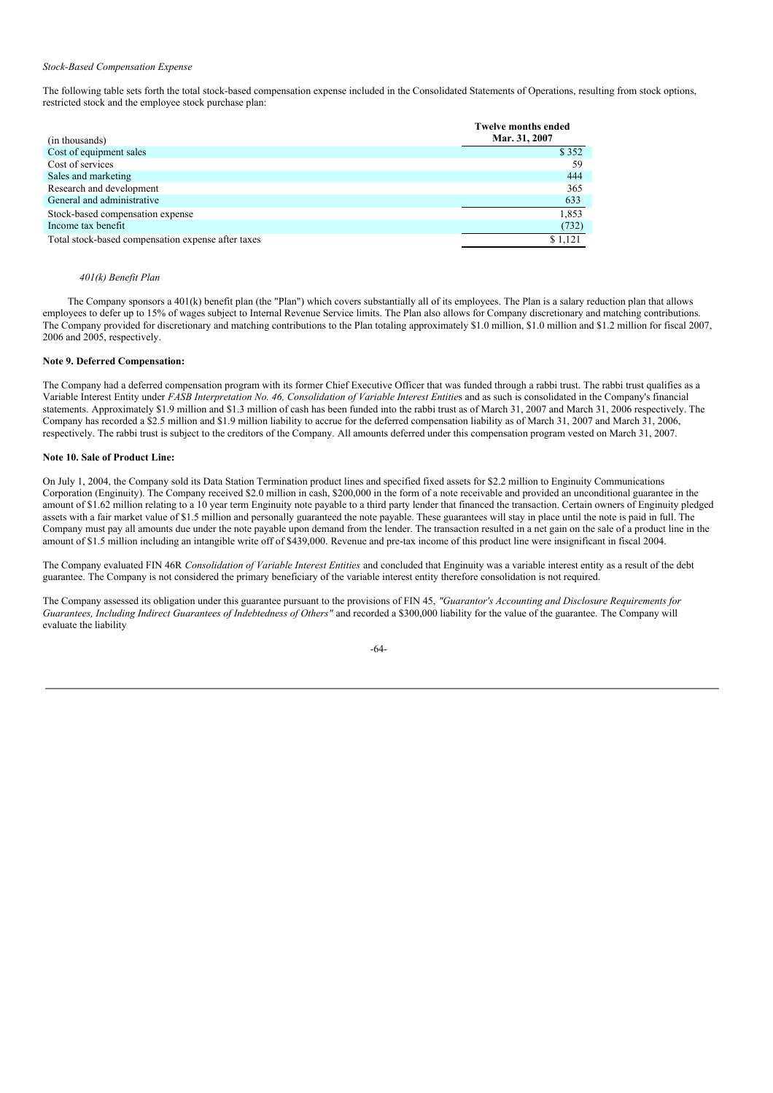#### *Stock-Based Compensation Expense*

The following table sets forth the total stock-based compensation expense included in the Consolidated Statements of Operations, resulting from stock options, restricted stock and the employee stock purchase plan:

|                                                    | <b>Twelve months ended</b> |
|----------------------------------------------------|----------------------------|
| (in thousands)                                     | Mar. 31, 2007              |
| Cost of equipment sales                            | \$352                      |
| Cost of services                                   | 59                         |
| Sales and marketing                                | 444                        |
| Research and development                           | 365                        |
| General and administrative                         | 633                        |
| Stock-based compensation expense                   | 1.853                      |
| Income tax benefit                                 | (732)                      |
| Total stock-based compensation expense after taxes | \$1,121                    |

#### *401(k) Benefit Plan*

The Company sponsors a 401(k) benefit plan (the "Plan") which covers substantially all of its employees. The Plan is a salary reduction plan that allows employees to defer up to 15% of wages subject to Internal Revenue Service limits. The Plan also allows for Company discretionary and matching contributions. The Company provided for discretionary and matching contributions to the Plan totaling approximately \$1.0 million, \$1.0 million and \$1.2 million for fiscal 2007, 2006 and 2005, respectively.

### **Note 9. Deferred Compensation:**

The Company had a deferred compensation program with its former Chief Executive Officer that was funded through a rabbi trust. The rabbi trust qualifies as a Variable Interest Entity under *FASB Interpretation No. 46, Consolidation of Variable Interest Entitie*s and as such is consolidated in the Company's financial statements. Approximately \$1.9 million and \$1.3 million of cash has been funded into the rabbi trust as of March 31, 2007 and March 31, 2006 respectively. The Company has recorded a \$2.5 million and \$1.9 million liability to accrue for the deferred compensation liability as of March 31, 2007 and March 31, 2006, respectively. The rabbi trust is subject to the creditors of the Company. All amounts deferred under this compensation program vested on March 31, 2007.

#### **Note 10. Sale of Product Line:**

On July 1, 2004, the Company sold its Data Station Termination product lines and specified fixed assets for \$2.2 million to Enginuity Communications Corporation (Enginuity). The Company received \$2.0 million in cash, \$200,000 in the form of a note receivable and provided an unconditional guarantee in the amount of \$1.62 million relating to a 10 year term Enginuity note payable to a third party lender that financed the transaction. Certain owners of Enginuity pledged assets with a fair market value of \$1.5 million and personally guaranteed the note payable. These guarantees will stay in place until the note is paid in full. The Company must pay all amounts due under the note payable upon demand from the lender. The transaction resulted in a net gain on the sale of a product line in the amount of \$1.5 million including an intangible write off of \$439,000. Revenue and pre-tax income of this product line were insignificant in fiscal 2004.

The Company evaluated FIN 46R *Consolidation of Variable Interest Entities* and concluded that Enginuity was a variable interest entity as a result of the debt guarantee. The Company is not considered the primary beneficiary of the variable interest entity therefore consolidation is not required.

The Company assessed its obligation under this guarantee pursuant to the provisions of FIN 45, *"Guarantor's Accounting and Disclosure Requirements for Guarantees, Including Indirect Guarantees of Indebtedness of Others"* and recorded a \$300,000 liability for the value of the guarantee. The Company will evaluate the liability

-64-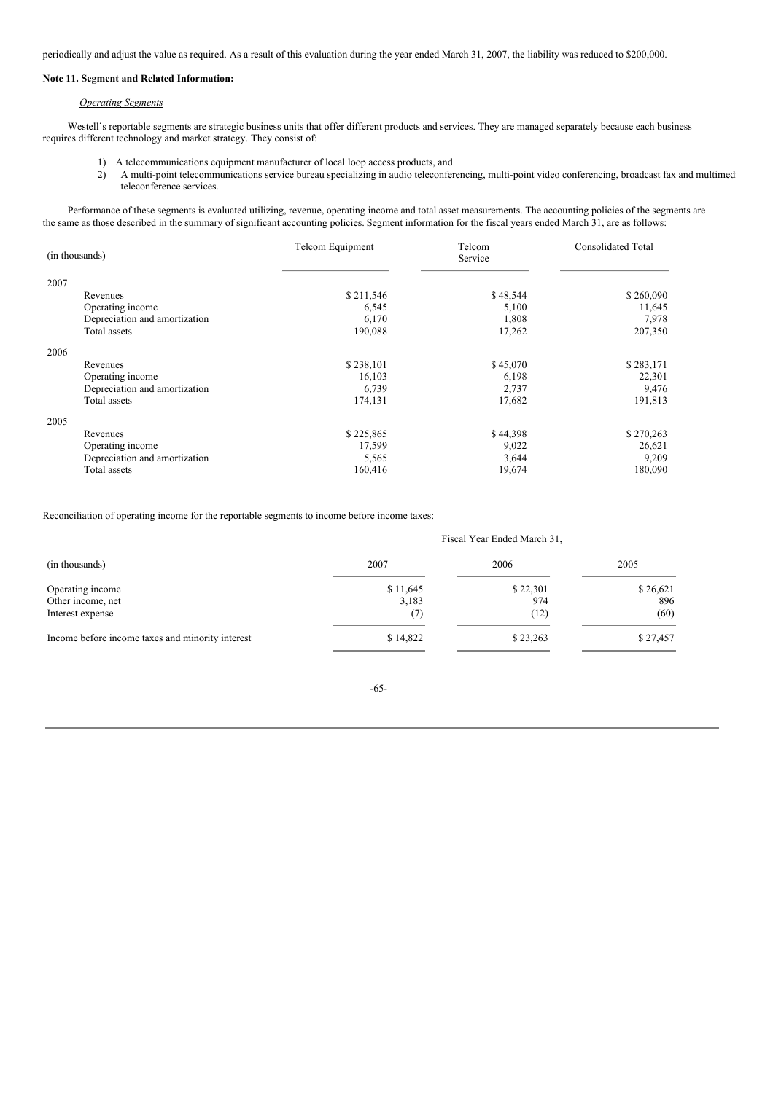periodically and adjust the value as required. As a result of this evaluation during the year ended March 31, 2007, the liability was reduced to \$200,000.

## **Note 11. Segment and Related Information:**

#### *Operating Segments*

Westell's reportable segments are strategic business units that offer different products and services. They are managed separately because each business requires different technology and market strategy. They consist of:

- 1) A telecommunications equipment manufacturer of local loop access products, and
- 2) A multi-point telecommunications service bureau specializing in audio teleconferencing, multi-point video conferencing, broadcast fax and multimed teleconference services.

Performance of these segments is evaluated utilizing, revenue, operating income and total asset measurements. The accounting policies of the segments are the same as those described in the summary of significant accounting policies. Segment information for the fiscal years ended March 31, are as follows:

| (in thousands) |                               | Telcom Equipment | Telcom<br>Service | Consolidated Total |
|----------------|-------------------------------|------------------|-------------------|--------------------|
| 2007           |                               |                  |                   |                    |
|                | Revenues                      | \$211,546        | \$48,544          | \$260,090          |
|                | Operating income              | 6,545            | 5,100             | 11,645             |
|                | Depreciation and amortization | 6,170            | 1,808             | 7,978              |
|                | Total assets                  | 190,088          | 17,262            | 207,350            |
| 2006           |                               |                  |                   |                    |
|                | Revenues                      | \$238,101        | \$45,070          | \$283,171          |
|                | Operating income              | 16,103           | 6,198             | 22,301             |
|                | Depreciation and amortization | 6.739            | 2,737             | 9,476              |
|                | Total assets                  | 174,131          | 17,682            | 191,813            |
| 2005           |                               |                  |                   |                    |
|                | Revenues                      | \$225,865        | \$44,398          | \$270,263          |
|                | Operating income              | 17,599           | 9,022             | 26,621             |
|                | Depreciation and amortization | 5,565            | 3,644             | 9,209              |
|                | Total assets                  | 160,416          | 19,674            | 180,090            |

Reconciliation of operating income for the reportable segments to income before income taxes:

|                                                  | Fiscal Year Ended March 31, |          |          |
|--------------------------------------------------|-----------------------------|----------|----------|
| (in thousands)                                   | 2007                        | 2006     | 2005     |
| Operating income                                 | \$11,645                    | \$22,301 | \$26,621 |
| Other income, net                                | 3,183                       | 974      | 896      |
| Interest expense                                 | (7)                         | (12)     | (60)     |
| Income before income taxes and minority interest | \$14,822                    | \$23,263 | \$27,457 |

### -65-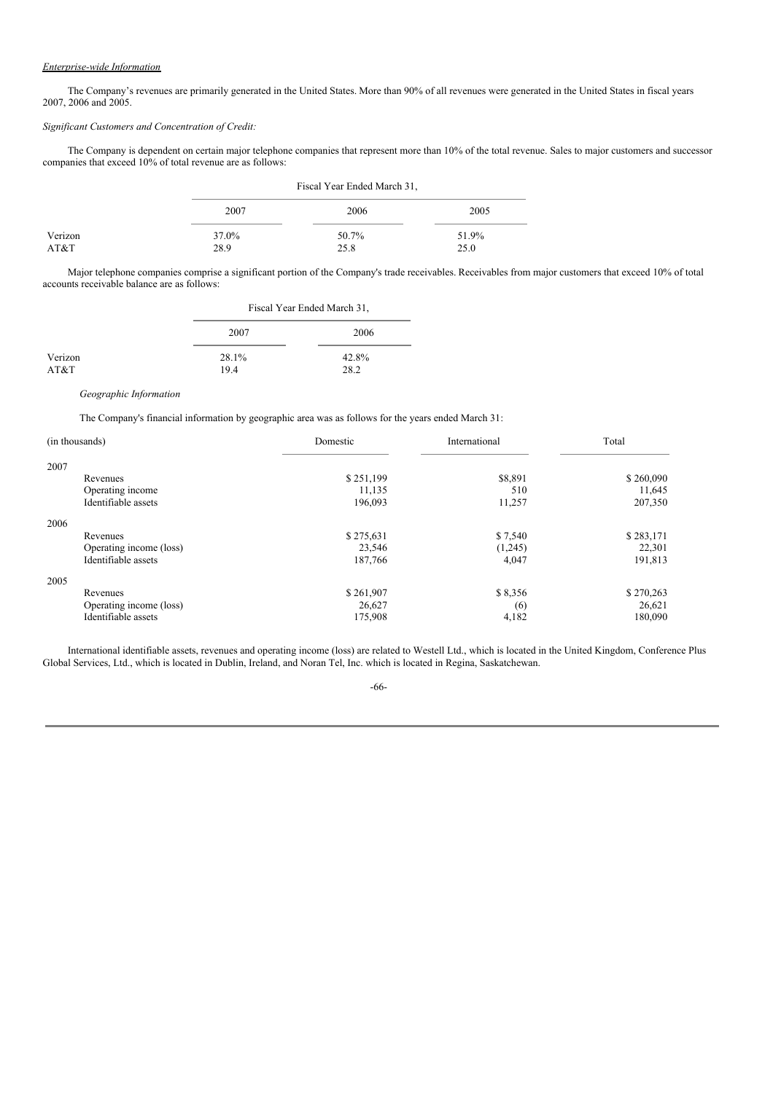## *Enterprise-wide Information*

The Company's revenues are primarily generated in the United States. More than 90% of all revenues were generated in the United States in fiscal years 2007, 2006 and 2005.

### *Significant Customers and Concentration of Credit:*

The Company is dependent on certain major telephone companies that represent more than 10% of the total revenue. Sales to major customers and successor companies that exceed 10% of total revenue are as follows:

|         |       | Fiscal Year Ended March 31, |       |  |
|---------|-------|-----------------------------|-------|--|
|         | 2007  | 2006                        | 2005  |  |
| Verizon | 37.0% | 50.7%                       | 51.9% |  |
| AT&T    | 28.9  | 25.8                        | 25.0  |  |

Major telephone companies comprise a significant portion of the Company's trade receivables. Receivables from major customers that exceed 10% of total accounts receivable balance are as follows:

|         | Fiscal Year Ended March 31, |       |
|---------|-----------------------------|-------|
|         | 2007                        | 2006  |
| Verizon | 28.1%                       | 42.8% |
| AT&T    | 19.4                        | 28.2  |

### *Geographic Information*

The Company's financial information by geographic area was as follows for the years ended March 31:

| (in thousands)          | Domestic  | International | Total     |
|-------------------------|-----------|---------------|-----------|
| 2007                    |           |               |           |
| Revenues                | \$251,199 | \$8,891       | \$260,090 |
| Operating income        | 11,135    | 510           | 11,645    |
| Identifiable assets     | 196,093   | 11,257        | 207,350   |
| 2006                    |           |               |           |
| Revenues                | \$275,631 | \$7,540       | \$283,171 |
| Operating income (loss) | 23,546    | (1,245)       | 22,301    |
| Identifiable assets     | 187,766   | 4,047         | 191,813   |
| 2005                    |           |               |           |
| Revenues                | \$261,907 | \$8,356       | \$270,263 |
| Operating income (loss) | 26,627    | (6)           | 26,621    |
| Identifiable assets     | 175,908   | 4,182         | 180,090   |

International identifiable assets, revenues and operating income (loss) are related to Westell Ltd., which is located in the United Kingdom, Conference Plus Global Services, Ltd., which is located in Dublin, Ireland, and Noran Tel, Inc. which is located in Regina, Saskatchewan.

-66-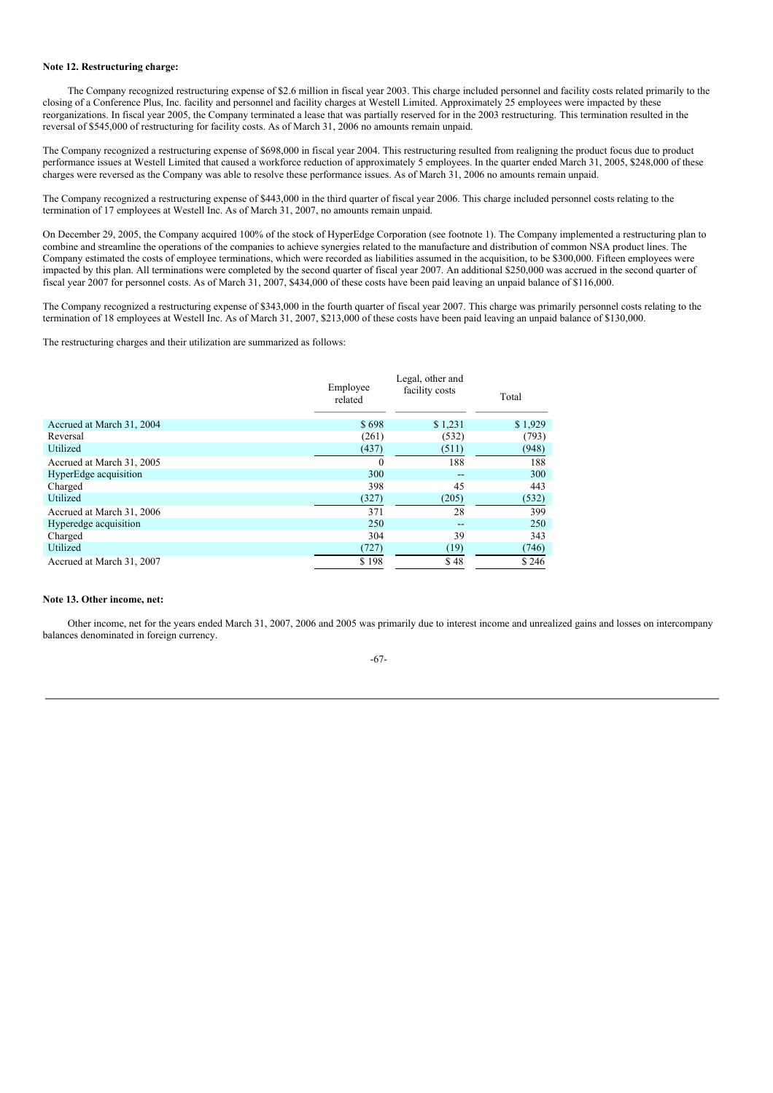#### **Note 12. Restructuring charge:**

The Company recognized restructuring expense of \$2.6 million in fiscal year 2003. This charge included personnel and facility costs related primarily to the closing of a Conference Plus, Inc. facility and personnel and facility charges at Westell Limited. Approximately 25 employees were impacted by these reorganizations. In fiscal year 2005, the Company terminated a lease that was partially reserved for in the 2003 restructuring. This termination resulted in the reversal of \$545,000 of restructuring for facility costs. As of March 31, 2006 no amounts remain unpaid.

The Company recognized a restructuring expense of \$698,000 in fiscal year 2004. This restructuring resulted from realigning the product focus due to product performance issues at Westell Limited that caused a workforce reduction of approximately 5 employees. In the quarter ended March 31, 2005, \$248,000 of these charges were reversed as the Company was able to resolve these performance issues. As of March 31, 2006 no amounts remain unpaid.

The Company recognized a restructuring expense of \$443,000 in the third quarter of fiscal year 2006. This charge included personnel costs relating to the termination of 17 employees at Westell Inc. As of March 31, 2007, no amounts remain unpaid.

On December 29, 2005, the Company acquired 100% of the stock of HyperEdge Corporation (see footnote 1). The Company implemented a restructuring plan to combine and streamline the operations of the companies to achieve synergies related to the manufacture and distribution of common NSA product lines. The Company estimated the costs of employee terminations, which were recorded as liabilities assumed in the acquisition, to be \$300,000. Fifteen employees were impacted by this plan. All terminations were completed by the second quarter of fiscal year 2007. An additional \$250,000 was accrued in the second quarter of fiscal year 2007 for personnel costs. As of March 31, 2007, \$434,000 of these costs have been paid leaving an unpaid balance of \$116,000.

The Company recognized a restructuring expense of \$343,000 in the fourth quarter of fiscal year 2007. This charge was primarily personnel costs relating to the termination of 18 employees at Westell Inc. As of March 31, 2007, \$213,000 of these costs have been paid leaving an unpaid balance of \$130,000.

The restructuring charges and their utilization are summarized as follows:

|                           | Employee<br>related | Legal, other and<br>facility costs | Total   |
|---------------------------|---------------------|------------------------------------|---------|
| Accrued at March 31, 2004 | \$698               | \$1,231                            | \$1,929 |
| Reversal                  | (261)               | (532)                              | (793)   |
| Utilized                  | (437)               | (511)                              | (948)   |
| Accrued at March 31, 2005 | $\theta$            | 188                                | 188     |
| HyperEdge acquisition     | 300                 |                                    | 300     |
| Charged                   | 398                 | 45                                 | 443     |
| Utilized                  | (327)               | (205)                              | (532)   |
| Accrued at March 31, 2006 | 371                 | 28                                 | 399     |
| Hyperedge acquisition     | 250                 | $- -$                              | 250     |
| Charged                   | 304                 | 39                                 | 343     |
| Utilized                  | (727)               | (19)                               | (746)   |
| Accrued at March 31, 2007 | \$198               | \$48                               | \$246   |

#### **Note 13. Other income, net:**

Other income, net for the years ended March 31, 2007, 2006 and 2005 was primarily due to interest income and unrealized gains and losses on intercompany balances denominated in foreign currency.

#### -67-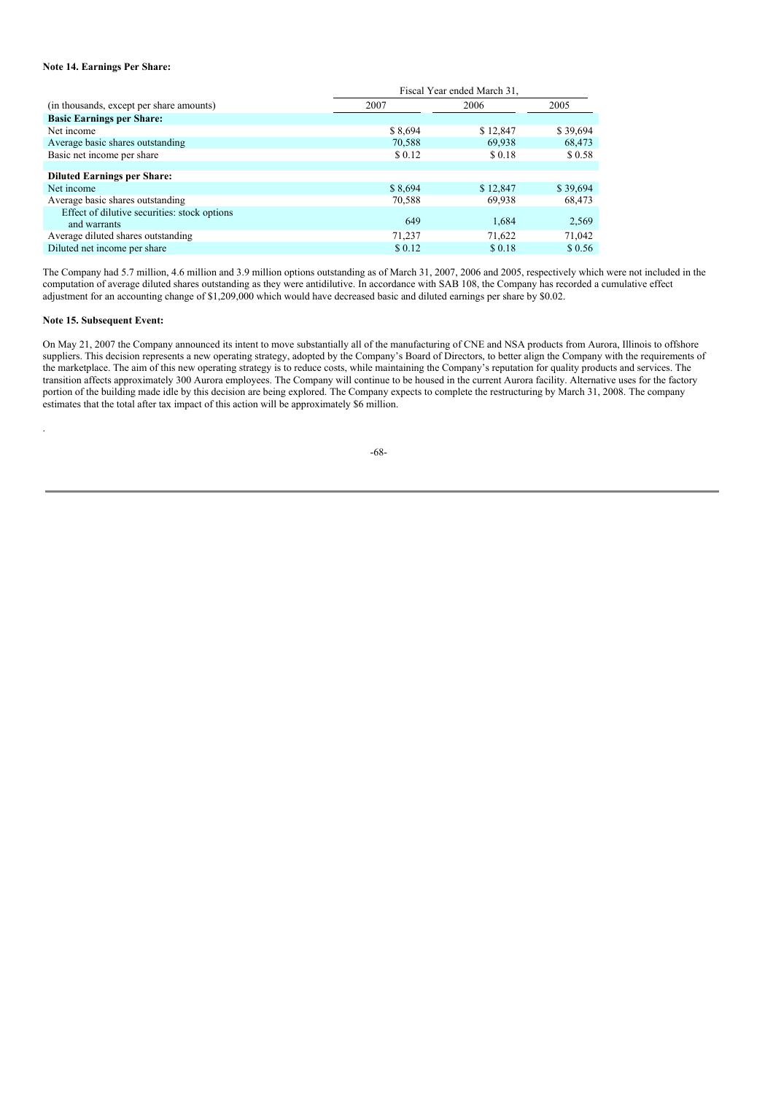### **Note 14. Earnings Per Share:**

|                                              | Fiscal Year ended March 31, |          |          |  |
|----------------------------------------------|-----------------------------|----------|----------|--|
| (in thousands, except per share amounts)     | 2007                        | 2006     | 2005     |  |
| <b>Basic Earnings per Share:</b>             |                             |          |          |  |
| Net income                                   | \$8,694                     | \$12,847 | \$39,694 |  |
| Average basic shares outstanding             | 70,588                      | 69,938   | 68,473   |  |
| Basic net income per share                   | \$0.12                      | \$0.18   | \$0.58   |  |
|                                              |                             |          |          |  |
| <b>Diluted Earnings per Share:</b>           |                             |          |          |  |
| Net income                                   | \$8,694                     | \$12,847 | \$39,694 |  |
| Average basic shares outstanding             | 70,588                      | 69,938   | 68,473   |  |
| Effect of dilutive securities: stock options |                             |          |          |  |
| and warrants                                 | 649                         | 1,684    | 2,569    |  |
| Average diluted shares outstanding           | 71.237                      | 71,622   | 71,042   |  |
| Diluted net income per share                 | \$0.12                      | \$0.18   | \$0.56   |  |

The Company had 5.7 million, 4.6 million and 3.9 million options outstanding as of March 31, 2007, 2006 and 2005, respectively which were not included in the computation of average diluted shares outstanding as they were antidilutive. In accordance with SAB 108, the Company has recorded a cumulative effect adjustment for an accounting change of \$1,209,000 which would have decreased basic and diluted earnings per share by \$0.02.

### **Note 15. Subsequent Event:**

.

On May 21, 2007 the Company announced its intent to move substantially all of the manufacturing of CNE and NSA products from Aurora, Illinois to offshore suppliers. This decision represents a new operating strategy, adopted by the Company's Board of Directors, to better align the Company with the requirements of the marketplace. The aim of this new operating strategy is to reduce costs, while maintaining the Company's reputation for quality products and services. The transition affects approximately 300 Aurora employees. The Company will continue to be housed in the current Aurora facility. Alternative uses for the factory portion of the building made idle by this decision are being explored. The Company expects to complete the restructuring by March 31, 2008. The company estimates that the total after tax impact of this action will be approximately \$6 million.

| . .<br>۰.<br>×<br>×<br>v<br>٧ |
|-------------------------------|
|-------------------------------|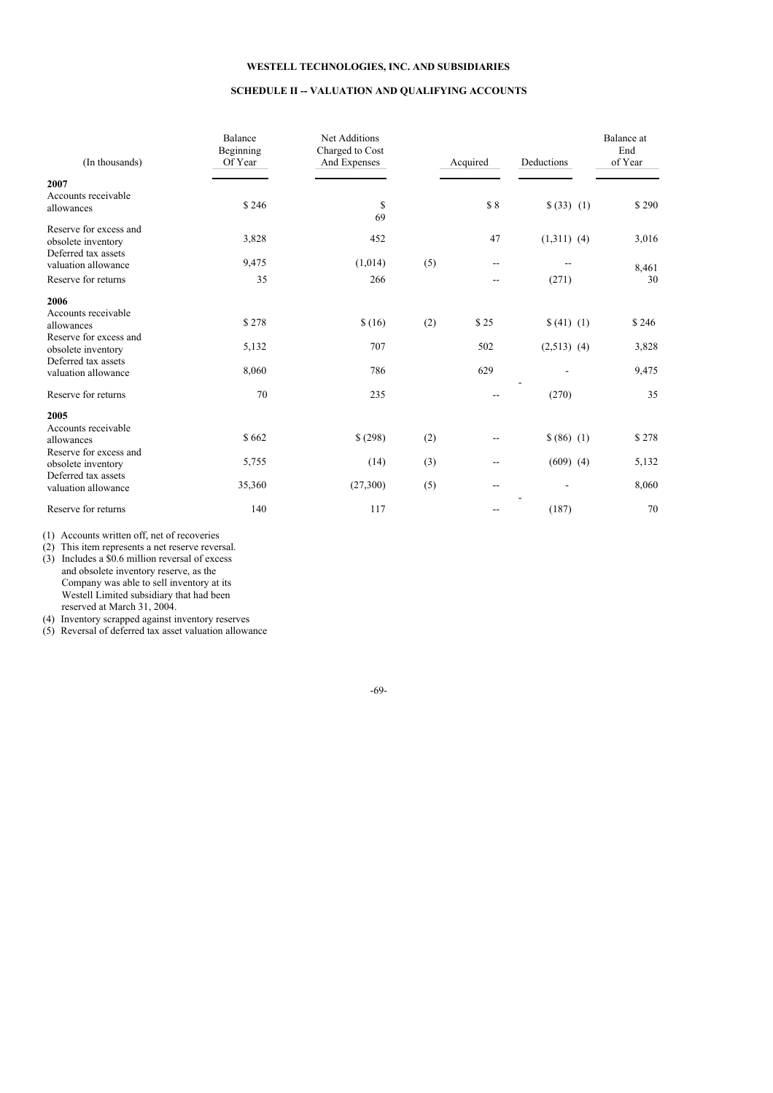## **WESTELL TECHNOLOGIES, INC. AND SUBSIDIARIES**

## **SCHEDULE II -- VALUATION AND QUALIFYING ACCOUNTS**

| (In thousands)                               | Balance<br>Beginning<br>Of Year | Net Additions<br>Charged to Cost<br>And Expenses |     | Acquired                 | Deductions    | Balance at<br>End<br>of Year |
|----------------------------------------------|---------------------------------|--------------------------------------------------|-----|--------------------------|---------------|------------------------------|
| 2007                                         |                                 |                                                  |     |                          |               |                              |
| Accounts receivable<br>allowances            | \$246                           | \$<br>69                                         |     | \$8                      | $(33)$ (1)    | \$290                        |
| Reserve for excess and<br>obsolete inventory | 3,828                           | 452                                              |     | 47                       | $(1,311)$ (4) | 3,016                        |
| Deferred tax assets<br>valuation allowance   | 9,475                           | (1,014)                                          | (5) | $\overline{\phantom{a}}$ |               | 8,461                        |
| Reserve for returns                          | 35                              | 266                                              |     |                          | (271)         | 30                           |
| 2006                                         |                                 |                                                  |     |                          |               |                              |
| Accounts receivable<br>allowances            | \$278                           | \$(16)                                           | (2) | \$25                     | $(41)$ (1)    | \$246                        |
| Reserve for excess and<br>obsolete inventory | 5,132                           | 707                                              |     | 502                      | $(2,513)$ (4) | 3,828                        |
| Deferred tax assets<br>valuation allowance   | 8,060                           | 786                                              |     | 629                      |               | 9,475                        |
| Reserve for returns                          | 70                              | 235                                              |     |                          | (270)         | 35                           |
| 2005                                         |                                 |                                                  |     |                          |               |                              |
| Accounts receivable<br>allowances            | \$662                           | \$(298)                                          | (2) |                          | \$ (86) (1)   | \$278                        |
| Reserve for excess and<br>obsolete inventory | 5,755                           | (14)                                             | (3) | $-$                      | $(609)$ (4)   | 5,132                        |
| Deferred tax assets<br>valuation allowance   | 35,360                          | (27,300)                                         | (5) | --                       |               | 8,060                        |
| Reserve for returns                          | 140                             | 117                                              |     |                          | (187)         | 70                           |

(1) Accounts written off, net of recoveries

(2) This item represents a net reserve reversal.

(3) Includes a  $$0.6$  million reversal of excess

and obsolete inventory reserve, as the Company was able to sell inventory at its Westell Limited subsidiary that had been

reserved at March 31, 2004.

(4) Inventory scrapped against inventory reserves

(5) Reversal of deferred tax asset valuation allowance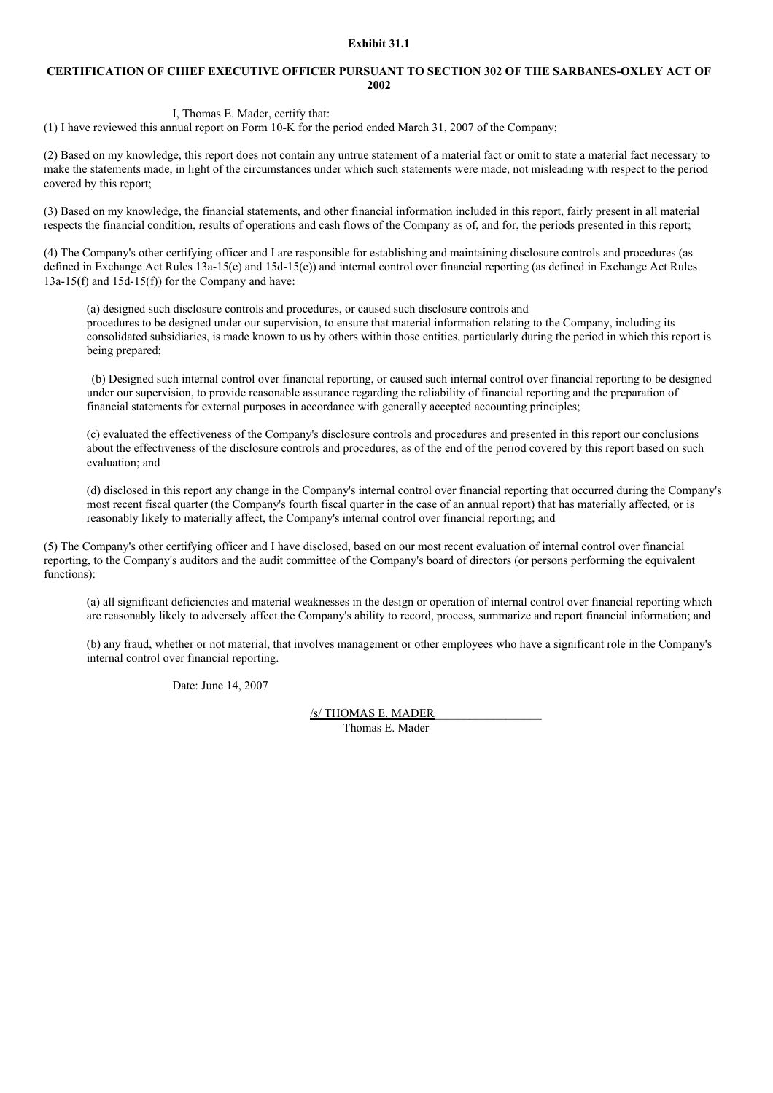### **Exhibit 31.1**

## **CERTIFICATION OF CHIEF EXECUTIVE OFFICER PURSUANT TO SECTION 302 OF THE SARBANES-OXLEY ACT OF 2002**

I, Thomas E. Mader, certify that:

(1) I have reviewed this annual report on Form 10-K for the period ended March 31, 2007 of the Company;

(2) Based on my knowledge, this report does not contain any untrue statement of a material fact or omit to state a material fact necessary to make the statements made, in light of the circumstances under which such statements were made, not misleading with respect to the period covered by this report;

(3) Based on my knowledge, the financial statements, and other financial information included in this report, fairly present in all material respects the financial condition, results of operations and cash flows of the Company as of, and for, the periods presented in this report;

(4) The Company's other certifying officer and I are responsible for establishing and maintaining disclosure controls and procedures (as defined in Exchange Act Rules 13a-15(e) and 15d-15(e)) and internal control over financial reporting (as defined in Exchange Act Rules 13a-15(f) and 15d-15(f)) for the Company and have:

(a) designed such disclosure controls and procedures, or caused such disclosure controls and procedures to be designed under our supervision, to ensure that material information relating to the Company, including its consolidated subsidiaries, is made known to us by others within those entities, particularly during the period in which this report is being prepared;

(b) Designed such internal control over financial reporting, or caused such internal control over financial reporting to be designed under our supervision, to provide reasonable assurance regarding the reliability of financial reporting and the preparation of financial statements for external purposes in accordance with generally accepted accounting principles;

(c) evaluated the effectiveness of the Company's disclosure controls and procedures and presented in this report our conclusions about the effectiveness of the disclosure controls and procedures, as of the end of the period covered by this report based on such evaluation; and

(d) disclosed in this report any change in the Company's internal control over financial reporting that occurred during the Company's most recent fiscal quarter (the Company's fourth fiscal quarter in the case of an annual report) that has materially affected, or is reasonably likely to materially affect, the Company's internal control over financial reporting; and

(5) The Company's other certifying officer and I have disclosed, based on our most recent evaluation of internal control over financial reporting, to the Company's auditors and the audit committee of the Company's board of directors (or persons performing the equivalent functions):

(a) all significant deficiencies and material weaknesses in the design or operation of internal control over financial reporting which are reasonably likely to adversely affect the Company's ability to record, process, summarize and report financial information; and

(b) any fraud, whether or not material, that involves management or other employees who have a significant role in the Company's internal control over financial reporting.

Date: June 14, 2007

/s/ THOMAS E. MADER\_\_\_\_\_\_\_\_\_\_\_\_\_\_\_\_\_\_ Thomas E. Mader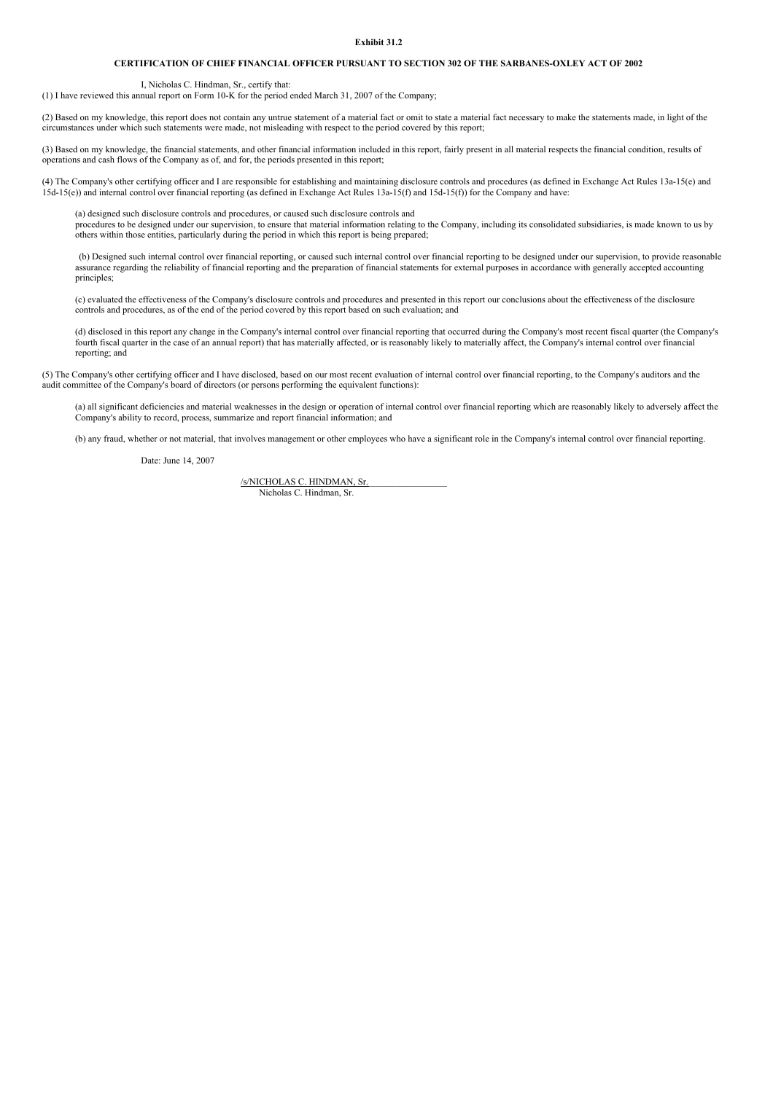## **Exhibit 31.2**

## **CERTIFICATION OF CHIEF FINANCIAL OFFICER PURSUANT TO SECTION 302 OF THE SARBANES-OXLEY ACT OF 2002**

I, Nicholas C. Hindman, Sr., certify that:

(1) I have reviewed this annual report on Form 10-K for the period ended March 31, 2007 of the Company;

(2) Based on my knowledge, this report does not contain any untrue statement of a material fact or omit to state a material fact necessary to make the statements made, in light of the circumstances under which such statements were made, not misleading with respect to the period covered by this report;

(3) Based on my knowledge, the financial statements, and other financial information included in this report, fairly present in all material respects the financial condition, results of operations and cash flows of the Company as of, and for, the periods presented in this report;

(4) The Company's other certifying officer and I are responsible for establishing and maintaining disclosure controls and procedures (as defined in Exchange Act Rules 13a-15(e) and 15d-15(e)) and internal control over financial reporting (as defined in Exchange Act Rules 13a-15(f) and 15d-15(f)) for the Company and have:

(a) designed such disclosure controls and procedures, or caused such disclosure controls and

procedures to be designed under our supervision, to ensure that material information relating to the Company, including its consolidated subsidiaries, is made known to us by others within those entities, particularly during the period in which this report is being prepared;

(b) Designed such internal control over financial reporting, or caused such internal control over financial reporting to be designed under our supervision, to provide reasonable assurance regarding the reliability of financial reporting and the preparation of financial statements for external purposes in accordance with generally accepted accounting principles;

(c) evaluated the effectiveness of the Company's disclosure controls and procedures and presented in this report our conclusions about the effectiveness of the disclosure controls and procedures, as of the end of the period covered by this report based on such evaluation; and

(d) disclosed in this report any change in the Company's internal control over financial reporting that occurred during the Company's most recent fiscal quarter (the Company's fourth fiscal quarter in the case of an annual report) that has materially affected, or is reasonably likely to materially affect, the Company's internal control over financial reporting; and

(5) The Company's other certifying officer and I have disclosed, based on our most recent evaluation of internal control over financial reporting, to the Company's auditors and the audit committee of the Company's board of directors (or persons performing the equivalent functions):

(a) all significant deficiencies and material weaknesses in the design or operation of internal control over financial reporting which are reasonably likely to adversely affect the Company's ability to record, process, summarize and report financial information; and

(b) any fraud, whether or not material, that involves management or other employees who have a significant role in the Company's internal control over financial reporting.

Date: June 14, 2007

/s/NICHOLAS C. HINDMAN, Sr. Nicholas C. Hindman, Sr.